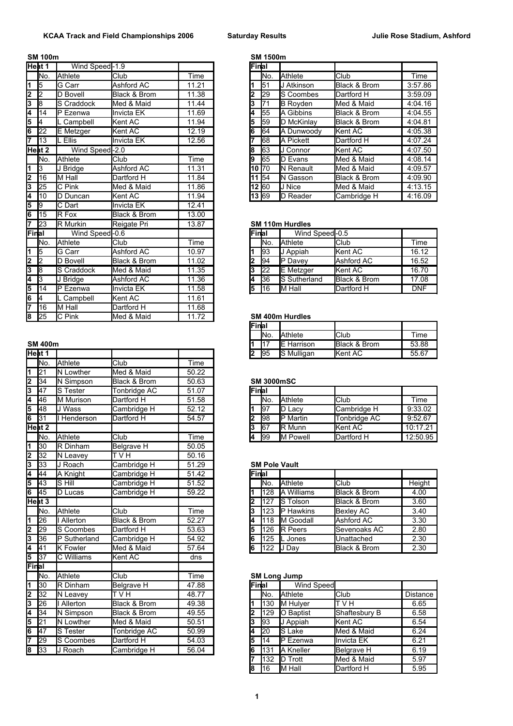## **SM 100m SM 1500m**

|                           | Heat 1          | Wind Speed-1.9      |                   |       | Final |                 |                        |                |            |
|---------------------------|-----------------|---------------------|-------------------|-------|-------|-----------------|------------------------|----------------|------------|
|                           | INo.            | Athlete             | <b>Club</b>       | Time  |       | lNo.            | Athlete                | Club           | Time       |
| 1                         | 5               | G Carr              | Ashford AC        | 11.21 |       | 51              | J Atkinson             | Black & Brom   | 3:57.86    |
| $\overline{2}$            | $\overline{2}$  | D Bovell            | Black & Brom      | 11.38 |       | 29              | <b>IS Coombes</b>      | Dartford H     | 3:59.09    |
| $\overline{\overline{3}}$ | l8              | S Craddock          | Med & Maid        | 11.44 | 3     | $\overline{71}$ | <b>B</b> Royden        | Med & Maid     | 4:04.16    |
| 4                         | 14              | P Ezenwa            | <b>Invicta EK</b> | 11.69 |       | 55              | A Gibbins              | Black & Brom   | 4:04.55    |
| 5                         | 4               | L Campbell          | Kent AC           | 11.94 | 5     | 59              | D McKinlay             | Black & Brom   | 4:04.81    |
| 6                         | $\overline{22}$ | E Metzger           | Kent AC           | 12.19 | 6     | 64              | A Dunwoody             | Kent AC        | 4:05.38    |
| 17                        | 13              | L Ellis             | Invicta EK        | 12.56 |       | $\overline{68}$ | <b>IA Pickett</b>      | Dartford H     | 4:07.24    |
|                           | Heat 2          | Wind Speed-2.0      |                   |       | 18    | 63              | J Connor               | Kent AC        | 4:07.50    |
|                           | INo.            | <b>Athlete</b>      | <b>Club</b>       | Time  |       | 65              | <b>D</b> Evans         | Med & Maid     | 4:08.14    |
| 1                         | 3               | J Bridge            | Ashford AC        | 11.31 |       | 10 70           | N Renault              | Med & Maid     | 4:09.57    |
| 2                         | 16              | M Hall              | Dartford H        | 11.84 |       | 11 54           | <b>IN Gasson</b>       | Black & Brom   | 4:09.90    |
| $\overline{\overline{3}}$ | $\overline{25}$ | C Pink              | Med & Maid        | 11.86 |       | 12 60           | IJ Nice                | Med & Maid     | 4:13.15    |
| 4                         | 10              | D Duncan            | Kent AC           | 11.94 |       | 13 69           | D Reader               | Cambridge H    | 4:16.09    |
| 5                         | 9               | $\overline{C}$ Dart | Invicta EK        | 12.41 |       |                 |                        |                |            |
| 6                         | 15              | R Fox               | Black & Brom      | 13.00 |       |                 |                        |                |            |
| 7                         | 23              | R Murkin            | Reigate Pri       | 13.87 |       |                 | <b>SM 110m Hurdles</b> |                |            |
| Final                     |                 | Wind Speed-0.6      |                   |       | Final |                 | Wind Speed-0.5         |                |            |
|                           | lNo.            | <b>Athlete</b>      | Club              | Time  |       | No.             | Athlete                | Club           | Time       |
| 1                         | $\overline{5}$  | G Carr              | Ashford AC        | 10.97 |       | 193             | J Appiah               | <b>Kent AC</b> | 16.12      |
| $\overline{\mathbf{2}}$   | 2               | D Bovell            | Black & Brom      | 11.02 |       | 94              | P Davey                | Ashford AC     | 16.52      |
| 3                         | $\sqrt{8}$      | S Craddock          | Med & Maid        | 11.35 | 3     | $\overline{22}$ | E Metzger              | <b>Kent AC</b> | 16.70      |
| 4                         | 3               | J Bridge            | Ashford AC        | 11.36 |       | 36              | S Sutherland           | Black & Brom   | 17.08      |
| 5                         | 14              | P Ezenwa            | Invicta EK        | 11.58 | 5     | 16              | M Hall                 | Dartford H     | <b>DNF</b> |
| 6                         | 4               | L Campbell          | Kent AC           | 11.61 |       |                 |                        |                |            |
| 7                         | 16              | M Hall              | Dartford H        | 11.68 |       |                 |                        |                |            |
| 8                         | $\overline{25}$ | C Pink              | Med & Maid        | 11.72 |       |                 | <b>SM 400m Hurdles</b> |                |            |

|       | יייש דייי         |                                 |                     |       |       | .               | L 1 101 1 1 3 0 1 1  | יייטיש אטאיש            | ບບ.ບບ    |
|-------|-------------------|---------------------------------|---------------------|-------|-------|-----------------|----------------------|-------------------------|----------|
|       | Heat 1            |                                 |                     |       | 2     | 95              | S Mulligan           | Kent AC                 | 55.67    |
|       | lNo.              | Athlete                         | Club                | Time  |       |                 |                      |                         |          |
| 1     | $\overline{21}$   | N Lowther                       | Med & Maid          | 50.22 |       |                 |                      |                         |          |
| 2     | 34                | N Simpson                       | Black & Brom        | 50.63 |       |                 | <b>SM 3000mSC</b>    |                         |          |
| 3     | 47                | S Tester                        | Tonbridge AC        | 51.07 | Final |                 |                      |                         |          |
| 4     | 46                | <b>M</b> Murison                | Dartford H          | 51.58 |       | lNo.            | Athlete              | Club                    | Time     |
| 5     | 48                | J Wass                          | Cambridge H         | 52.12 | 1     | 197             | D Lacy               | Cambridge H             | 9:33.02  |
| 6     | 31                | Henderson                       | Dartford H          | 54.57 | l2    | 98              | P Martin             | Tonbridge AC            | 9:52.67  |
|       | Heat 2            |                                 |                     |       | 13    | 67              | R Munn               | Kent AC                 | 10:17.21 |
|       | No.               | Athlete                         | Club                | Time  | 4     | $\overline{99}$ | M Powell             | Dartford H              | 12:50.95 |
| 1     | 30                | R Dinham                        | <b>Belgrave H</b>   | 50.05 |       |                 |                      |                         |          |
| 2     | 32                | N Leavey                        | T V H               | 50.16 |       |                 |                      |                         |          |
| 3     | 33                | J Roach                         | Cambridge H         | 51.29 |       |                 | <b>SM Pole Vault</b> |                         |          |
| 4     | 44                | A Knight                        | Cambridge H         | 51.42 | Final |                 |                      |                         |          |
| 5     | 43                | S Hill                          | Cambridge H         | 51.52 |       | No.             | Athlete              | Club                    | Height   |
| 6     | 45                | D Lucas                         | Cambridge H         | 59.22 | 1     | 128             | <b>I</b> A Williams  | <b>Black &amp; Brom</b> | 4.00     |
|       | Heat <sub>3</sub> |                                 |                     |       | l2    | 127             | S Tolson             | Black & Brom            | 3.60     |
|       | INo.              | Athlete                         | Club                | Time  | 3     | 123             | <b>IP Hawkins</b>    | <b>Bexley AC</b>        | 3.40     |
| 1     | 26                | Allerton                        | Black & Brom        | 52.27 | 4     | 118             | <b>I</b> M Goodall   | Ashford AC              | 3.30     |
| 2     | 29                | S Coombes                       | Dartford H          | 53.63 | 5     | 126             | R Peers              | Sevenoaks AC            | 2.80     |
| 3     | 36                | P Sutherland                    | Cambridge H         | 54.92 | 16    | 125             | L Jones              | Unattached              | 2.30     |
| 4     | 41                | <b>K</b> Fowler                 | Med & Maid          | 57.64 | İ6    | 122             | J Day                | Black & Brom            | 2.30     |
| 5     | 37                | C Williams                      | Kent AC             | dns   |       |                 |                      |                         |          |
| Final |                   |                                 |                     |       |       |                 |                      |                         |          |
|       | INo.              | Athlete                         | Club                | Time  |       |                 | <b>SM Long Jump</b>  |                         |          |
| 1     | 30                | R Dinham                        | <b>Belgrave H</b>   | 47.88 | Final |                 | <b>Wind Speed</b>    |                         |          |
| 2     | $\overline{32}$   | N Leavey                        | $T\vee H$           | 48.77 |       | No.             | Athlete              | Club                    | Distance |
| 3     | 26                | Allerton                        | Black & Brom        | 49.38 | 1     | 130             | M Hulyer             | <b>HVT</b>              | 6.65     |
| 4     | 34                | $\overline{\mathsf{N}}$ Simpson | Black & Brom        | 49.55 | 2     | 129             | O Baptist            | Shaftesbury B           | 6.58     |
| 5     | $\overline{21}$   | N Lowther                       | Med & Maid          | 50.51 | 3     | 93              | J Appiah             | Kent AC                 | 6.54     |
| 6     | $\overline{47}$   | S Tester                        | <b>Tonbridge AC</b> | 50.99 | 4     | $\overline{20}$ | S Lake               | Med & Maid              | 6.24     |
| 7     | 29                | S Coombes                       | Dartford H          | 54.03 | 15    | 14              | P Ezenwa             | <b>Invicta EK</b>       | 6.21     |
| 8     | 33                | J Roach                         | Cambridge H         | 56.04 | 6     | 131             | A Kneller            | <b>Belgrave H</b>       | 6.19     |
|       |                   |                                 |                     |       |       |                 |                      |                         |          |

| at 1 | Wind Speed-1.9        |              |       | Final |             |                    |                     |         |
|------|-----------------------|--------------|-------|-------|-------------|--------------------|---------------------|---------|
| No.  | Athlete               | <b>Club</b>  | Time  |       | Νo.         | <b>Athlete</b>     | Club                | Time    |
| 5    | G Carr                | Ashford AC   | 11.21 |       | 151         | J Atkinson         | Black & Brom        | 3:57.86 |
| 2    | D Bovell              | Black & Brom | 11.38 | 2     | <b>29</b>   | <b>IS Coombes</b>  | Dartford H          | 3:59.09 |
| 8    | S Craddock            | Med & Maid   | 11.44 | 3     | 71          | <b>B</b> Royden    | Med & Maid          | 4:04.16 |
| 14   | Ezenwa                | lInvicta EK  | 11.69 | 4     | <b>1</b> 55 | <b>IA Gibbins</b>  | Black & Brom        | 4:04.55 |
| 4    | . Campbell            | Kent AC      | 11.94 | 5     | <b>1</b> 59 | D McKinlay         | Black & Brom        | 4:04.81 |
| 22   | <b>E</b> Metzger      | Kent AC      | 12.19 | 6     | 64          | A Dunwoody         | <b>Kent AC</b>      | 4:05.38 |
| 13   | <b>Ellis</b>          | Invicta EK   | 12.56 |       | 168         | <b>I</b> A Pickett | Dartford H          | 4:07.24 |
| at 2 | Wind Speed-2.0        |              |       | 8     | 163         | J Connor           | <b>Kent AC</b>      | 4:07.50 |
| No.  | Athlete               | <b>Club</b>  | Time  | 19    | <b>1</b> 65 | <b>ID Evans</b>    | Med & Maid          | 4:08.14 |
| 3    | $\overline{J}$ Bridge | Ashford AC   | 11.31 | 10 70 |             | <b>IN Renault</b>  | Med & Maid          | 4:09.57 |
| 16   | IM Hall               | Dartford H   | 11.84 | 11 54 |             | <b>IN Gasson</b>   | Black & Brom        | 4:09.90 |
| 25   | C Pink                | Med & Maid   | 11.86 | 12 60 |             | <b>JJ</b> Nice     | <b>I</b> Med & Maid | 4:13.15 |
| 10   | Duncan                | Kent AC      | 11.94 | 13 69 |             | <b>ID Reader</b>   | Cambridge H         | 4:16.09 |

## **SM 110m Hurdles**

| al  | Wind Speed-0.6    |              |       | Final |      | Wind Speed-0.5       |                |            |
|-----|-------------------|--------------|-------|-------|------|----------------------|----------------|------------|
| No. | Athlete           | Club         | Time  |       | INo. | <b>Athlete</b>       | lClub          | Time       |
| 5   | <b>IG Carr</b>    | Ashford AC   | 10.97 |       | 193  | J Appiah             | <b>Kent AC</b> | 16.12      |
| 2   | D Bovell          | Black & Brom | 11.02 |       | 194  | <b>IP</b> Davey      | Ashford AC     | 16.52      |
| 8   | <b>S</b> Craddock | Med & Maid   | 11.35 |       | 122  | <b>IE</b> Metzger    | <b>Kent AC</b> | 16.70      |
| 3   | J Bridae          | Ashford AC   | 11.36 | 4     | 136  | <b>IS Sutherland</b> | Black & Brom   | 17.08      |
| 14  | Ezenwa<br>D       | Invicta EK   | 11.58 | 15    | 116  | <b>I</b> M Hall      | Dartford H     | <b>DNF</b> |
|     |                   |              |       |       |      |                      |                |            |

## **8M 400m Hurdles**

| Time  |
|-------|
| 53.88 |
| 55.67 |
|       |

## 34 N Simpson Black & Brom 50.63 **SM 3000mSC**

| 47   | Tester    | Tonbridge AC | 51.07 | Final |                 |                  |                     |          |
|------|-----------|--------------|-------|-------|-----------------|------------------|---------------------|----------|
| 46   | M Murison | Dartford H   | 51.58 |       | IN <sub>o</sub> | <b>Athlete</b>   | <b>I</b> Club       | Time     |
| 48   | Wass      | Cambridge H  | 52.12 |       | 197             | ID<br>Lacv       | <b>ICambridge H</b> | 9:33.02  |
| 31   | Henderson | Dartford H   | 54.57 |       | 198             | <b>IP</b> Martin | Tonbridge AC        | 9:52.67  |
| at 2 |           |              |       | 13    | <b>1</b> 67     | <b>IR</b> Munn   | <b>Kent AC</b>      | 10:17.21 |
| No.  | Athlete   | <b>Club</b>  | Time  | 14    | 199             | <b>IM Powell</b> | Dartford H          | 12:50.95 |
|      |           |              |       |       |                 |                  |                     |          |

#### **SM Pole Vault**

| 44   | A Knight         | Cambridge H  | 51.42 | lFinal |                 |                   |                         |        |
|------|------------------|--------------|-------|--------|-----------------|-------------------|-------------------------|--------|
| 43   | S Hill           | Cambridge H  | 51.52 |        | IN <sub>o</sub> | <b>Athlete</b>    | <b>Club</b>             | Height |
| 45   | <b>D</b> Lucas   | Cambridge H  | 59.22 |        | 128             | <b>A Williams</b> | <b>Black &amp; Brom</b> | 4.00   |
| at 3 |                  |              |       | 2      | 1127            | <b>IS Tolson</b>  | <b>Black &amp; Brom</b> | 3.60   |
| No.  | Athlete          | <b>Club</b>  | Time  | l3     | 123             | <b>IP Hawkins</b> | <b>Bexley AC</b>        | 3.40   |
| 26   | Allerton         | Black & Brom | 52.27 |        | 1118            | <b>IM Goodall</b> | Ashford AC              | 3.30   |
| 29   | Coombes<br>IS    | Dartford H   | 53.63 | l5     | 126             | <b>IR Peers</b>   | Sevenoaks AC            | 2.80   |
| 36   | Sutherland<br>IP | Cambridge H  | 54.92 | l6     | 125             | Jones             | Unattached              | 2.30   |
| 41   | <b>K</b> Fowler  | Med & Maid   | 57.64 | l6     | 122             | IJ Day            | <b>Black &amp; Brom</b> | 2.30   |
|      |                  |              |       |        |                 |                   |                         |        |

### **SM Long Jump**

| Final          |      | <b>Wind Speed</b> |                   |          |
|----------------|------|-------------------|-------------------|----------|
|                | lNo. | <b>Athlete</b>    | Club              | Distance |
|                | 130  | M Hulver          | V <sub>H</sub>    | 6.65     |
| $\overline{2}$ | 129  | O Baptist         | Shaftesbury B     | 6.58     |
| l3             | 193  | J Appiah          | Kent AC           | 6.54     |
| I4             | 20   | S Lake            | Med & Maid        | 6.24     |
| l5             | 14   | IP Ezenwa         | Invicta EK        | 6.21     |
| 6              | 131  | A Kneller         | <b>Belgrave H</b> | 6.19     |
| 17             | 132  | D Trott           | Med & Maid        | 5.97     |
| 18             | 16   | M Hall            | Dartford H        | 5.95     |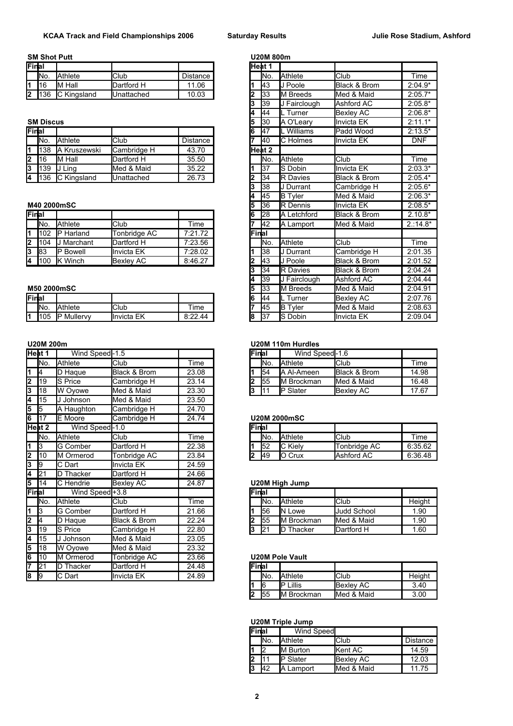## **SM Shot Putt U20M 800m**

| lFinlai |      |                 |             |           | lHeat 1 |                 |                     |                         |           |
|---------|------|-----------------|-------------|-----------|---------|-----------------|---------------------|-------------------------|-----------|
|         | INo. | Athlete         | <b>Club</b> | Distance  |         | IN <sub>o</sub> | <b>Athlete</b>      | lClub                   | Time      |
| l4.     |      | M Hall          | Dartford H  | .06<br>11 |         | <b>I</b> 43     | Poole<br>IJ         | <b>Black &amp; Brom</b> | $2:04.9*$ |
| l2      | 36   | Kingsland<br>IС | IUnattached | 10.03     |         | 133             | <b>Breeds</b><br>IМ | Med & Maid              | $2:05.7*$ |

| Final |            |                  |                     |          |  | <b>I</b> 47 | Williams         | <b>Padd Wood</b>        | $2:13.5*$  |
|-------|------------|------------------|---------------------|----------|--|-------------|------------------|-------------------------|------------|
|       | INo.       | Athlete          | <b>Club</b>         | Distance |  | <b>140</b>  | <b>IC</b> Holmes | <b>Invicta EK</b>       | <b>DNF</b> |
| İ1    | 38         | Kruszewski<br>А  | Cambridge H         | 43.70    |  | lHeat 2     |                  |                         |            |
| 2     | <b>116</b> | Hall<br>M        | Dartford H          | 35.50    |  | INo.        | <b>Athlete</b>   | <b>I</b> Club           | Time       |
| l3    | 139        | Lina             | Med & Maid          | 35.22    |  | 137         | <b>IS Dobin</b>  | <b>Invicta EK</b>       | $2:03.3*$  |
| I4    | 36         | Kingsland<br>۔ ب | <b>I</b> Unattached | 26.73    |  | 134         | <b>IR Davies</b> | <b>Black &amp; Brom</b> | $2:05.4*$  |

#### **M40 2000mSC**

| <b>IFinal</b> |      |                |                  |            |         | 128             | IA.<br>Letchford | <b>Black &amp; Brom</b> | $2.10.8*$ |
|---------------|------|----------------|------------------|------------|---------|-----------------|------------------|-------------------------|-----------|
|               | INo. | Athlete        | <b>Club</b>      | $\tau$ ime |         | 142             | IΑ<br>Lamport    | Med & Maid              | $2:14.8*$ |
|               | 102  | Harland<br>IP  | Tonbridae AC     | 7:21.72    | lFinlal |                 |                  |                         |           |
| l2            | 104  | Marchant       | Dartford H       | 7:23.56    |         | IN <sub>o</sub> | <b>Athlete</b>   | <b>I</b> Club           | Time      |
| 13            | 83   | ID<br>' Bowell | Ilnvicta EK      | 7:28.02    |         | 138             | IJ Durrant       | Cambridge H             | 2:01.35   |
| 14            | 100  | Winch<br>ΙK    | <b>Bexley AC</b> | 8:46.27    |         | <b>I</b> 43     | Poole            | <b>Black &amp; Brom</b> | 2:01.52   |

### **M50 2000mSC**

| <b>Final</b> |     |                |             |                             | IG | - 144     | ı urner<br>╌ | AC<br><b>Bexley</b>       | 2:07.76 |
|--------------|-----|----------------|-------------|-----------------------------|----|-----------|--------------|---------------------------|---------|
|              | No. | Athlete        | <b>Club</b> | --<br>ime                   |    | 145       | Tyler<br>IB  | Maio<br><b>I</b> Med<br>& | 2:08.63 |
|              | 105 | Mullervy<br>ID | Invicta EK  | $8.22 \, \text{A}$<br>----- | 18 | כפו<br>IJ | Dobin        | EK<br><b>I</b> Invicta    | 2:09.04 |

|       | Heat 1         | Wind Speed-1.5             |                  |       |   | Final                         | Wind Speed-1.6         |                    |         |
|-------|----------------|----------------------------|------------------|-------|---|-------------------------------|------------------------|--------------------|---------|
|       | No.            | Athlete                    | Club             | Time  |   | No.                           | Athlete                | Club               | Time    |
| 1     | 14             | D Haque                    | Black & Brom     | 23.08 |   | 54                            | A Al-Ameen             | Black & Brom       | 14.98   |
| 2     | 19             | S Price                    | Cambridge H      | 23.14 | 2 | 55                            | M Brockman             | Med & Maid         | 16.48   |
| 3     | 18             | W Ovowe                    | Med & Maid       | 23.30 |   | 3<br>111                      | <b>P</b> Slater        | <b>Bexley AC</b>   | 17.67   |
| 4     | 15             | J Johnson                  | Med & Maid       | 23.50 |   |                               |                        |                    |         |
| 5     | $\overline{5}$ | A Haughton                 | Cambridge H      | 24.70 |   |                               |                        |                    |         |
| 6     | 117            | E Moore                    | Cambridge H      | 24.74 |   |                               | <b>U20M 2000mSC</b>    |                    |         |
|       | Heat 2         | Wind Speed-1.0             |                  |       |   | Final                         |                        |                    |         |
|       | lNo.           | Athlete                    | Club             | Time  |   | No.                           | <b>Athlete</b>         | Club               | Time    |
| 1     | 13             | <b>G</b> Comber            | Dartford H       | 22.38 |   | 52                            | <b>C</b> Kiely         | Tonbridge AC       | 6:35.62 |
| 2     | 10             | M Ormerod                  | Tonbridge AC     | 23.84 |   | 49<br>$\overline{\mathbf{2}}$ | O Crux                 | Ashford AC         | 6:36.48 |
| 3     | l9             | C Dart                     | Invicta EK       | 24.59 |   |                               |                        |                    |         |
| 4     | 21             | D Thacker                  | Dartford H       | 24.66 |   |                               |                        |                    |         |
| 5     | 14             | C Hendrie                  | <b>Bexley AC</b> | 24.87 |   |                               | <b>U20M High Jump</b>  |                    |         |
| Final |                | Wind Speed <sup>+3.8</sup> |                  |       |   | Final                         |                        |                    |         |
|       | No.            | Athlete                    | Club             | Time  |   | INo.                          | <b>Athlete</b>         | Club               | Height  |
|       | Iз             | G Comber                   | Dartford H       | 21.66 |   | 56                            | <b>I</b> N Lowe        | <b>Judd School</b> | 1.90    |
| 2     | I4             | D Haque                    | Black & Brom     | 22.24 | 2 | 55                            | <b>IM Brockman</b>     | Med & Maid         | 1.90    |
| 3     | 19             | S Price                    | Cambridge H      | 22.80 |   | 3<br>21                       | <b>D</b> Thacker       | Dartford H         | 1.60    |
| 4     | 15             | J Johnson                  | Med & Maid       | 23.05 |   |                               |                        |                    |         |
| 5     | 18             | W Ovowe                    | Med & Maid       | 23.32 |   |                               |                        |                    |         |
| 6     | 10             | M Ormerod                  | Tonbridge AC     | 23.66 |   |                               | <b>U20M Pole Vault</b> |                    |         |
| 7     | 21             | D Thacker                  | Dartford H       | 24.48 |   | Final                         |                        |                    |         |
| 8     | 9              | C Dart                     | lInvicta EK      | 24.89 |   | lNo.                          | Athlete                | Club               | Height  |

| Final                                                     |                  |                 |                  |                 |   | Heat 1          |                           |                         |                                                                                             |
|-----------------------------------------------------------|------------------|-----------------|------------------|-----------------|---|-----------------|---------------------------|-------------------------|---------------------------------------------------------------------------------------------|
|                                                           | No.              | Athlete         | Club             | <b>Distance</b> |   | No.             | <b>Athlete</b>            | Club                    | Time                                                                                        |
| 1                                                         | 16               | M Hall          | Dartford H       | 11.06           |   | 43              | J Poole                   | <b>Black &amp; Brom</b> | $2:04.9*$                                                                                   |
| $\overline{2}$                                            | 136              | C Kingsland     | Unattached       | 10.03           |   | 33              | <b>I</b> M Breeds         | Med & Maid              | $2:05.7*$                                                                                   |
|                                                           |                  |                 |                  |                 |   | 39              | J Fairclough              | Ashford AC              | $2:05.8*$                                                                                   |
|                                                           |                  |                 |                  |                 |   | 44              | L Turner                  | <b>Bexley AC</b>        | $2:06.8*$                                                                                   |
|                                                           | <b>SM Discus</b> |                 |                  |                 |   | 30              | A O'Leary                 | Invicta EK              | $2:11.1*$                                                                                   |
| Final                                                     |                  |                 |                  |                 | 6 | 47              | L Williams                | Padd Wood               | $2:13.5*$                                                                                   |
|                                                           | No.              | <b>Athlete</b>  | Club             | <b>Distance</b> |   | 40              | C Holmes                  | Invicta EK              | <b>DNF</b>                                                                                  |
| 1                                                         | 138              | A Kruszewski    | Cambridge H      | 43.70           |   | Heat 2          |                           |                         |                                                                                             |
| 2                                                         | 16               | M Hall          | Dartford H       | 35.50           |   | No.             | <b>Athlete</b>            | Club                    | Time                                                                                        |
|                                                           | 139              | J Ling          | Med & Maid       | 35.22           |   | 37              | <b>I</b> S Dobin          | Invicta EK              | $2:03.3*$                                                                                   |
|                                                           |                  |                 |                  | 26.73           |   | 34              | <b>R</b> Davies           | Black & Brom            | $2:05.4*$                                                                                   |
|                                                           | 136              | C Kingsland     | Unattached       |                 |   |                 |                           |                         |                                                                                             |
|                                                           |                  |                 |                  |                 |   | 38              | <b>I</b> J Durrant        | Cambridge H             |                                                                                             |
|                                                           |                  |                 |                  |                 |   | 45              | <b>B</b> Tyler            | Med & Maid              |                                                                                             |
|                                                           |                  | M40 2000mSC     |                  |                 |   | 36              | <b>IR</b> Dennis          | Invicta EK              |                                                                                             |
|                                                           |                  |                 |                  |                 | 6 | 28              | <b>IA Letchford</b>       | Black & Brom            |                                                                                             |
|                                                           | No.              | Athlete         | Club             | Time            |   | $\overline{42}$ | A Lamport                 | Med & Maid              |                                                                                             |
|                                                           | 102              | P Harland       | Tonbridge AC     | 7:21.72         |   | Final           |                           |                         |                                                                                             |
|                                                           | 104              | J Marchant      | Dartford H       | 7:23.56         |   | No.             | Athlete                   | Club                    |                                                                                             |
|                                                           | 83               | <b>P</b> Bowell | Invicta EK       | 7:28.02         |   | 38              | J Durrant                 | Cambridge H             |                                                                                             |
|                                                           | 100              | <b>K</b> Winch  | <b>Bexley AC</b> | 8:46.27         |   | 43              | <b>J</b> Poole            | <b>Black &amp; Brom</b> | $2:05.6*$<br>$2:06.3*$<br>$2:08.5*$<br>$2.10.8*$<br>$2:14.8*$<br>Time<br>2:01.35<br>2:01.52 |
|                                                           |                  |                 |                  |                 |   | 34              | <b>R</b> Davies           | <b>Black &amp; Brom</b> | 2:04.24                                                                                     |
|                                                           |                  |                 |                  |                 |   | 39              | J Fairclough              | Ashford AC              | 2:04.44                                                                                     |
|                                                           |                  | M50 2000mSC     |                  |                 |   | 33              | M Breeds                  | Med & Maid              | 2:04.91                                                                                     |
|                                                           |                  |                 |                  |                 |   | 44              | L Turner                  | <b>Bexley AC</b>        | 2:07.76                                                                                     |
| 3<br>4<br>Final<br>1<br>$\overline{2}$<br>3<br>4<br>Final | lNo.             | Athlete         | Club             | Time            |   | 45              | <b>B</b> Tyler<br>S Dobin | Med & Maid              | 2:08.63                                                                                     |

#### **U20M 200m U20M 110m Hurdles**

| at 1 | Wind Speed-1.5 |              |       | <b>Final</b> |                 | Wind Speed-1.6     |                         |       |
|------|----------------|--------------|-------|--------------|-----------------|--------------------|-------------------------|-------|
| No.  | Athlete        | <b>Club</b>  | Гіmе  |              | IN <sub>o</sub> | <b>Athlete</b>     | Club                    | Time  |
|      | <b>D</b> Haque | Black & Brom | 23.08 |              | 154             | <b>IA AI-Ameen</b> | <b>Black &amp; Brom</b> | 14.98 |
| 19   | Price          | Cambridge H  | 23.14 |              | 155             | <b>IM Brockman</b> | <b>IMed &amp; Maid</b>  | 16.48 |
| 18   | W Ovowe        | Med & Maid   | 23.30 |              | 11 1            | <b>IP Slater</b>   | <b>IBexlev AC</b>       | 17.67 |

#### 17 E Moore Cambridge H 24.74 **U20M 2000mSC**

| .    | .                |              | -     | ________________ |                 |                |              |         |  |
|------|------------------|--------------|-------|------------------|-----------------|----------------|--------------|---------|--|
| at 2 | Wind Speed-1.0   |              |       | lFinlai          |                 |                |              |         |  |
| No.  | Athlete          | <b>Club</b>  | Time  |                  | IN <sub>o</sub> | <b>Athlete</b> | Club         | Time    |  |
| -    | <b>IG Comber</b> | Dartford H   | 22.38 |                  | <b>152</b>      | ТC<br>Kielv    | Tonbridae AC | 6:35.62 |  |
| 10   | M Ormerod        | Tonbridae AC | 23.84 |                  | <b>149</b>      | -le<br>Crux    | Ashford AC   | 6:36.48 |  |
|      |                  |              |       |                  |                 |                |              |         |  |

## **U20M High Jump**

|     | Wind Speed + 3.8 |              |       | <b>Final</b> |                 |                    |               |        |
|-----|------------------|--------------|-------|--------------|-----------------|--------------------|---------------|--------|
| No. | Athlete          | Club         | ïme   |              | IN <sub>o</sub> | <b>Athlete</b>     | <b>I</b> Club | Height |
|     | <b>IG Comber</b> | Dartford H   | 21.66 |              | 156             | IN Lowe            | Judd School   | .90    |
|     | Hague            | Black & Brom | 22.24 |              | 155             | <b>IM Brockman</b> | Med & Maid    | .90    |
| 19  | Price            | Cambridge H  | 22.80 |              | 121             | Thacker            | Dartford H    | .60    |
|     |                  |              |       |              |                 |                    |               |        |

#### U20M Pole Vault

| Final |                 |                   |                        |        |
|-------|-----------------|-------------------|------------------------|--------|
|       | IN <sub>o</sub> | <b>I</b> Athlete  | lClub                  | Height |
|       |                 | <b>I</b> P Lillis | <b>Bexley AC</b>       | 3.40   |
| l2    | 55              | M Brockman        | <b>IMed &amp; Maid</b> | 3.00   |

## **U20M Triple Jump**

| <b>IFinal</b> |      | Wind Speed       |            |          |
|---------------|------|------------------|------------|----------|
|               | lNo. | <b>IAthlete</b>  | Club       | Distance |
|               | רו   | <b>IM Burton</b> | Kent AC    | 14.59    |
|               |      | <b>IP</b> Slater | Bexley AC  | 12.03    |
| l3            | 42   | A Lamport        | Med & Maid | 11.75    |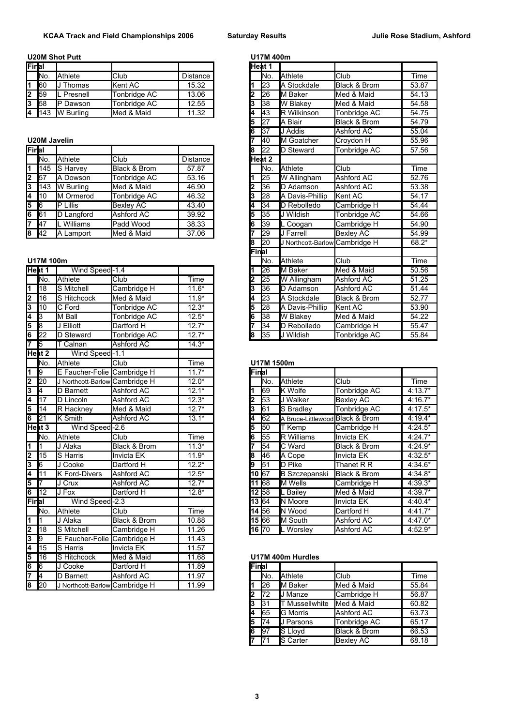## **U20M Shot Putt U20M Shot Putt U17M 400m**

| Final |      |                    |              |          |    | lHeat 1         |                     |                         |       |
|-------|------|--------------------|--------------|----------|----|-----------------|---------------------|-------------------------|-------|
|       | INo. | Athlete            | Club         | Distance |    | IN <sub>o</sub> | <b>Athlete</b>      | Club                    | Time  |
|       | 160  | Thomas             | Kent AC      | 15.32    |    | 123             | <b>IA Stockdale</b> | <b>Black &amp; Brom</b> | 53.87 |
| 12    | 59   | <b>IL</b> Presnell | Tonbridge AC | 13.06    | 12 | 126             | <b>IM Baker</b>     | <b>I</b> Med & Maid     | 54.13 |
| l3    | 158  | ID<br>Dawson       | Tonbridge AC | 12.55    | 13 | 138             | <b>IW Blakev</b>    | <b>IMed &amp; Maid</b>  | 54.58 |
| 14    | 143  | W Burling          | Med & Maid   | 11.32    | 14 | 143             | <b>IR Wilkinson</b> | Tonbridge AC            | 54.75 |

## **U20M Javelin**

| <b>IFinal</b> |                   |                 |              |          | 18 | 122         | <b>ID Steward</b>   | Tonbridge AC | 57.56 |
|---------------|-------------------|-----------------|--------------|----------|----|-------------|---------------------|--------------|-------|
|               | IN <sub>o</sub>   | Athlete         | <b>Club</b>  | Distance |    | lHeat 2     |                     |              |       |
| l1.           | 145               | S Harvey        | Black & Brom | 57.87    |    | INo.        | <b>I</b> Athlete    | Club         | Time  |
|               | $2 \overline{57}$ | A Dowson        | Tonbridge AC | 53.16    |    | 125         | <b>W</b> Allingham  | Ashford AC   | 52.76 |
| 13            | 143               | W Burling       | Med & Maid   | 46.90    | 2  | <b>1</b> 36 | <b>ID Adamson</b>   | Ashford AC   | 53.38 |
| 4             | 110               | M Ormerod       | Tonbridge AC | 46.32    | 3  | 128         | A Davis-Phillip     | Kent AC      | 54.17 |
| $5\,$ 6       |                   | <b>P</b> Lillis | Bexlev AC    | 43.40    | 4  | 134         | <b>ID Rebolledo</b> | Cambridge H  | 54.44 |
| 6             | 61                | D Langford      | Ashford AC   | 39.92    | 15 | <b>1</b> 35 | <b>J</b> Wildish    | Tonbridge AC | 54.66 |
| 17            | <b>47</b>         | Williams        | Padd Wood    | 38.33    | l6 | 39          | L Coogan            | Cambridge H  | 54.90 |
|               | $8 \, 42$         | A Lamport       | Med & Maid   | 37.06    |    | 129         | <b>J Farrell</b>    | Bexley AC    | 54.99 |

# **U17M 100m**

| неат 1                  |                   | vving Speed-1.4                |                         |         |       | ס∡ן             | <b>I</b> M Baker                | ivied & Maid      | ວບ.ວ໐     |
|-------------------------|-------------------|--------------------------------|-------------------------|---------|-------|-----------------|---------------------------------|-------------------|-----------|
|                         | INo.              | Athlete                        | Club                    | Time    | l2    | 25              | W Allingham                     | Ashford AC        | 51.25     |
| $\overline{\mathbf{1}}$ | 18                | <b>S</b> Mitchell              | Cambridge H             | $11.6*$ | 3     | 36              | D Adamson                       | <b>Ashford AC</b> | 51.44     |
| $\overline{2}$          | 16                | <b>S</b> Hitchcock             | Med & Maid              | $11.9*$ |       | $\overline{23}$ | <b>A Stockdale</b>              | Black & Brom      | 52.77     |
|                         | 10                | C Ford                         | Tonbridge AC            | $12.3*$ | 5     | 28              | A Davis-Phillip                 | Kent AC           | 53.90     |
|                         | 3                 | M Ball                         | Tonbridge AC            | $12.5*$ | 6     | 38              | W Blakey                        | Med & Maid        | 54.22     |
|                         | 18                | J Elliott                      | Dartford H              | $12.7*$ |       | 34              | <b>ID Rebolledo</b>             | Cambridge H       | 55.47     |
| 이 4   0   2             | 22                | D Steward                      | Tonbridge AC            | $12.7*$ | 8     | 35              | J Wildish                       | Tonbridge AC      | 55.84     |
|                         | $\overline{5}$    | T Calnan                       | Ashford AC              | $14.3*$ |       |                 |                                 |                   |           |
|                         | Heat <sub>2</sub> | Wind Speed-1.1                 |                         |         |       |                 |                                 |                   |           |
|                         | No.               | Athlete                        | Club                    | Time    |       | U17M 1500m      |                                 |                   |           |
| $\overline{\mathbf{1}}$ | 9                 | E Faucher-Folie                | Cambridge H             | $11.7*$ | Final |                 |                                 |                   |           |
| $\frac{2}{5}$           | 20                | J Northcott-Barlow Cambridge H |                         | $12.0*$ |       | No.             | Athlete                         | Club              | Time      |
|                         | 4                 | D Barnett                      | Ashford AC              | $12.1*$ |       | 69              | <b>K</b> Wolfe                  | Tonbridge AC      | $4:13.7*$ |
|                         | 17                | D Lincoln                      | Ashford AC              | $12.3*$ |       | 53              | <b>J</b> Walker                 | <b>Bexley AC</b>  | $4:16.7*$ |
|                         | 14                | R Hackney                      | Med & Maid              | $12.7*$ | 3     | 61              | S Bradley                       | Tonbridge AC      | $4:17.5*$ |
| $\overline{\mathbf{6}}$ | 21                | <b>K</b> Smith                 | Ashford AC              | $13.1*$ |       | 62              | A Bruce-Littlewood Black & Brom |                   | $4:19.4*$ |
|                         | Heat <sub>3</sub> | Wind Speed-2.6                 |                         |         | 5     | 50              | T Kemp                          | Cambridge H       | $4:24.5*$ |
|                         | No.               | Athlete                        | Club                    | Time    | 6     | 55              | R Williams                      | Invicta EK        | $4:24.7*$ |
| $\overline{\mathbf{1}}$ | I1                | J Alaka                        | <b>Black &amp; Brom</b> | $11.3*$ |       | 54              | C Ward                          | Black & Brom      | $4:24.9*$ |
| <u> a a1</u>            | 15                | S Harris                       | <b>Invicta EK</b>       | $11.9*$ | 8     | 46              | A Cope                          | <b>Invicta EK</b> | 4:32.5*   |
|                         | 6                 | J Cooke                        | Dartford H              | $12.2*$ | 9     | 51              | <b>I</b> D Pike                 | Thanet R R        | $4:34.6*$ |
|                         | 11                | <b>K</b> Ford-Divers           | Ashford AC              | $12.5*$ |       | 10 67           | <b>B</b> Szczepanski            | Black & Brom      | 4:34.8*   |
| 5                       | l7                | J Crux                         | Ashford AC              | $12.7*$ |       | 11 68           | <b>I</b> M Wells                | Cambridge H       | 4:39.3*   |
| $\overline{6}$          | <b>1</b> 12       | J Fox                          | Dartford H              | $12.8*$ |       | 12 58           | L Bailey                        | Med & Maid        | 4:39.7*   |
| Final                   |                   | Wind Speed-2.3                 |                         |         |       | 13 64           | N Moore                         | Invicta EK        | 4:40.4*   |
|                         | lNo.              | Athlete                        | Club                    | Time    |       | 14 56           | <b>N</b> Wood                   | Dartford H        | 4:41.7*   |
| $\overline{\mathbf{1}}$ |                   | J Alaka                        | Black & Brom            | 10.88   |       | 15 66           | M South                         | Ashford AC        | $4:47.0*$ |
| $\frac{2}{3}$           | 18                | S Mitchell                     | Cambridge H             | 11.26   |       | 16 70           | L Worsley                       | Ashford AC        | $4:52.9*$ |
|                         | 9                 | E Faucher-Folie                | Cambridge H             | 11.43   |       |                 |                                 |                   |           |
| 4                       | 15                | <b>S</b> Harris                | <b>Invicta EK</b>       | 11.57   |       |                 |                                 |                   |           |
| 5                       | 16                | S Hitchcock                    | Med & Maid              | 11.68   |       |                 | U17M 400m Hurdles               |                   |           |
| $\overline{6}$          | $\overline{6}$    | J Cooke                        | Dartford H              | 11.89   | Final |                 |                                 |                   |           |
| 7                       | $\overline{A}$    | <b>D</b> Barnett               | Ashford AC              | 11.97   |       | No.             | Athlete                         | Club              | Time      |
| $\overline{8}$          | 20                | J Northcott-Barlow Cambridge H |                         | 11.99   |       | <b>l</b> 26     | M Baker                         | Med & Maid        | 55.84     |
|                         |                   |                                |                         |         |       | $\overline{10}$ | 1 <i>.</i> .                    |                   | 50.07     |

| Final          |                 |                       |                  |                 |       | Heat 1          |                                |                         |       |
|----------------|-----------------|-----------------------|------------------|-----------------|-------|-----------------|--------------------------------|-------------------------|-------|
|                | INo.            | Athlete               | Club             | <b>Distance</b> |       | No.             | <b>Athlete</b>                 | Club                    | Time  |
| 1              | 60              | J Thomas              | Kent AC          | 15.32           |       | l23             | <b>A Stockdale</b>             | <b>Black &amp; Brom</b> | 53.87 |
| 2              | 59              | L Presnell            | Tonbridge AC     | 13.06           |       | 26              | <b>I</b> M Baker               | Med & Maid              | 54.13 |
| 3              | 58              | P Dawson              | Tonbridge AC     | 12.55           |       | 38              | W Blakey                       | Med & Maid              | 54.58 |
| 4              | 143             | W Burling             | Med & Maid       | 11.32           |       | 43              | <b>R</b> Wilkinson             | Tonbridge AC            | 54.75 |
|                |                 |                       |                  |                 |       | 27              | <b>I</b> A Blair               | Black & Brom            | 54.79 |
|                |                 |                       |                  |                 | 6     | 37              | J Addis                        | Ashford AC              | 55.04 |
|                | U20M Javelin    |                       |                  |                 |       | 40              | M Goatcher                     | Croydon H               | 55.96 |
| Final          |                 |                       |                  |                 | 8     | $\overline{22}$ | <b>ID Steward</b>              | Tonbridge AC            | 57.56 |
|                | No.             | Athlete               | Club             | <b>Distance</b> |       | Heat 2          |                                |                         |       |
| 1              | 145             | S Harvey              | Black & Brom     | 57.87           |       | No.             | Athlete                        | Club                    | Time  |
| 2              | 57              | A Dowson              | Tonbridge AC     | 53.16           |       | 25              | W Allingham                    | Ashford AC              | 52.76 |
| 3              | 143             | <b>W</b> Burling      | Med & Maid       | 46.90           |       | 36              | <b>ID Adamson</b>              | <b>Ashford AC</b>       | 53.38 |
| 4              | 10              | M Ormerod             | Tonbridge AC     | 46.32           |       | 28              | A Davis-Phillip                | Kent AC                 | 54.17 |
| 5              | 6               | $\overline{P}$ Lillis | <b>Bexley AC</b> | 43.40           |       | 34              | <b>ID Rebolledo</b>            | Cambridge H             | 54.44 |
|                | 61              | D Langford            | Ashford AC       | 39.92           | 5     | 35              | J Wildish                      | Tonbridge AC            | 54.66 |
| 7              | 47              | L Williams            | Padd Wood        | 38.33           | 6     | 39              | L Coogan                       | Cambridge H             | 54.90 |
| 8              | $\overline{42}$ | A Lamport             | Med & Maid       | 37.06           |       | 29              | J Farrell                      | <b>Bexley AC</b>        | 54.99 |
|                |                 |                       |                  |                 | 8     | 20              | J Northcott-Barlow Cambridge H |                         | 68.2* |
|                |                 |                       |                  |                 | Final |                 |                                |                         |       |
|                | U17M 100m       |                       |                  |                 |       | No.             | <b>Athlete</b>                 | Club                    | Time  |
|                | Heat 1          | Wind Speed-1.4        |                  |                 |       | 26              | <b>IM Baker</b>                | Med & Maid              | 50.56 |
|                | INo.            | Athlete               | Club             | Time            |       | 25              | W Allingham                    | Ashford AC              | 51.25 |
| 1              | 18              | <b>S</b> Mitchell     | Cambridge H      | $11.6*$         |       | 36              | D Adamson                      | Ashford AC              | 51.44 |
| 2              | 16              | S Hitchcock           | Med & Maid       | $11.9*$         |       | $\overline{23}$ | <b>IA Stockdale</b>            | Black & Brom            | 52.77 |
| 3              | 10              | C Ford                | Tonbridge AC     | $12.3*$         | 5     | 28              | A Davis-Phillip                | Kent AC                 | 53.90 |
| 4              | 3               | M Ball                | Tonbridge AC     | $12.5*$         | 6     | 38              | W Blakey                       | Med & Maid              | 54.22 |
| 5              | $\overline{8}$  | J Elliott             | Dartford H       | $12.7*$         |       | 34              | <b>ID Rebolledo</b>            | Cambridge H             | 55.47 |
| $\overline{6}$ | 22              | <b>D</b> Steward      | Tonbridge AC     | $12.7*$         | 8     | 35              | <b>I</b> J Wildish             | Tonbridge AC            | 55.84 |
|                |                 |                       |                  |                 |       |                 |                                |                         |       |

## No. Athlete Club Time **U17M 1500m**

| 9              | E Faucher-Folie Cambridge H    |              | $11.7*$ | Final             |             |                                 |                         |           |
|----------------|--------------------------------|--------------|---------|-------------------|-------------|---------------------------------|-------------------------|-----------|
| 20             | J Northcott-Barlow Cambridge H |              | $12.0*$ |                   | lNo.        | <b>Athlete</b>                  | Club                    | Time      |
| 4              | <b>Barnett</b>                 | Ashford AC   | $12.1*$ |                   | 169         | <b>I</b> K Wolfe                | Tonbridge AC            | $4:13.7*$ |
| 17             | D Lincoln                      | Ashford AC   | $12.3*$ |                   | 153         | J Walker                        | <b>Bexley AC</b>        | $4:16.7*$ |
| 14             | R Hackney                      | Med & Maid   | $12.7*$ | 3                 | 61          | <b>S</b> Bradley                | Tonbridge AC            | $4:17.5*$ |
| 21             | <b>K</b> Smith                 | Ashford AC   | $13.1*$ |                   | 62          | A Bruce-Littlewood Black & Brom |                         | $4:19.4*$ |
| at 3           | Wind Speed-2.6                 |              |         | 5                 | <b>1</b> 50 | T Kemp                          | Cambridge H             | $4:24.5*$ |
| No.            | Athlete                        | Club         | Time    | 6                 | <b>1</b> 55 | <b>R</b> Williams               | Invicta EK              | $4:24.7*$ |
|                | J Alaka                        | Black & Brom | $11.3*$ |                   | 54          | C Ward                          | Black & Brom            | $4:24.9*$ |
| 15             | <b>S</b> Harris                | Invicta EK   | $11.9*$ | 8                 | 46          | A Cope                          | Invicta EK              | $4:32.5*$ |
| $\overline{6}$ | J Cooke                        | Dartford H   | $12.2*$ | 9                 | 51          | <b>ID Pike</b>                  | Thanet R R              | $4:34.6*$ |
| 11             | K Ford-Divers                  | Ashford AC   | $12.5*$ | 10 67             |             | B Szczepanski                   | <b>Black &amp; Brom</b> | $4:34.8*$ |
| 7              | J Crux                         | Ashford AC   | $12.7*$ | 11 68             |             | <b>IM Wells</b>                 | Cambridge H             | $4:39.3*$ |
| 12             | J Fox                          | Dartford H   | $12.8*$ | 12 58             |             | <b>IL Bailev</b>                | Med & Maid              | $4:39.7*$ |
| al             | Wind Speed-2.3                 |              |         | 13 64             |             | <b>IN Moore</b>                 | <b>I</b> Invicta EK     | $4:40.4*$ |
| No.            | Athlete                        | Club         | Time    | 14 56             |             | <b>I</b> N Wood                 | Dartford H              | $4:41.7*$ |
|                | J Alaka                        | Black & Brom | 10.88   | 15 66             |             | <b>IM South</b>                 | Ashford AC              | $4:47.0*$ |
| 18             | <b>S</b> Mitchell              | Cambridge H  | 11.26   | $16\overline{70}$ |             | <b>IL Worslev</b>               | <b>Ashford AC</b>       | $4:52.9*$ |
|                |                                |              |         |                   |             |                                 |                         |           |

### 16 S Hitchcock Med & Maid 11.68 **U17M 400m Hurdles**

| Final |                 |                       |                  |       |
|-------|-----------------|-----------------------|------------------|-------|
|       | lNo.            | Athlete               | Club             | Time  |
|       | 26              | <b>I</b> M Baker      | Med & Maid       | 55.84 |
| l2    | $\overline{72}$ | <b>J</b> Manze        | Cambridge H      | 56.87 |
| l3    | 131             | <b>T</b> Mussellwhite | Med & Maid       | 60.82 |
| 14    | 165             | G Morris              | Ashford AC       | 63.73 |
| l5    | 74              | <b>J</b> Parsons      | Tonbridge AC     | 65.17 |
| l6    | 97              | S Lloyd               | Black & Brom     | 66.53 |
|       | 71              | S Carter              | <b>Bexley AC</b> | 68.18 |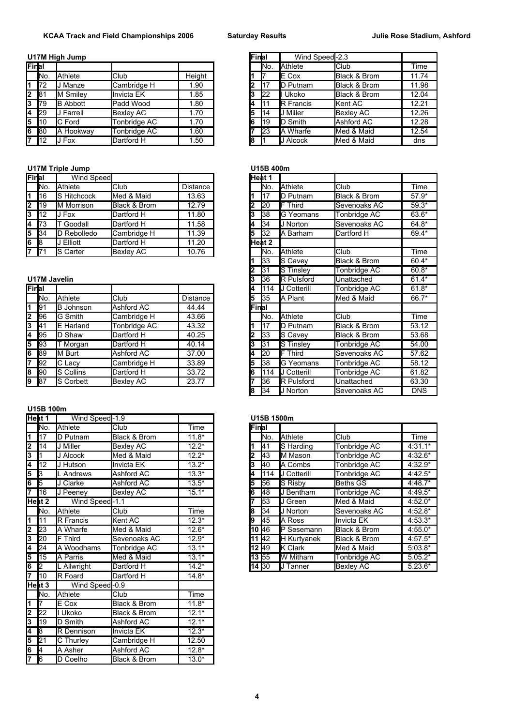## **U17M High Jump**

| Final |                                                              |                                                                                   |        |    | INo. | <b>Athlete</b>    | <b>Club</b> | Time                                                                                                                        |
|-------|--------------------------------------------------------------|-----------------------------------------------------------------------------------|--------|----|------|-------------------|-------------|-----------------------------------------------------------------------------------------------------------------------------|
|       |                                                              | Club                                                                              | Height |    |      | <b>IE Cox</b>     |             | 11.74                                                                                                                       |
|       | <b>J</b> Manze                                               | Cambridge H                                                                       | .90    | 2  |      | <b>ID Putnam</b>  |             | 11.98                                                                                                                       |
|       |                                                              | Invicta EK                                                                        | .85    | 3  | 22   | Ukoko             |             | 12.04                                                                                                                       |
|       |                                                              | Padd Wood                                                                         | .80    | 4  |      | <b>IR Francis</b> |             | 12.21                                                                                                                       |
|       |                                                              | <b>Bexley AC</b>                                                                  | 1.70   | 5  | 14   | Miller            | Bexlev AC   | 12.26                                                                                                                       |
|       |                                                              | Tonbridge AC                                                                      | 1.70   | 6  | 119  | <b>ID Smith</b>   | Ashford AC  | 12.28                                                                                                                       |
|       |                                                              | Tonbridge AC                                                                      | .60    |    | 123  | <b>IA Wharfe</b>  |             | 12.54                                                                                                                       |
|       | Fox                                                          | Dartford H                                                                        | .50    | 18 |      | J Alcock          |             | dns                                                                                                                         |
|       | INo.<br>172<br><b>1</b> 81<br><b>179</b><br>129<br>10<br>180 | Athlete<br>M Smiley<br><b>B</b> Abbott<br><b>J</b> Farrell<br>C Ford<br>A Hookway |        |    |      |                   |             | <b>Black &amp; Brom</b><br><b>Black &amp; Brom</b><br><b>Black &amp; Brom</b><br><b>Kent AC</b><br>Med & Maid<br>Med & Maid |

## **U17M Triple Jump U15B 400m**

| Final |      | Wind Speed         |                  |                 |    | Heat 1          |                   |                         |         |
|-------|------|--------------------|------------------|-----------------|----|-----------------|-------------------|-------------------------|---------|
|       | INo. | Athlete            | <b>Club</b>      | <b>Distance</b> |    | INo.            | <b>Athlete</b>    | <b>I</b> Club           | Time    |
| l1.   | I16  | <b>S</b> Hitchcock | Med & Maid       | 13.63           |    |                 | <b>ID Putnam</b>  | <b>Black &amp; Brom</b> | $57.9*$ |
| 2     | 119  | M Morrison         | Black & Brom     | 12.79           | 2  | 120             | <b>Third</b>      | Sevenoaks AC            | $59.3*$ |
| 13    | 112  | J Fox              | Dartford H       | 11.80           | 3  | 138             | <b>IG</b> Yeomans | Tonbridge AC            | 63.6*   |
| 14    | 173  | Goodall            | Dartford H       | 11.58           | 14 | 134             | IJ Norton         | Sevenoaks AC            | $64.8*$ |
| 5     | 34   | Rebolledo<br>ID    | Cambridge H      | 11.39           | 5  | 132             | Barham<br>IΑ      | Dartford H              | 69.4*   |
| 6     | -18  | J Elliott          | Dartford H       | 11.20           |    | lHeat 2         |                   |                         |         |
| 17    | 171  | <b>S</b> Carter    | <b>Bexley AC</b> | 10.76           |    | IN <sub>o</sub> | <b>Athlete</b>    | <b>I</b> Club           | Time    |

## **U17M Javelin**

| Final  |             |                  |                  |          | I4           | I114        | J Cotterill        | Tonbridge AC            | $61.8*$ |
|--------|-------------|------------------|------------------|----------|--------------|-------------|--------------------|-------------------------|---------|
|        | INo.        | Athlete          | <b>Club</b>      | Distance | l5           | 135         | <b>IA Plant</b>    | Med & Maid              | 66.7*   |
| l1.    | <b>1</b> 91 | <b>B</b> Johnson | Ashford AC       | 44.44    | <b>Final</b> |             |                    |                         |         |
| I2.    | <b>1</b> 96 | G Smith          | Cambridge H      | 43.66    |              | INo.        | <b>A</b> thlete    | <b>Club</b>             | Time    |
| l3     | <b>41</b>   | <b>E</b> Harland | Tonbridge AC     | 43.32    |              |             | <b>ID Putnam</b>   | Black & Brom            | 53.12   |
| Ι4     | <b>1</b> 95 | D Shaw           | Dartford H       | 40.25    | 2            | 133         | <b>IS Cavey</b>    | <b>Black &amp; Brom</b> | 53.68   |
| 15     | 193         | Morgan           | Dartford H       | 40.14    | l3           | 31          | <b>S</b> Tinsley   | Tonbridge AC            | 54.00   |
| l6     | <b>1</b> 89 | M Burt           | Ashford AC       | 37.00    | 14           | 20          | Third              | Sevenoaks AC            | 57.62   |
| 17.    | 92          | C Lacy           | Cambridge H      | 33.89    | l5           | 138         | <b>IG Yeomans</b>  | Tonbridge AC            | 58.12   |
| l8     | <b>90</b>   | <b>S</b> Collins | Dartford H       | 33.72    | l6           | 14          | IJ Cotterill       | Tonbridge AC            | 61.82   |
| 9   87 |             | <b>S</b> Corbett | <b>Bexley AC</b> | 23.77    | 7            | <b>1</b> 36 | <b>IR Pulsford</b> | Unattached              | 63.30   |
|        |             |                  |                  |          |              |             |                    |                         |         |

## **U15B 100m**

|                         | Heat 1           | Wind Speed-1.9   |                   |         |       | U15B 1500m |                  |                 |           |
|-------------------------|------------------|------------------|-------------------|---------|-------|------------|------------------|-----------------|-----------|
|                         | INo.             | Athlete          | Club              | Time    | Final |            |                  |                 |           |
| $\overline{\mathbf{1}}$ | 17               | D Putnam         | Black & Brom      | $11.8*$ |       | No.        | Athlete          | Club            | Time      |
| 2                       | 14 <sup>14</sup> | J Miller         | <b>Bexley AC</b>  | $12.2*$ |       | 41         | S Harding        | Tonbridge AC    | $4:31.1*$ |
| 3                       |                  | J Alcock         | Med & Maid        | $12.2*$ |       | 43         | M Mason          | Tonbridge AC    | $4:32.6*$ |
| 4                       | 12               | J Hutson         | <b>Invicta EK</b> | $13.2*$ |       | 40         | A Combs          | Tonbridge AC    | $4:32.9*$ |
| 5                       | $\sqrt{3}$       | LAndrews         | Ashford AC        | $13.3*$ |       | 114        | J Cotterill      | Tonbridge AC    | $4:42.5*$ |
| 6                       | $\sqrt{5}$       | J Clarke         | Ashford AC        | $13.5*$ | 5     | 56         | <b>S</b> Risby   | <b>Beths GS</b> | 4:48.7*   |
| 7                       | <b>116</b>       | J Peeney         | <b>Bexley AC</b>  | $15.1*$ |       | <b>48</b>  | <b>J</b> Bentham | Tonbridge AC    | 4:49.5*   |
|                         | Heat 2           | Wind Speed-1.1   |                   |         |       | 53         | IJ Green         | Med & Maid      | $4:52.0*$ |
|                         | No.              | Athlete          | Club              | Time    |       | 34         | J Norton         | Sevenoaks AC    | $4:52.8*$ |
| $\overline{\mathbf{1}}$ | 111              | <b>R</b> Francis | Kent AC           | $12.3*$ |       | 45         | A Ross           | Invicta EK      | $4:53.3*$ |
| $\frac{2}{3}$           | 23               | A Wharfe         | Med & Maid        | $12.6*$ |       | 10 46      | P Sesemann       | Black & Brom    | $4:55.0*$ |
|                         | 20               | <b>F</b> Third   | Sevenoaks AC      | $12.9*$ |       | 11 42      | H Kurtyanek      | Black & Brom    | $4:57.5*$ |
| 4                       | 24               | A Woodhams       | Tonbridge AC      | $13.1*$ |       | 12 49      | K Clark          | Med & Maid      | $5:03.8*$ |
| 5                       | 15               | A Parris         | Med & Maid        | $13.1*$ |       | 13 55      | W Mitham         | Tonbridge AC    | $5.05.2*$ |
| 6                       | $\overline{2}$   | . Allwright      | Dartford H        | $14.2*$ |       | 14 30      | <b>J</b> Tanner  | Bexley AC       | $5.23.6*$ |
| 7                       | 110              | R Foard          | Dartford H        | $14.8*$ |       |            |                  |                 |           |
|                         | Heat 3           | Wind Speed-0.9   |                   |         |       |            |                  |                 |           |
|                         | No.              | Athlete          | Club              | Time    |       |            |                  |                 |           |
| $\overline{\mathbf{1}}$ | 17               | E Cox            | Black & Brom      | $11.8*$ |       |            |                  |                 |           |
| $\frac{2}{3}$           | 22               | I Ukoko          | Black & Brom      | $12.1*$ |       |            |                  |                 |           |
|                         | 19               | D Smith          | Ashford AC        | $12.1*$ |       |            |                  |                 |           |
| 4                       | 8                | R Dennison       | Invicta EK        | $12.3*$ |       |            |                  |                 |           |
| 5                       | $\overline{21}$  | C Thurley        | Cambridge H       | 12.50   |       |            |                  |                 |           |
| $\frac{6}{7}$           | $\overline{A}$   | A Asher          | Ashford AC        | $12.8*$ |       |            |                  |                 |           |
|                         | $\overline{6}$   | D Coelho         | Black & Brom      | $13.0*$ |       |            |                  |                 |           |

|     | M High Jump     |                  |        | Final |      | Wind Speed-2.3    |                         |       |
|-----|-----------------|------------------|--------|-------|------|-------------------|-------------------------|-------|
| al  |                 |                  |        |       | INo. | <b>Athlete</b>    | <b>Club</b>             | Time  |
| No. | Athlete         | <b>Club</b>      | Height |       |      | <b>IE Cox</b>     | <b>Black &amp; Brom</b> | 11.74 |
| 72  | J Manze         | Cambridge H      | 1.90   | l2    | 117  | <b>ID Putnam</b>  | <b>Black &amp; Brom</b> | 11.98 |
| 81  | <b>M</b> Smilev | Invicta EK       | 1.85   | l3    | 122  | II Ukoko          | <b>Black &amp; Brom</b> | 12.04 |
| 79  | <b>B</b> Abbott | Padd Wood        | 1.80   | 4     | 111  | <b>IR</b> Francis | <b>Kent AC</b>          | 12.21 |
| 29  | Farrell         | <b>Bexley AC</b> | 1.70   | l5    | 114  | <b>JJ</b> Miller  | <b>Bexley AC</b>        | 12.26 |
| 10  | C Ford          | Tonbridge AC     | 1.70   | l6    | 119  | <b>ID Smith</b>   | Ashford AC              | 12.28 |
| 80  | Hookway<br>IA.  | Tonbridge AC     | 1.60   | 7     | 123  | <b>A</b> Wharfe   | Med & Maid              | 12.54 |
| 12  | J Fox           | Dartford H       | 1.50   | 18    |      | J Alcock          | Med & Maid              | dns   |

| al                                                                                    | Wind Speed         |                  |                 |       | Heat 1 |                    |              |            |
|---------------------------------------------------------------------------------------|--------------------|------------------|-----------------|-------|--------|--------------------|--------------|------------|
| No.                                                                                   | Athlete            | Club             | Distance        |       | No.    | <b>A</b> thlete    | Club         | Time       |
| 16                                                                                    | <b>S</b> Hitchcock | Med & Maid       | 13.63           |       | 17     | D Putnam           | Black & Brom | $57.9*$    |
| 19                                                                                    | M Morrison         | Black & Brom     | 12.79           |       | 20     | F Third            | Sevenoaks AC | $59.3*$    |
| $\overline{12}$                                                                       | J Fox              | Dartford H       | 11.80           | 3     | 38     | G Yeomans          | Tonbridge AC | 63.6*      |
| $\overline{73}$                                                                       | T Goodall          | Dartford H       | 11.58           | 4     | 34     | J Norton           | Sevenoaks AC | 64.8*      |
| $\overline{34}$                                                                       | D Rebolledo        | Cambridge H      | 11.39           | 5     | 32     | A Barham           | Dartford H   | 69.4*      |
| $\overline{\overline{\vphantom{1}}\vphantom{\overline{\vphantom{1}}}}\hspace{.05cm}8$ | J Elliott          | Dartford H       | 11.20           |       | Heat 2 |                    |              |            |
| $\overline{71}$                                                                       | S Carter           | Bexley AC        | 10.76           |       | No.    | <b>A</b> thlete    | Club         | Time       |
|                                                                                       |                    |                  |                 |       | 33     | S Cavey            | Black & Brom | 60.4*      |
|                                                                                       |                    |                  |                 |       | 31     | <b>S</b> Tinslev   | Tonbridge AC | $60.8*$    |
| <b>M Javelin</b>                                                                      |                    |                  |                 | 3     | 36     | <b>R</b> Pulsford  | Unattached   | $61.4*$    |
| al                                                                                    |                    |                  |                 | 4     | 114    | <b>J Cotterill</b> | Tonbridge AC | $61.8*$    |
| No.                                                                                   | Athlete            | Club             | <b>Distance</b> | 5     | 35     | IA Plant           | Med & Maid   | 66.7*      |
| $\overline{91}$                                                                       | <b>B</b> Johnson   | Ashford AC       | 44.44           | Final |        |                    |              |            |
| 96                                                                                    | G Smith            | Cambridge H      | 43.66           |       | No.    | <b>Athlete</b>     | Club         | Time       |
| 41                                                                                    | E Harland          | Tonbridge AC     | 43.32           |       | 17     | D Putnam           | Black & Brom | 53.12      |
| 95                                                                                    | D Shaw             | Dartford H       | 40.25           |       | 33     | <b>S Cavey</b>     | Black & Brom | 53.68      |
| 93                                                                                    | T Morgan           | Dartford H       | 40.14           | 3     | 31     | S Tinsley          | Tonbridge AC | 54.00      |
| $\overline{89}$                                                                       | M Burt             | Ashford AC       | 37.00           | 4     | 20     | <b>F</b> Third     | Sevenoaks AC | 57.62      |
| $\overline{92}$                                                                       | C Lacy             | Cambridge H      | 33.89           | 5     | l38    | G Yeomans          | Tonbridge AC | 58.12      |
| $\overline{90}$                                                                       | S Collins          | Dartford H       | 33.72           | 6     | 114    | J Cotterill        | Tonbridge AC | 61.82      |
| 87                                                                                    | S Corbett          | <b>Bexley AC</b> | 23.77           |       | 36     | <b>IR Pulsford</b> | Unattached   | 63.30      |
|                                                                                       |                    |                  |                 | 8     | 34     | J Norton           | Sevenoaks AC | <b>DNS</b> |

#### **Heat 1** Wind Speed -1.9 **U15B 1500m**

| No.             | Athlete         | <b>Club</b>  | Time    | Final |             |                     |                         |           |
|-----------------|-----------------|--------------|---------|-------|-------------|---------------------|-------------------------|-----------|
| 17              | D Putnam        | Black & Brom | $11.8*$ |       | INo.        | <b>Athlete</b>      | Club                    | Time      |
| 14              | <b>J Miller</b> | Bexley AC    | $12.2*$ |       | 141         | S Harding           | Tonbridge AC            | $4:31.1*$ |
|                 | J Alcock        | Med & Maid   | $12.2*$ | 2     | <b>1</b> 43 | <b>I</b> M Mason    | Tonbridge AC            | $4:32.6*$ |
| 12 <sup>°</sup> | J Hutson        | llnvicta EK  | $13.2*$ | З     | 140         | A Combs             | Tonbridge AC            | $4:32.9*$ |
| 3               | L Andrews       | Ashford AC   | $13.3*$ | 4     | 1114        | <b>JJ</b> Cotterill | Tonbridge AC            | $4:42.5*$ |
| 5               | J Clarke        | Ashford AC   | $13.5*$ | 5     | <b>1</b> 56 | <b>IS Risby</b>     | Beths GS                | $4:48.7*$ |
| 16              | J Peeney        | Bexley AC    | $15.1*$ | 6     | 48          | J Bentham           | Tonbridge AC            | $4:49.5*$ |
| at 2            | Wind Speed-1.1  |              |         |       | 53          | IJ Green            | Med & Maid              | $4:52.0*$ |
| No.             | Athlete         | <b>Club</b>  | Time    | 8     | 134         | J Norton            | Sevenoaks AC            | $4:52.8*$ |
| 11              | R Francis       | Kent AC      | $12.3*$ | 19    | 45          | <b>IA Ross</b>      | Invicta EK              | $4:53.3*$ |
| $\overline{23}$ | A Wharfe        | Med & Maid   | $12.6*$ | 10 46 |             | Sesemann            | <b>Black &amp; Brom</b> | $4:55.0*$ |
| $\overline{20}$ | <b>F</b> Third  | Sevenoaks AC | $12.9*$ | 11 42 |             | <b>H</b> Kurtyanek  | Black & Brom            | $4:57.5*$ |
| 24              | A Woodhams      | Tonbridge AC | $13.1*$ | 1249  |             | <b>K</b> Clark      | <b>I</b> Med & Maid     | $5:03.8*$ |
| 15              | A Parris        | Med & Maid   | $13.1*$ | 13 55 |             | <b>I</b> W Mitham   | Tonbridge AC            | $5.05.2*$ |
| $\overline{2}$  | L Allwright     | Dartford H   | $14.2*$ | 14 30 |             | IJ Tanner           | Bexley AC               | $5.23.6*$ |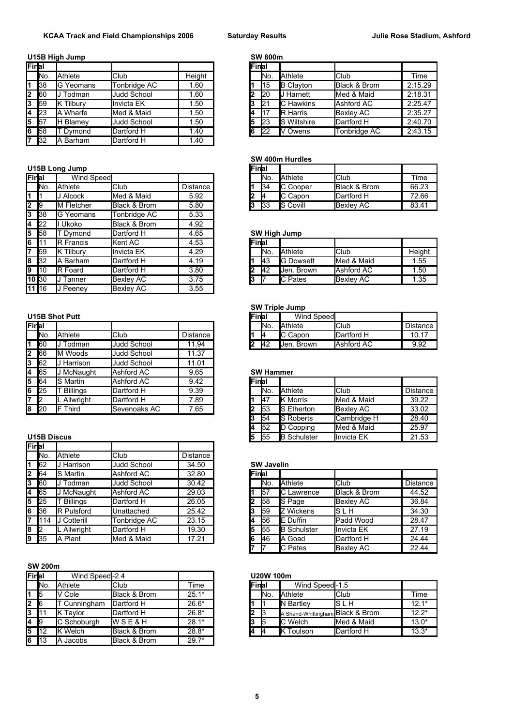## **U15B High Jump SW 800**

| Final              |           |                  |                    |        | <b>IFinal</b> |                 |                     |                         |         |
|--------------------|-----------|------------------|--------------------|--------|---------------|-----------------|---------------------|-------------------------|---------|
|                    | No.       | Athlete          | <b>Club</b>        | Height |               | IN <sub>o</sub> | <b>Athlete</b>      | <b>Club</b>             | Time    |
| $\overline{1}$     | <b>38</b> | <b>G</b> Yeomans | Tonbridge AC       | .60    |               | <b>I</b> 15     | <b>B</b> Clayton    | <b>Black &amp; Brom</b> | 2:15.29 |
| $\overline{2}$     | 60        | Todman           | Judd School        | .60    |               | 120             | <b>IJ Harnett</b>   | Med & Maid              | 2:18.31 |
| 3                  | 59        | Tilbury          | Invicta EK         | .50    |               | 12 <sup>1</sup> | <b>IC</b> Hawkins   | Ashford AC              | 2:25.47 |
| $4 \overline{)23}$ |           | . Wharfe<br>А    | Med & Maid         | .50    |               | 117             | <b>IR Harris</b>    | <b>Bexley AC</b>        | 2:35.27 |
| $\overline{5}$     | 57        | <b>H</b> Blamev  | <b>Judd School</b> | .50    | l5            | 123             | <b>IS Wiltshire</b> | Dartford H              | 2:40.70 |
| 6                  | 58        | Dymond           | Dartford H         | .40    | 16            | 22              | V Owens             | Tonbridge AC            | 2:43.15 |
| 7                  | 32        | Barham<br>A      | Dartford H         | . 40   |               |                 |                     |                         |         |

## **U15B Long Jump**

| Final                   |                 | Wind Speed       |                  |                 |       | INo.           | Athlete             | <b>Club</b>             | Time   |
|-------------------------|-----------------|------------------|------------------|-----------------|-------|----------------|---------------------|-------------------------|--------|
|                         | IN <sub>o</sub> | Athlete          | <b>Club</b>      | <b>Distance</b> |       | 134            | C Cooper            | <b>Black &amp; Brom</b> | 66.23  |
| $\overline{\mathbf{1}}$ |                 | J Alcock         | Med & Maid       | 5.92            | 2     | 14             | C Capon             | Dartford H              | 72.66  |
| $\overline{2}$          | - 19            | M Fletcher       | Black & Brom     | 5.80            | 13    | $\mathsf{I}33$ | <b>S</b> Covill     | Bexley AC               | 83.41  |
| 3                       | <b>1</b> 38     | G Yeomans        | Tonbridge AC     | 5.33            |       |                |                     |                         |        |
| 4                       | 122             | Ukoko            | Black & Brom     | 4.92            |       |                |                     |                         |        |
| 5                       | <b>158</b>      | T Dymond         | Dartford H       | 4.65            |       |                | <b>SW High Jump</b> |                         |        |
| 6                       |                 | <b>R</b> Francis | Kent AC          | 4.53            | Final |                |                     |                         |        |
| 17                      | <b>59</b>       | <b>K</b> Tilbury | llnvicta EK      | 4.29            |       | INo.           | <b>Athlete</b>      | <b>Club</b>             | Height |
| 8                       | <b>1</b> 32     | A Barham         | Dartford H       | 4.19            |       | <b>I</b> 43    | <b>G</b> Dowsett    | Med & Maid              | 1.55   |
| l9                      | 110             | <b>R</b> Foard   | Dartford H       | 3.80            | 2     | <b>I</b> 42    | Jen. Brown          | Ashford AC              | 1.50   |
| 10 30                   |                 | <b>J</b> Tanner  | <b>Bexley AC</b> | 3.75            | l3    |                | <b>IC Pates</b>     | Bexley AC               | 1.35   |
| 11 16                   |                 | Peeney           | <b>Bexley AC</b> | 3.55            |       |                |                     |                         |        |

### **U15B Shot Putt**

| Final |               |                 |                    |          |               | INo.             | <b>Athlete</b>      | <b>Club</b>      | Distance |
|-------|---------------|-----------------|--------------------|----------|---------------|------------------|---------------------|------------------|----------|
|       | INo.          | Athlete         | Club               | Distance |               | 14               | <b>IC Capon</b>     | Dartford H       | 10.17    |
|       | 160           | Todman          | <b>Judd School</b> | 11.94    | l2            | <b>42</b>        | <b>I</b> Jen. Brown | Ashford AC       | 9.92     |
| 2     | 66            | M Woods         | <b>Judd School</b> | 11.37    |               |                  |                     |                  |          |
| 3     | 62            | Harrison        | <b>Judd School</b> | 11.01    |               |                  |                     |                  |          |
| 4     | 65            | McNaught        | Ashford AC         | 9.65     |               | <b>SW Hammer</b> |                     |                  |          |
| 5     | 64            | <b>S</b> Martin | Ashford AC         | 9.42     | <b>IFinal</b> |                  |                     |                  |          |
| 6     | 25            | <b>Billings</b> | Dartford H         | 9.39     |               | INo.             | <b>Athlete</b>      | Club             | Distance |
|       | $\mathsf{I}2$ | . Allwright     | Dartford H         | 7.89     |               | 147              | <b>IK Morris</b>    | Med & Maid       | 39.22    |
| 8     | <b>20</b>     | Third           | Sevenoaks AC       | 7.65     | l2            | 153              | <b>IS Etherton</b>  | <b>Bexley AC</b> | 33.02    |
|       |               |                 |                    |          |               |                  |                     |                  |          |

### **U15B Discus**

|   | Final         |                   |              |                 |
|---|---------------|-------------------|--------------|-----------------|
|   | INo.          | Athlete           | <b>Club</b>  | <b>Distance</b> |
|   | 62            | Harrison          | Judd School  | 34.50           |
| 2 | <b>64</b>     | S Martin          | Ashford AC   | 32.80           |
| 3 | 60            | Todman            | Judd School  | 30.42           |
| 4 | 65            | McNaught          | Ashford AC   | 29.03           |
|   | $5\vert 25$   | <b>Billings</b>   | Dartford H   | 26.05           |
| 6 | <b>1</b> 36   | <b>R</b> Pulsford | Unattached   | 25.42           |
| 7 | 1114          | Cotterill         | Tonbridge AC | 23.15           |
| 8 | $\mathsf{I}2$ | . Allwright       | Dartford H   | 19.30           |
|   | 9 35          | A Plant           | Med & Maid   | 17.21           |

#### **SW 200m**

| Final        |                 | Wind Speed-2.4 |                  |             | <b>U20W 100m</b> |              |      |                                  |               |         |
|--------------|-----------------|----------------|------------------|-------------|------------------|--------------|------|----------------------------------|---------------|---------|
|              | IN <sub>o</sub> | Athlete        | Club             | <b>Fime</b> |                  | <b>Final</b> |      | Wind Speed-1.5                   |               |         |
|              | 15              | V Cole         | Black & Brom     | $25.1*$     |                  |              | INo. | <b>Athlete</b>                   | <b>I</b> Club | Time    |
| $\mathbf{2}$ | -16             | Cunningham     | Dartford H       | $26.6*$     |                  |              |      | <b>IN Bartley</b>                | IS L H        | $12.1*$ |
| 3            |                 | Tavlor         | Dartford H       | $26.8*$     |                  |              |      | A Shand-Whittingham Black & Brom |               | $12.2*$ |
| <b>4</b> 19  |                 | C Schoburgh    | <b>WSE&amp;H</b> | $28.1*$     |                  | 3            | l5   | <b>IC</b> Welch                  | Med & Maid    | $13.0*$ |
| 5            | 112             | <b>K</b> Welch | Black & Brom     | $28.8*$     |                  | 4            |      | <b>K</b> Toulson                 | Dartford H    | $13.3*$ |
| 6            | <b>1</b> 13     | Jacobs<br>A    | Black & Brom     | $29.7*$     |                  |              |      |                                  |               |         |

|     | <b>B High Jump</b> |                    |        |         | <b>SW 800m</b> |                     |                         |         |
|-----|--------------------|--------------------|--------|---------|----------------|---------------------|-------------------------|---------|
| al  |                    |                    |        | lFinlai |                |                     |                         |         |
| No. | Athlete            | Club               | Height |         | INo.           | <b>Athlete</b>      | <b>I</b> Club           | Time    |
| 38  | IG Yeomans         | Tonbridge AC       | .60    |         | 115            | <b>B</b> Clayton    | <b>Black &amp; Brom</b> | 2:15.29 |
| 60  | Todman             | <b>Judd School</b> | .60    | 2       | <b>I</b> 20    | I Harnett           | Med & Maid              | 2:18.31 |
| 59  | Tilburv            | Invicta EK         | .50    | l3      | 121            | <b>IC</b> Hawkins   | Ashford AC              | 2:25.47 |
| 23  | Wharfe<br>A        | Med & Maid         | .50    | 14      | I17            | <b>IR Harris</b>    | Bexley AC               | 2:35.27 |
| 57  | Blamev             | Judd School        | .50    | l5      | 123            | <b>IS Wiltshire</b> | Dartford H              | 2:40.70 |
| 58  | Dymond             | Dartford H         | .40    | 16      | 122            | Owens               | Tonbridge AC            | 2:43.15 |
|     |                    |                    |        |         |                |                     |                         |         |

### **SW 400m Hurdles**

| <b>B Long Jump</b> |            |              |                 |  |   | <b>Final</b>    |                  |                   |       |
|--------------------|------------|--------------|-----------------|--|---|-----------------|------------------|-------------------|-------|
| al                 | Wind Speed |              |                 |  |   | IN <sub>o</sub> | <b>Athlete</b>   | Club              | Time  |
| No.                | Athlete    | <b>Club</b>  | <b>Distance</b> |  |   | 134             | <b>IC Cooper</b> | Black & Brom      | 66.23 |
|                    | Alcock     | Med & Maid   | 5.92            |  | L | I4              | <b>IC Capon</b>  | Dartford H        | 72.66 |
| 9                  | M Fletcher | Black & Brom | 5.80            |  |   | 133             | <b>IS Covill</b> | <b>IBexley AC</b> | 83.41 |

### **SW High Jump**

| <b>IFinal</b> |      |                  |                  |        |
|---------------|------|------------------|------------------|--------|
|               | INo. | <b>Athlete</b>   | Club             | Height |
|               | 43   | <b>G</b> Dowsett | Med & Maid       | 1.55   |
|               | I42  | Jen. Brown       | Ashford AC       | 1.50   |
| l3            |      | <b>IC Pates</b>  | <b>Bexley AC</b> | 1.35   |

#### **SW Triple Jump**

| 5B Shot Putt | <b>Final</b> |             | <b>Wind Speed</b> |  |                 |                |                     |                 |
|--------------|--------------|-------------|-------------------|--|-----------------|----------------|---------------------|-----------------|
|              |              |             |                   |  | IN <sub>o</sub> | <b>Athlete</b> | lClub               | <b>Distance</b> |
| No.          | Athlete      | 'Club       | Distance          |  | ıд              | IС<br>Capon    | <b>I</b> Dartford H | 10.17           |
| 60           | ⊺odman       | Judd School | .94<br>11         |  | 142             | Brown<br>Uen.  | <b>Ashford AC</b>   | 9.92            |

## **5W Hammer**

| 5 64   |                    | <b>S</b> Martin | Ashford AC   | 9.42 |  | Final |                 |                     |                   |                 |
|--------|--------------------|-----------------|--------------|------|--|-------|-----------------|---------------------|-------------------|-----------------|
| 6 25   |                    | <b>Billings</b> | Dartford H   | 9.39 |  |       | IN <sub>o</sub> | <b>Athlete</b>      | <b>Club</b>       | <b>Distance</b> |
|        | -12                | . Allwriaht     | Dartford H   | 7.89 |  |       | <b>1</b> 47     | <b>I</b> K Morris   | Med & Maid        | 39.22           |
| 8   20 |                    | Third<br>IF     | Sevenoaks AC | 7.65 |  |       | 153             | <b>IS Etherton</b>  | Bexley AC         | 33.02           |
|        |                    |                 |              |      |  |       | <b>154</b>      | <b>IS Roberts</b>   | Cambridge H       | 28.40           |
|        |                    |                 |              |      |  |       | 152             | D Copping           | Med & Maid        | 25.97           |
|        | <b>U15B Discus</b> |                 |              |      |  |       | 155             | <b>IB Schulster</b> | <b>Invicta EK</b> | 21.53           |

#### **SW Javelin**

| 2 64         |      | <b>S</b> Martin   | Ashford AC         | 32.80 | Final |             |                    |                         |                 |
|--------------|------|-------------------|--------------------|-------|-------|-------------|--------------------|-------------------------|-----------------|
| 3            | 60   | Todman            | <b>Judd School</b> | 30.42 |       | INo.        | <b>Athlete</b>     | <b>Club</b>             | <b>Distance</b> |
| 4            | 65   | <b>I McNaught</b> | Ashford AC         | 29.03 |       | 57          | <b>IC</b> Lawrence | <b>Black &amp; Brom</b> | 44.52           |
| $5 \quad 25$ |      | <b>Billings</b>   | Dartford H         | 26.05 |       | <b>158</b>  | <b>S</b> Page      | Bexley AC               | 36.84           |
| 6 36         |      | <b>R</b> Pulsford | Unattached         | 25.42 |       | <b>1</b> 59 | <b>Z</b> Wickens   | IS L H                  | 34.30           |
|              | 1114 | J Cotterill       | Tonbridge AC       | 23.15 |       | <b>56</b>   | <b>IE</b> Duffin   | Padd Wood               | 28.47           |
| 82           |      | L Allwright       | Dartford H         | 19.30 |       | 155         | <b>B</b> Schulster | <b>Invicta EK</b>       | 27.19           |
| 9 35         |      | Plant<br>A        | Med & Maid         | 17.21 |       | 146         | <b>IA Goad</b>     | Dartford H              | 24.44           |
|              |      |                   |                    |       |       |             | <b>IC Pates</b>    | <b>Bexley AC</b>        | 22.44           |

### **U20W 100m**

| <b>IFinal</b> |     | Wind Speed-1.5                   |            |         |
|---------------|-----|----------------------------------|------------|---------|
|               | Ν٥. | <b>Athlete</b>                   | Club       | Time    |
|               |     | N Bartley                        | ls l h     | $12.1*$ |
|               | IЗ  | A Shand-Whittingham Black & Brom |            | $12.2*$ |
|               | 15  | <b>I</b> C Welch                 | Med & Maid | $13.0*$ |
|               |     | K Toulson                        | Dartford H | $13.3*$ |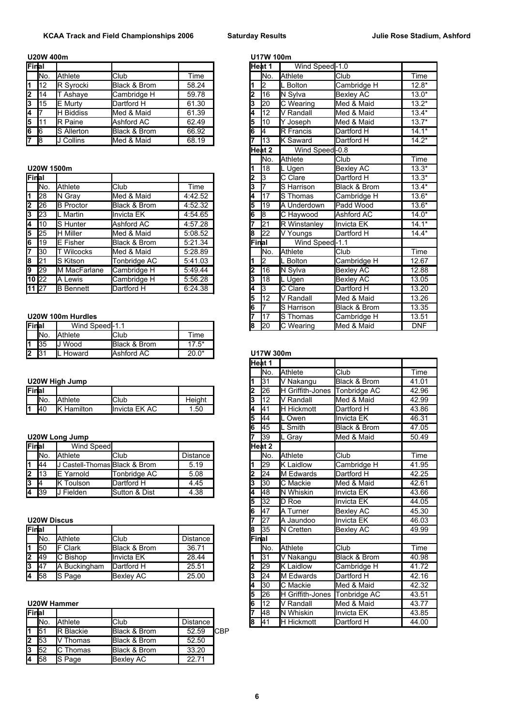|                  | U20W 400m  |                  |              |       |    | U17W 100m |                   |               |         |
|------------------|------------|------------------|--------------|-------|----|-----------|-------------------|---------------|---------|
| Final            |            |                  |              |       |    | lHeat 1   | Wind Speed-1.0    |               |         |
|                  | INo.       | Athlete          | <b>Club</b>  | 「ime  |    | INo.      | <b>Athlete</b>    | <b>I</b> Club | Time    |
| l1.              | 112        | R Syrocki        | Black & Brom | 58.24 |    |           | L Bolton          | Cambridge H   | $12.8*$ |
| 2                | 14         | Ashaye           | Cambridge H  | 59.78 | 2  | I16       | N Sylva           | Bexley AC     | $13.0*$ |
| 3                | <b>115</b> | <b>IE Murtv</b>  | Dartford H   | 61.30 | 3  | 120       | <b>C</b> Wearing  | Med & Maid    | $13.2*$ |
| $\overline{4}$ 7 |            | <b>H</b> Biddiss | Med & Maid   | 61.39 | 4  | I12       | V Randall         | Med & Maid    | $13.4*$ |
| 5                |            | <b>R</b> Paine   | Ashford AC   | 62.49 | 15 | 110       | Joseph            | Med & Maid    | $13.7*$ |
| $6 \overline{6}$ |            | S Allerton       | Black & Brom | 66.92 | l6 |           | <b>IR Francis</b> | Dartford H    | $14.1*$ |
| 17               | <b>8</b>   | J Collins        | Med & Maid   | 68.19 | 7  | 113       | . Saward<br>ΙK    | Dartford H    | $14.2*$ |

## **U20W 1500m**

| Final              |           |                  |              |         | 12.   | 13   | <b>IC Clare</b>     | Dartford H   | $13.3*$ |
|--------------------|-----------|------------------|--------------|---------|-------|------|---------------------|--------------|---------|
|                    | INo.      | Athlete          | <b>Club</b>  | Time    | 3     |      | S Harrison          | Black & Brom | $13.4*$ |
| 1                  | 128       | N Gray           | Med & Maid   | 4:42.52 | 4     | 117  | <b>I</b> S Thomas   | Cambridge H  | $13.6*$ |
| 2                  | 126       | <b>B</b> Proctor | Black & Brom | 4:52.32 | 5     | 119  | A Underdown         | Padd Wood    | $13.6*$ |
| $\overline{3}$     | 123       | L Martin         | Invicta EK   | 4:54.65 | 6     | 18   | C Haywood           | Ashford AC   | $14.0*$ |
| 4                  | 110       | <b>S</b> Hunter  | Ashford AC   | 4:57.28 |       | 121  | <b>R</b> Winstanley | Invicta EK   | $14.1*$ |
| 5                  | 125       | <b>H</b> Miller  | Med & Maid   | 5:08.52 | 8     | 22   | V Youngs            | Dartford H   | $14.4*$ |
| l6                 | 119       | <b>IE</b> Fisher | Black & Brom | 5:21.34 | Final |      | Wind Speed-1.1      |              |         |
| 17                 | <b>30</b> | <b>Wilcocks</b>  | Med & Maid   | 5:28.89 |       | INo. | <b>Athlete</b>      | Club         | Time    |
| 8                  | 121       | S Kitson         | Tonbridge AC | 5:41.03 |       | 12   | L Bolton            | Cambridge H  | 12.67   |
| l9                 | 129       | M MacFarlane     | Cambridge H  | 5:49.44 | 2     | 16   | N Sylva             | Bexley AC    | 12.88   |
| 10 22              |           | A Lewis          | Cambridge H  | 5:56.28 | 3     | 118  | L Ugen              | Bexley AC    | 13.05   |
| $11 \overline{27}$ |           | <b>B</b> Bennett | Dartford H   | 6:24.38 | 4     |      | <b>IC Clare</b>     | Dartford H   | 13.20   |
|                    |           |                  |              |         |       |      |                     |              |         |

#### **U20W 100m Hurdles**

| lFinlal |                   | Wind Speed-1.1 |              |         | 18 | I20       | :Wearing<br>r | Med & Maid | DNF |
|---------|-------------------|----------------|--------------|---------|----|-----------|---------------|------------|-----|
|         | INo.              | Athlete        | <b>IClub</b> | Time    |    |           |               |            |     |
| l4.     | $\sqrt{2}$<br>IJС | Wood           | Black & Brom | $7.5*$  |    |           |               |            |     |
| l2      |                   | L Howard       | Ashford AC   | $20.0*$ |    | U17W 300m |               |            |     |

### **U20W High Jump**

| lFinlal |            |                  |               |        |   | I26      | Griffith-Jones<br>IΗ | Tonbridge AC           | 42.96 |
|---------|------------|------------------|---------------|--------|---|----------|----------------------|------------------------|-------|
|         | INo.       | Athlete          | <b>Club</b>   | Height |   | 142<br>. | Randall<br>N         | & Maid<br><b>I</b> Med | 42.99 |
| 14      | <b>140</b> | Hamilton<br>IK H | Invicta EK AC | .50    | и | ۱4٬      | Hickmott<br>ℍ        | Dartford H             | 43.86 |

### **U20W Long Jump**

| Final |           | Wind Speed                  |               |          |    | lHeat 2         |                   |                   |       |
|-------|-----------|-----------------------------|---------------|----------|----|-----------------|-------------------|-------------------|-------|
|       | INo.      | Athlete                     | Club          | Distance |    | IN <sub>o</sub> | <b>Athlete</b>    | <b>I</b> Club     | Time  |
|       | <b>44</b> | Castell-Thomas Black & Brom |               | 5.19     |    | 129             | <b>IK</b> Laidlow | Cambridge H       | 41.95 |
|       | 113       | Yarnold<br>IE.              | Tonbridae AC  | 5.08     |    | 124             | <b>IM Edwards</b> | Dartford H        | 42.25 |
|       | 14        | K Toulson                   | Dartford H    | 4.45     |    | 130             | <b>IC</b> Mackie  | Med & Maid        | 42.61 |
|       | 139       | Fielden                     | Sutton & Dist | 4.38     | 14 | 148             | <b>IN Whiskin</b> | <b>Invicta EK</b> | 43.66 |

#### **U20W Discus**

| Final       |                 |                 |                  |          | l8           | 135  | <b>IN</b> Cretten | <b>Bexley AC</b>   | 49.99 |
|-------------|-----------------|-----------------|------------------|----------|--------------|------|-------------------|--------------------|-------|
|             | IN <sub>o</sub> | Athlete         | <b>Club</b>      | Distance | <b>Final</b> |      |                   |                    |       |
| l1          | <b>150</b>      | <b>IF Clark</b> | Black & Brom     | 36.71    |              | INo. | <b>Athlete</b>    | lClub              | Time  |
| $2 \mid 49$ |                 | C Bishop        | Invicta EK       | 28.44    |              | 131  | IV Nakangu        | Black & Brom       | 40.98 |
| 3           | - 147           | A Buckingham    | Dartford H       | 25.51    |              | I29  | Laidlow<br>ΙK     | <b>Cambridge H</b> | 41.72 |
| 4           | <b>1</b> 58     | <b>S</b> Page   | <b>Bexley AC</b> | 25.00    | J            | 124  | <b>IM Edwards</b> | Dartford H         | 42.16 |

### **U20W Hammer**

| Final |            |                  |                         |          |             |    | 148             | <b>IN Whiskin</b>  | <b>Ilnvicta EK</b> | 43.85 |
|-------|------------|------------------|-------------------------|----------|-------------|----|-----------------|--------------------|--------------------|-------|
|       | INo.       | Athlete          | Club                    | Distance |             | 18 | 14 <sup>1</sup> | <b>IH Hickmott</b> | Dartford H         | 44.00 |
|       | 151        | <b>R</b> Blackie | Black & Brom            | 52.59    | <b>ICBP</b> |    |                 |                    |                    |       |
|       | 153        | Thomas           | Black & Brom            | 52.50    |             |    |                 |                    |                    |       |
|       | 152        | Thomas           | <b>Black &amp; Brom</b> | 33.20    |             |    |                 |                    |                    |       |
| 4     | <b>158</b> | S Page           | <b>Bexley AC</b>        | 22.71    |             |    |                 |                    |                    |       |

| al              |                   |              |         | Heat 1 |                 | Wind Speed-1.0      |                         |            |
|-----------------|-------------------|--------------|---------|--------|-----------------|---------------------|-------------------------|------------|
| No.             | Athlete           | Club         | Time    |        | No.             | <b>Athlete</b>      | Club                    | Time       |
| $\overline{12}$ | R Syrocki         | Black & Brom | 58.24   |        | 2               | L Bolton            | Cambridge H             | $12.8*$    |
| $\overline{14}$ | T Ashaye          | Cambridge H  | 59.78   | 2      | 16              | N Sylva             | <b>Bexley AC</b>        | $13.0*$    |
| 15              | E Murtv           | Dartford H   | 61.30   | 3      | 20              | C Wearing           | Med & Maid              | $13.2*$    |
| $\overline{7}$  | <b>H</b> Biddiss  | Med & Maid   | 61.39   | 4      | 12              | V Randall           | Med & Maid              | $13.4*$    |
| $\overline{11}$ | <b>R</b> Paine    | Ashford AC   | 62.49   | 5      | 10              | Y Joseph            | Med & Maid              | $13.7*$    |
| $\overline{6}$  | S Allerton        | Black & Brom | 66.92   | 6      | l4              | <b>R</b> Francis    | Dartford H              | $14.1*$    |
| 8               | J Collins         | Med & Maid   | 68.19   |        | 13              | <b>I</b> K Saward   | Dartford H              | $14.2*$    |
|                 |                   |              |         |        | Heat 2          | Wind Speed-0.8      |                         |            |
|                 |                   |              |         |        | lNo.            | Athlete             | Club                    | Time       |
| W 1500m         |                   |              |         |        | 18              | L Ugen              | <b>Bexley AC</b>        | $13.3*$    |
| al              |                   |              |         | 2      | 3               | C Clare             | Dartford H              | $13.3*$    |
| No.             | Athlete           | Club         | Time    | 3      |                 | S Harrison          | Black & Brom            | $13.4*$    |
| $\overline{28}$ | N Gray            | Med & Maid   | 4:42.52 | 4      | 17              | S Thomas            | Cambridge H             | $13.6*$    |
| $\overline{26}$ | <b>B</b> Proctor  | Black & Brom | 4:52.32 | 5      | 19              | <b>A Underdown</b>  | Padd Wood               | $13.6*$    |
| 23              | L Martin          | Invicta EK   | 4:54.65 | 6      | 8               | C Haywood           | Ashford AC              | $14.0*$    |
| $\overline{10}$ | S Hunter          | Ashford AC   | 4:57.28 |        | $\overline{21}$ | <b>R</b> Winstanlev | Invicta EK              | $14.1*$    |
| $\overline{25}$ | <b>H</b> Miller   | Med & Maid   | 5:08.52 | 8      | $\overline{22}$ | V Youngs            | Dartford H              | $14.4*$    |
| $\overline{19}$ | <b>E</b> Fisher   | Black & Brom | 5:21.34 | Final  |                 | Wind Speed-1.1      |                         |            |
| $\overline{30}$ | <b>T</b> Wilcocks | Med & Maid   | 5:28.89 |        | No.             | Athlete             | Club                    | Time       |
| $\overline{21}$ | S Kitson          | Tonbridge AC | 5:41.03 |        | 2               | L Bolton            | Cambridge H             | 12.67      |
| $\overline{29}$ | M MacFarlane      | Cambridge H  | 5.49.44 | 2      | 16              | N Sylva             | <b>Bexley AC</b>        | 12.88      |
| $\overline{22}$ | A Lewis           | Cambridge H  | 5:56.28 | 3      | 18              | L Ugen              | <b>Bexley AC</b>        | 13.05      |
| $\overline{27}$ | <b>B</b> Bennett  | Dartford H   | 6:24.38 | 4      | 3               | C Clare             | Dartford H              | 13.20      |
|                 |                   |              |         | 5      | 12              | V Randall           | Med & Maid              | 13.26      |
|                 |                   |              |         | 6      |                 | S Harrison          | <b>Black &amp; Brom</b> | 13.35      |
| W 100m Hurdles  |                   |              |         | 17     | S Thomas        | Cambridge H         | 13.51                   |            |
| al              | Wind Speed-1.1    |              |         | 18     | 20              | C Wearing           | <b>I</b> Med & Maid     | <b>DNF</b> |
|                 |                   |              |         |        |                 |                     |                         |            |

### 31 L Howard Ashford AC 20.0\* **U17W 300m**

|                 |                               |                         |                 |   | Heat 1          |                         |                   |       |
|-----------------|-------------------------------|-------------------------|-----------------|---|-----------------|-------------------------|-------------------|-------|
|                 |                               |                         |                 |   | lNo.            | Athlete                 | Club              | Time  |
|                 | W High Jump                   |                         |                 |   | 31              | V Nakangu               | Black & Brom      | 41.01 |
| al              |                               |                         |                 | 2 | 26              | <b>H</b> Griffith-Jones | Tonbridge AC      | 42.96 |
| No.             | Athlete                       | Club                    | Height          | 3 | 12              | V Randall               | Med & Maid        | 42.99 |
| 40              | <b>K</b> Hamilton             | Invicta EK AC           | 1.50            | 4 | 41              | <b>H</b> Hickmott       | Dartford H        | 43.86 |
|                 |                               |                         |                 | 5 | 44              | L Owen                  | <b>Invicta EK</b> | 46.31 |
|                 |                               |                         |                 | 6 | 45              | Smith                   | Black & Brom      | 47.05 |
|                 | W Long Jump                   |                         |                 |   | 39              | L Grav                  | Med & Maid        | 50.49 |
| al              | Wind Speed                    |                         |                 |   | Heat 2          |                         |                   |       |
| No.             | Athlete                       | Club                    | <b>Distance</b> |   | lNo.            | <b>Athlete</b>          | Club              | Time  |
| 44              | J Castell-Thomas Black & Brom |                         | 5.19            | 1 | l29             | <b>K</b> Laidlow        | Cambridge H       | 41.95 |
| $\overline{13}$ | E Yarnold                     | Tonbridge AC            | 5.08            | 2 | 24              | M Edwards               | Dartford H        | 42.25 |
| 4               | <b>K</b> Toulson              | Dartford H              | 4.45            | 3 | 130             | C Mackie                | Med & Maid        | 42.61 |
| $\overline{39}$ | J Fielden                     | Sutton & Dist           | 4.38            | 4 | 48              | N Whiskin               | Invicta EK        | 43.66 |
|                 |                               |                         |                 | 5 | 32              | <b>I</b> D Roe          | <b>Invicta EK</b> | 44.05 |
|                 |                               |                         |                 | 6 | 47              | A Turner                | <b>Bexley AC</b>  | 45.30 |
| W Discus        |                               |                         |                 |   | $\overline{27}$ | <b>I</b> A Jaundoo      | <b>Invicta EK</b> | 46.03 |
| al              |                               |                         |                 | 8 | 35              | <b>IN Cretten</b>       | <b>Bexley AC</b>  | 49.99 |
| No.             | Athlete                       | Club                    | <b>Distance</b> |   | Final           |                         |                   |       |
| $\overline{50}$ | <b>F</b> Clark                | <b>Black &amp; Brom</b> | 36.71           |   | lNo.            | <b>Athlete</b>          | Club              | Time  |
| 49              | C Bishop                      | Invicta EK              | 28.44           | 1 | 31              | V Nakangu               | Black & Brom      | 40.98 |
| 47              | A Buckingham                  | Dartford H              | 25.51           | 2 | $\overline{29}$ | <b>K</b> Laidlow        | Cambridge H       | 41.72 |
| $\overline{58}$ | S Page                        | <b>Bexley AC</b>        | 25.00           | 3 | 24              | M Edwards               | Dartford H        | 42.16 |
|                 |                               |                         |                 | 4 | 130             | C Mackie                | Med & Maid        | 42.32 |
|                 |                               |                         |                 | 5 | l26             | <b>H</b> Griffith-Jones | Tonbridge AC      | 43.51 |
|                 | W Hammer                      |                         |                 | 6 | 12              | V Randall               | Med & Maid        | 43.77 |
| al              |                               |                         |                 |   | 48              | <b>I</b> N Whiskin      | <b>Invicta EK</b> | 43.85 |
| No.             | Athlete                       | Club                    | <b>Distance</b> | 8 | 41              | <b>H</b> Hickmott       | Dartford H        | 44.00 |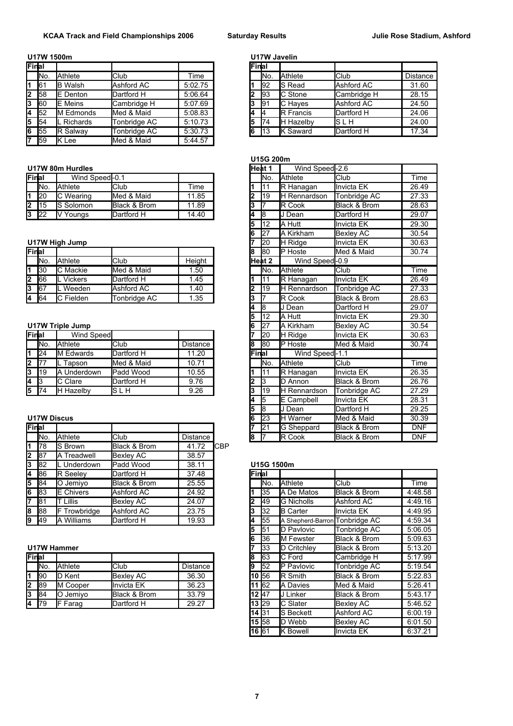## **U17W 1500m U17W Javelin**

| Final             |           |                   |              |         | Final |      |                   |                      |         |
|-------------------|-----------|-------------------|--------------|---------|-------|------|-------------------|----------------------|---------|
|                   | INo.      | Athlete           | Club         | Time    |       | INo. | <b>Athlete</b>    | <b>Club</b>          | Distand |
| 1 61              |           | <b>B</b> Walsh    | Ashford AC   | 5:02.75 |       | 192  | <b>IS Read</b>    | Ashford AC           | 31.60   |
| $2 \overline{58}$ |           | <b>IE</b> Denton  | Dartford H   | 5:06.64 | 2     | 93   | <b>IC</b> Stone   | <b>I</b> Cambridge H | 28.15   |
| 3 60              |           | <b>IE</b> Meins   | Cambridge H  | 5:07.69 | 3     | 91   | <b>C</b> Haves    | Ashford AC           | 24.50   |
| $4 \, 52$         |           | M Edmonds         | Med & Maid   | 5:08.83 | 4     |      | <b>IR Francis</b> | Dartford H           | 24.06   |
| 5                 | - 154     | <b>L</b> Richards | Tonbridge AC | 5:10.73 | 5     | 174  | <b>H</b> Hazelby  | ls l h               | 24.00   |
|                   | $6 \, 55$ | <b>IR Salway</b>  | Tonbridge AC | 5:30.73 | 6     | 113  | Saward            | Dartford H           | 17.34   |
| 7 59              |           | IK Lee            | Med & Maid   | 5:44.57 |       |      |                   |                      |         |

## **U17W 80m Hurdles**

| Final  |            | Wind Speed-0.1   |              |       |    | INo. | <b>Athlete</b>       | Club                    | Time  |
|--------|------------|------------------|--------------|-------|----|------|----------------------|-------------------------|-------|
|        | INo.       | Athlete          | <b>Club</b>  | Time  |    |      | <b>IR Hanagan</b>    | <b>Ilnvicta EK</b>      | 26.49 |
| l1 I20 |            | Wearing          | Med & Maid   | .85   |    | 119  | <b>IH Rennardson</b> | <b>ITonbridge AC</b>    | 27.33 |
| l2     | <b>115</b> | <b>S</b> Solomon | Black & Brom | .89   |    |      | <b>IR Cook</b>       | <b>Black &amp; Brom</b> | 28.63 |
| 3 22   |            | <b>N</b> Youngs  | Dartford H   | 14.40 | 14 | 18   | Dean                 | Dartford H              | 29.07 |

## **U17W High Jump**

| Final          |      |                |              |        | 18 | <b>1</b> 80 | <b>IP</b> Hoste      | Med & Maid              | 30.74 |
|----------------|------|----------------|--------------|--------|----|-------------|----------------------|-------------------------|-------|
|                | INo. | Athlete        | <b>Club</b>  | Height |    | lHeat 2     | Wind Speed-0.9       |                         |       |
| <b>11 1</b> 30 |      | C Mackie       | Med & Maid   | .50    |    | INo.        | <b>Athlete</b>       | <b>I</b> Club           | Time  |
| 2 66           |      | <b>Vickers</b> | Dartford H   | .45    |    |             | <b>IR Hanagan</b>    | <b>Invicta EK</b>       | 26.49 |
| 3 67           |      | Weeden         | Ashford AC   | .40    |    | 119         | <b>IH Rennardson</b> | Tonbridge AC            | 27.33 |
| <b>4 64</b>    |      | C Fielden      | Tonbridae AC | .35    | J  |             | <b>IR Cook</b>       | <b>Black &amp; Brom</b> | 28.63 |

### **U17W Triple Jump**

| Final           | Wind Speed       |                                             |                                                                       |  | <b>I</b> 20 | <b>IH Ridge</b>                          | <b>Invicta EK</b>                                                                                | 30.63                                                                                                           |
|-----------------|------------------|---------------------------------------------|-----------------------------------------------------------------------|--|-------------|------------------------------------------|--------------------------------------------------------------------------------------------------|-----------------------------------------------------------------------------------------------------------------|
| IN <sub>o</sub> |                  |                                             | Distance                                                              |  |             |                                          |                                                                                                  | 30.74                                                                                                           |
| 124             |                  |                                             | 11.20                                                                 |  |             |                                          |                                                                                                  |                                                                                                                 |
| <b>1</b> 77     | Tapson           |                                             | 10.71                                                                 |  |             |                                          |                                                                                                  | Time                                                                                                            |
| 119             | <b>Underdown</b> |                                             | 10.55                                                                 |  |             |                                          |                                                                                                  | 26.35                                                                                                           |
| -13             |                  |                                             | 9.76                                                                  |  |             |                                          |                                                                                                  | 26.76                                                                                                           |
| 174             | <b>Hazelby</b>   |                                             | 9.26                                                                  |  |             |                                          |                                                                                                  | 27.29                                                                                                           |
|                 |                  | Athlete<br>M Edwards<br>ΙA<br>C Clare<br>IΗ | Club<br>Dartford H<br>Med & Maid<br>Padd Wood<br>Dartford H<br>IS L H |  | 18<br>13    | 180<br>lFinlal<br>IN <sub>o</sub><br>119 | <b>IP</b> Hoste<br><b>Athlete</b><br><b>R</b> Hanagan<br><b>ID</b> Annon<br><b>IH Rennardson</b> | Med & Maid<br>Wind Speed-1.1<br><b>I</b> Club<br><b>I</b> Invicta EK<br><b>Black &amp; Brom</b><br>Tonbridge AC |

## **U17W Discus**

| Final        |      |                  |              |          |            |       | 121         | <b>G</b> Sheppard              | <b>Black &amp; Brom</b> | <b>DNF</b> |
|--------------|------|------------------|--------------|----------|------------|-------|-------------|--------------------------------|-------------------------|------------|
|              | INo. | Athlete          | Club         | Distance |            | 18    |             | <b>IR Cook</b>                 | <b>Black &amp; Brom</b> | <b>DNF</b> |
|              | 178  | S Brown          | Black & Brom | 41.72    | <b>CBP</b> |       |             |                                |                         |            |
| $\mathbf{2}$ | 87   | A Treadwell      | Bexley AC    | 38.57    |            |       |             |                                |                         |            |
| 3            | 82   | L Underdown      | Padd Wood    | 38.11    |            |       | U15G 1500m  |                                |                         |            |
| 4            | 86   | R Seeley         | Dartford H   | 37.48    |            | Final |             |                                |                         |            |
| 5            | 84   | O Jemivo         | Black & Brom | 25.55    |            |       | INo.        | <b>Athlete</b>                 | <b>Club</b>             | Time       |
| 6            | 83   | <b>E</b> Chivers | Ashford AC   | 24.92    |            |       | 135         | <b>A</b> De Matos              | <b>Black &amp; Brom</b> | 4:48.58    |
| 7            | 81   | Lillis           | Bexley AC    | 24.07    |            |       | <b>I</b> 49 | <b>IG Nicholls</b>             | Ashford AC              | 4:49.16    |
| 8            | 88   | Trowbridge<br>IF | Ashford AC   | 23.75    |            | 3     | 132         | <b>IB Carter</b>               | Ilnvicta EK             | 4:49.95    |
| 9            | 49   | Williams<br>IΑ   | Dartford H   | 19.93    |            | 4     | <b>55</b>   | A Shepherd-Barron Tonbridge AC |                         | 4:59.34    |
|              |      |                  |              |          |            |       |             |                                |                         |            |

### **U17W Hammer**

| Final |             |                  |                  |          | 18 | 163         | <b>IC</b> Ford     | <b>I</b> Cambridge H    | 5:17.99 |
|-------|-------------|------------------|------------------|----------|----|-------------|--------------------|-------------------------|---------|
|       | INo.        | Athlete          | <b>Club</b>      | Distance | 19 | 152         | <b>IP Pavlovic</b> | Tonbridge AC            | 5:19.54 |
| I1.   | <b>1</b> 90 | Kent<br>ID       | <b>Bexley AC</b> | 36.30    |    | 10 156      | <b>IR Smith</b>    | <b>Black &amp; Brom</b> | 5:22.83 |
| 2 89  |             | <b>IM Cooper</b> | Invicta EK       | 36.23    |    | 111 162     | <b>IA Davies</b>   | Med & Maid              | 5:26.41 |
| 13    | 84          | Jemivo           | Black & Brom     | 33.79    |    | $112$ $147$ | Linker             | <b>Black &amp; Brom</b> | 5:43.17 |
| I4    | - 179       | <b>F</b> Farag   | Dartford H       | 29.27    |    | 113 29      | <b>IC Slater</b>   | Bexley AC               | 5:46.52 |

| INUUCI VV |                      |              |         |         | U I I VY JAVEIIII |                   |             |                 |
|-----------|----------------------|--------------|---------|---------|-------------------|-------------------|-------------|-----------------|
| al        |                      |              |         | lFinlal |                   |                   |             |                 |
| No.       | Athlete              | Club         | Time    |         | INo.              | <b>Athlete</b>    | <b>Club</b> | <b>Distance</b> |
| 61        | Walsh<br>IB          | Ashford AC   | 5:02.75 |         | 192               | <b>IS Read</b>    | Ashford AC  | 31.60           |
| 58        | E Denton             | Dartford H   | 5:06.64 |         | 193               | <b>IC</b> Stone   | Cambridge H | 28.15           |
| 60        | <b>E</b> Meins       | Cambridge H  | 5:07.69 | 3       | 191               | <b>IC</b> Haves   | Ashford AC  | 24.50           |
| 52        | <b>Edmonds</b><br>IΜ | Med & Maid   | 5:08.83 | 4       | 14                | <b>IR Francis</b> | Dartford H  | 24.06           |
| 54        | Richards             | Tonbridge AC | 5:10.73 | 5       | 174               | <b>H</b> Hazelby  | ls l h      | 24.00           |
| 55        | Salwav<br>R          | Tonbridge AC | 5:30.73 | l6      | 113               | <b>IK Saward</b>  | Dartford H  | 17.34           |
|           |                      |              |         |         |                   |                   |             |                 |

## **U15G 200m**

|                 | W 80m Hurdles          |               |                    |      |        | Heat 1          | Wind Speed-2.6               |                   |            |
|-----------------|------------------------|---------------|--------------------|------|--------|-----------------|------------------------------|-------------------|------------|
| al              | Wind Speed-0.1         |               |                    |      |        | lNo.            | Athlete                      | Club              | Time       |
| No.             | <b>Athlete</b>         | Club          | Time               |      | 1      | 11              | R Hanagan                    | <b>Invicta EK</b> | 26.49      |
| 20              | $\overline{C}$ Wearing | Med & Maid    | 11.85              |      | 2      | 19              | <b>H</b> Rennardson          | Tonbridge AC      | 27.33      |
| $\overline{15}$ | <b>S</b> Solomon       | Black & Brom  | 11.89              |      | 3      | 7               | $\overline{\mathsf{R}}$ Cook | Black & Brom      | 28.63      |
| 22              | V Youngs               | Dartford H    | 14.40              |      | 4      | l8              | J Dean                       | Dartford H        | 29.07      |
|                 |                        |               |                    |      | 5      | 12              | A Hutt                       | Invicta EK        | 29.30      |
|                 |                        |               |                    |      | 6      | 27              | A Kirkham                    | <b>Bexley AC</b>  | 30.54      |
|                 | W High Jump            |               |                    |      |        | 20              | H Ridge                      | <b>Invicta EK</b> | 30.63      |
| al              |                        |               |                    |      | 8      | l80             | <b>P</b> Hoste               | Med & Maid        | 30.74      |
| No.             | Athlete                | Club          | Height             |      |        | Heat 2          | Wind Speed-0.9               |                   |            |
| $\overline{30}$ | C Mackie               | Med & Maid    | 1.50               |      |        | lNo.            | Athlete                      | Club              | Time       |
| 66              | L Vickers              | Dartford H    | 1.45               |      | 1      | 11              | R Hanagan                    | <b>Invicta EK</b> | 26.49      |
| $\overline{67}$ | L Weeden               | Ashford AC    | 1.40               |      | 2      | 19              | <b>H</b> Rennardson          | Tonbridge AC      | 27.33      |
| 64              | C Fielden              | Tonbridge AC  | 1.35               |      | 3      |                 | R Cook                       | Black & Brom      | 28.63      |
|                 |                        |               |                    |      | 4      | l8              | J Dean                       | Dartford H        | 29.07      |
|                 |                        |               |                    |      | 5      | $\overline{12}$ | A Hutt                       | <b>Invicta EK</b> | 29.30      |
|                 | W Triple Jump          |               |                    |      | 6      | 27              | A Kirkham                    | <b>Bexlev AC</b>  | 30.54      |
| al              | <b>Wind Speed</b>      |               |                    |      |        | 20              | H Ridge                      | <b>Invicta EK</b> | 30.63      |
| No.             | Athlete                | Club          | <b>Distance</b>    |      | 8      | 180             | <b>P</b> Hoste               | Med & Maid        | 30.74      |
| $\overline{24}$ | M Edwards              | Dartford H    | 11.20              |      | Finlal |                 | Wind Speed-1.1               |                   |            |
| $\overline{77}$ | L Tapson               | Med & Maid    | 10.71              |      |        | lΝo.            | Athlete                      | Club              | Time       |
| 19              | A Underdown            | Padd Wood     | 10.55              |      | 1      | 11              | R Hanagan                    | <b>Invicta EK</b> | 26.35      |
| 3               | C Clare                | Dartford H    | 9.76               |      | 2      | l3              | D Annon                      | Black & Brom      | 26.76      |
| 74              | H Hazelby              | <b>SLH</b>    | 9.26               |      | 3      | 19              | <b>H</b> Rennardson          | Tonbridge AC      | 27.29      |
|                 |                        |               |                    |      | 4      | 5               | <b>E</b> Campbell            | <b>Invicta EK</b> | 28.31      |
|                 |                        |               |                    |      | 5      | l8              | J Dean                       | Dartford H        | 29.25      |
|                 | W Discus               |               |                    |      | 6      | $\overline{23}$ | <b>I</b> H Warner            | Med & Maid        | 30.39      |
| al              |                        |               |                    |      |        | $\overline{21}$ | G Sheppard                   | Black & Brom      | <b>DNF</b> |
| No.             | Athlete                | Club          | <b>Distance</b>    |      | 18     | 17              | R Cook                       | Black & Brom      | <b>DNF</b> |
| $\overline{20}$ | $n_{\text{max}}$       | Digel: 0 Dram | $\overline{11.70}$ | lonn |        |                 |                              |                   |            |

#### 82 L Underdown Padd Wood 38.11 **U15G 1500m**

| 86  | <b>R</b> Seeley  | Dartford H       | 37.48           | Final |      |                                |                     |         |
|-----|------------------|------------------|-----------------|-------|------|--------------------------------|---------------------|---------|
| 84  | O Jemiyo         | Black & Brom     | 25.55           |       | INo. | <b>Athlete</b>                 | Club                | Time    |
| 83  | <b>E</b> Chivers | Ashford AC       | 24.92           |       | 35   | <b>IA De Matos</b>             | Black & Brom        | 4:48.58 |
| 81  | T Lillis         | Bexley AC        | 24.07           | 2     | 49   | <b>G</b> Nicholls              | Ashford AC          | 4:49.16 |
| 88  | F Trowbridge     | Ashford AC       | 23.75           | 3     | 32   | <b>B</b> Carter                | Invicta EK          | 4:49.95 |
| 49  | A Williams       | Dartford H       | 19.93           | 4     | 55   | A Shepherd-Barron Tonbridge AC |                     | 4:59.34 |
|     |                  |                  |                 | 5     | 51   | <b>ID Pavlovic</b>             | Tonbridge AC        | 5:06.05 |
|     |                  |                  |                 | 6     | 36   | <b>IM Fewster</b>              | Black & Brom        | 5:09.63 |
|     | <b>W Hammer</b>  |                  |                 |       | 33   | D Critchley                    | Black & Brom        | 5:13.20 |
| al  |                  |                  |                 | 18    | 63   | C Ford                         | Cambridge H         | 5:17.99 |
| No. | Athlete          | <b>Club</b>      | <b>Distance</b> | 9     | 52   | <b>IP Pavlovic</b>             | Tonbridge AC        | 5:19.54 |
| 90  | D Kent           | <b>Bexley AC</b> | 36.30           | 10 56 |      | <b>IR Smith</b>                | Black & Brom        | 5:22.83 |
| 89  | M Cooper         | llnvicta EK      | 36.23           | 11 62 |      | A Davies                       | <b>I</b> Med & Maid | 5:26.41 |
| 84  | O Jemiyo         | Black & Brom     | 33.79           | 12 47 |      | <b>J Linker</b>                | Black & Brom        | 5:43.17 |
| 79  | $F$ Farag        | Dartford H       | 29.27           | 13 29 |      | C Slater                       | <b>Bexley AC</b>    | 5:46.52 |
|     |                  |                  |                 | 14 31 |      | <b>S</b> Beckett               | Ashford AC          | 6:00.19 |
|     |                  |                  |                 | 15 58 |      | <b>D</b> Webb                  | <b>Bexley AC</b>    | 6:01.50 |
|     |                  |                  |                 | 16 61 |      | <b>I</b> K Bowell              | Invicta EK          | 6:37.21 |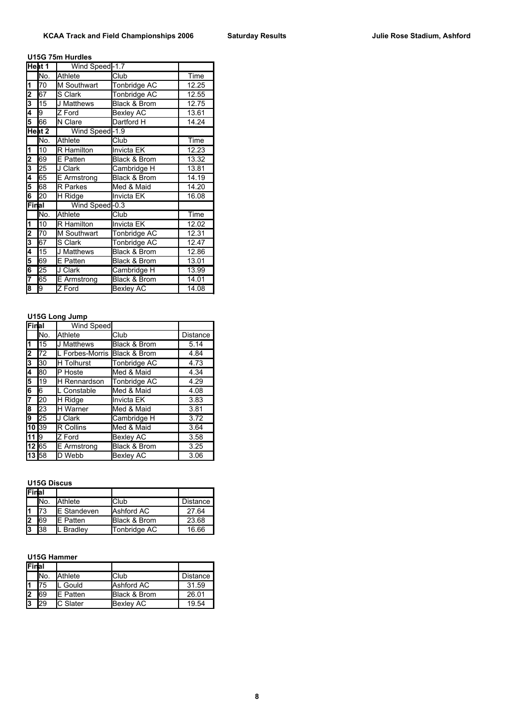### **U15G 75m Hurdles**

|                         | Heat 1 | Wind Speed-1.7    |                         |       |
|-------------------------|--------|-------------------|-------------------------|-------|
|                         | No.    | Athlete           | Club                    | Time  |
| $\vert$ 1               | 70     | M Southwart       | Tonbridge AC            | 12.25 |
| 2                       | 67     | S Clark           | Tonbridge AC            | 12.55 |
| 3                       | 15     | J Matthews        | <b>Black &amp; Brom</b> | 12.75 |
| 4                       | 9      | Z Ford            | <b>Bexley AC</b>        | 13.61 |
| 5                       | 66     | N Clare           | Dartford H              | 14.24 |
|                         | Heat 2 | Wind Speed-1.9    |                         |       |
|                         | No.    | Athlete           | Club                    | Time  |
| $\overline{\mathbf{1}}$ | 10     | <b>R</b> Hamilton | Invicta EK              | 12.23 |
| 2                       | 69     | <b>E</b> Patten   | Black & Brom            | 13.32 |
| 3                       | 25     | J Clark           | Cambridge H             | 13.81 |
| 4                       | 65     | E Armstrong       | Black & Brom            | 14.19 |
| 5                       | 68     | <b>R</b> Parkes   | Med & Maid              | 14.20 |
| 6                       | 20     | H Ridge           | Invicta EK              | 16.08 |
| Final                   |        | Wind Speed-0.3    |                         |       |
|                         | No.    | Athlete           | Club                    | Time  |
| $\overline{\mathbf{1}}$ | 10     | <b>R</b> Hamilton | Invicta EK              | 12.02 |
| 2                       | 70     | M Southwart       | Tonbridge AC            | 12.31 |
| 3                       | 67     | S Clark           | Tonbridge AC            | 12.47 |
| 4                       | 15     | <b>J Matthews</b> | Black & Brom            | 12.86 |
| 5                       | 69     | E Patten          | <b>Black &amp; Brom</b> | 13.01 |
| 6                       | 25     | J Clark           | Cambridge H             | 13.99 |
| 7                       | 65     | E Armstrong       | <b>Black &amp; Brom</b> | 14.01 |
| 8                       | 9      | Z Ford            | <b>Bexley AC</b>        | 14.08 |

## **U15G Long Jump**

| Final |     | Wind Speed                   |                         |          |
|-------|-----|------------------------------|-------------------------|----------|
|       | No. | Athlete                      | Club                    | Distance |
| l1    | 15  | <b>J</b> Matthews            | <b>Black &amp; Brom</b> | 5.14     |
| 2     | 72  | L Forbes-Morris Black & Brom |                         | 4.84     |
| 3     | 30  | <b>H</b> Tolhurst            | <b>Tonbridge AC</b>     | 4.73     |
| 4     | 80  | P Hoste                      | Med & Maid              | 4.34     |
| 5     | 19  | <b>H</b> Rennardson          | Tonbridge AC            | 4.29     |
| 6     | 6   | L Constable                  | Med & Maid              | 4.08     |
| 7     | 20  | H Ridge                      | Invicta EK              | 3.83     |
| 8     | 23  | <b>H</b> Warner              | Med & Maid              | 3.81     |
| 9     | 25  | J Clark                      | Cambridge H             | 3.72     |
| 10 39 |     | R Collins                    | Med & Maid              | 3.64     |
| 11 9  |     | Z Ford                       | <b>Bexley AC</b>        | 3.58     |
| 12 65 |     | E Armstrong                  | <b>Black &amp; Brom</b> | 3.25     |
| 13 58 |     | D Webb                       | <b>Bexley AC</b>        | 3.06     |

#### **U15G Discus**

| Final |      |                    |              |          |
|-------|------|--------------------|--------------|----------|
|       | INo. | Athlete            | Club         | Distance |
|       | 173  | <b>E</b> Standeven | Ashford AC   | 27.64    |
| l2    | 69   | <b>IE</b> Patten   | Black & Brom | 23.68    |
| l3    | 138  | . Bradley          | Tonbridge AC | 16.66    |

#### **U15G Hammer**

| <b>Final</b> |                 |                  |                  |                 |
|--------------|-----------------|------------------|------------------|-----------------|
|              | IN <sub>o</sub> | Athlete          | Club             | <b>Distance</b> |
|              | 75              | . Gould          | Ashford AC       | 31.59           |
| l2           | 69              | <b>IE</b> Patten | Black & Brom     | 26.01           |
| l3           | 29              | <b>C</b> Slater  | <b>Bexley AC</b> | 19.54           |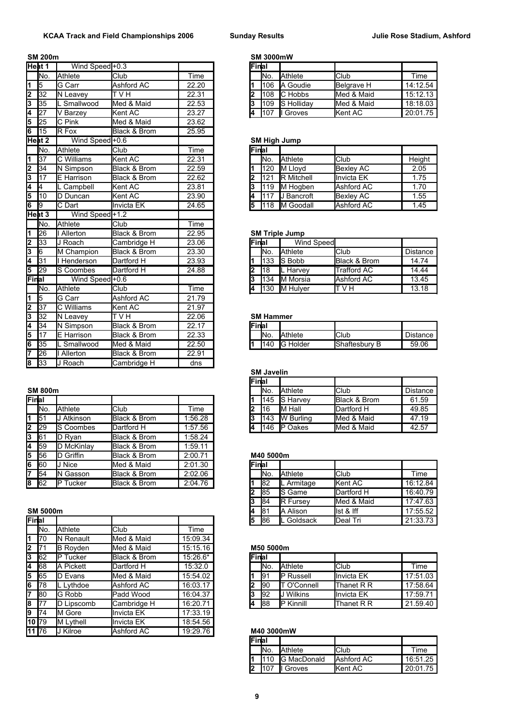|                         | <b>SM 200m</b>    |                   |                   |       |    | <b>SM 3000mW</b> |                       |                    |             |
|-------------------------|-------------------|-------------------|-------------------|-------|----|------------------|-----------------------|--------------------|-------------|
| Heat 1                  |                   | Wind Speed +0.3   |                   |       |    | Final            |                       |                    |             |
|                         | lNo.              | <b>Athlete</b>    | Club              | Time  |    | No.              | Athlete               | Club               | <b>Time</b> |
| 1                       | $\overline{5}$    | G Carr            | <b>Ashford AC</b> | 22.20 | 1  | 106              | A Goudie              | <b>Belgrave H</b>  | 14:12.54    |
| 2                       | 32                | N Leavey          | T V H             | 22.31 | 2  | 108              | C Hobbs               | Med & Maid         | 15:12.13    |
| 3                       | 35                | L Smallwood       | Med & Maid        | 22.53 | 3  | 109              | S Holliday            | Med & Maid         | 18:18.03    |
| 4                       | $\overline{27}$   | V Barzey          | Kent AC           | 23.27 | 4  | 107              | Il Groves             | Kent AC            | 20:01.75    |
| 5                       | 25                | C Pink            | Med & Maid        | 23.62 |    |                  |                       |                    |             |
| 6                       | 15                | R Fox             | Black & Brom      | 25.95 |    |                  |                       |                    |             |
|                         | Heat <sub>2</sub> | Wind Speed+0.6    |                   |       |    |                  | <b>SM High Jump</b>   |                    |             |
|                         | No.               | <b>Athlete</b>    | Club              | Time  |    | Final            |                       |                    |             |
| 1                       | 37                | C Williams        | Kent AC           | 22.31 |    | No.              | Athlete               | Club               | Height      |
| 2                       | 34                | N Simpson         | Black & Brom      | 22.59 | 1  | 120              | M Lloyd               | <b>Bexley AC</b>   | 2.05        |
| 3                       | 17                | E Harrison        | Black & Brom      | 22.62 | l2 | 121              | <b>R</b> Mitchell     | <b>Invicta EK</b>  | 1.75        |
| 4                       | 4                 | L Campbell        | Kent AC           | 23.81 | 3  | 119              | M Hogben              | <b>Ashford AC</b>  | 1.70        |
| 5                       | 10                | D Duncan          | Kent AC           | 23.90 | 4  | 117              | <b>I</b> J Bancroft   | <b>Bexley AC</b>   | 1.55        |
| $\overline{\mathbf{6}}$ | 9                 | C Dart            | Invicta EK        | 24.65 | 5  | 118              | <b>IM Goodall</b>     | Ashford AC         | 1.45        |
|                         | Heat <sub>3</sub> | Wind Speed+1.2    |                   |       |    |                  |                       |                    |             |
|                         | No.               | <b>Athlete</b>    | Club              | Time  |    |                  |                       |                    |             |
| 1                       | 26                | <b>I</b> Allerton | Black & Brom      | 22.95 |    |                  | <b>SM Triple Jump</b> |                    |             |
| 2                       | 33                | J Roach           | Cambridge H       | 23.06 |    | Final            | <b>Wind Speed</b>     |                    |             |
| 13                      | $\overline{6}$    | M Champion        | Black & Brom      | 23.30 |    | No.              | Athlete               | Club               | Distance    |
| 4                       | 31                | I Henderson       | Dartford H        | 23.93 | 1  | 133              | S Bobb                | Black & Brom       | 14.74       |
| 5                       | 29                | S Coombes         | Dartford H        | 24.88 | l2 | 18               | L Harvey              | <b>Trafford AC</b> | 14.44       |
| Final                   |                   | Wind Speed +0.6   |                   |       | 3  | 134              | <b>IM Morsia</b>      | Ashford AC         | 13.45       |
|                         | INo.              | <b>Athlete</b>    | Club              | Time  | 4  | 130              | M Hulver              | H V T              | 13.18       |
| 1                       | 5                 | G Carr            | Ashford AC        | 21.79 |    |                  |                       |                    |             |
| 2                       | 37                | C Williams        | Kent AC           | 21.97 |    |                  |                       |                    |             |
| 3                       | $\overline{32}$   | N Leavey          | <b>TVH</b>        | 22.06 |    | <b>SM Hammer</b> |                       |                    |             |
| 4                       | 34                | N Simpson         | Black & Brom      | 22.17 |    | lFinlal          |                       |                    |             |
| 5                       | 17                | E Harrison        | Black & Brom      | 22.33 |    | No.              | Athlete               | Club               | Distance    |
| 6                       | 35                | L Smallwood       | Med & Maid        | 22.50 | 1  | 140              | G Holder              | Shaftesbury B      | 59.06       |
| 7                       | 26                | I Allerton        | Black & Brom      | 22.91 |    |                  |                       |                    |             |
| 8                       | 33                | J Roach           | Cambridge H       | dns   |    |                  |                       |                    |             |

|                   | --------          |                  |              |         |    | .           | .                | ິ                       | -------  |
|-------------------|-------------------|------------------|--------------|---------|----|-------------|------------------|-------------------------|----------|
| Final             |                   |                  |              |         |    | 145         | <b>S</b> Harvey  | <b>Black &amp; Brom</b> | 61.59    |
|                   | INo.              | Athlete          | Club         | Time    |    | <b>1</b> 16 | <b>I</b> M Hall  | Dartford H              | 49.85    |
| $1 \overline{51}$ |                   | Atkinson         | Black & Brom | 1:56.28 | 13 | 143         | <b>W</b> Burling | Med & Maid              | 47.19    |
| 2                 | $ 29\rangle$      | <b>S</b> Coombes | Dartford H   | 1:57.56 | 14 | 1146        | <b>IP</b> Oakes  | Med & Maid              | 42.57    |
| 3                 | <b>1</b> 61       | D Rvan           | Black & Brom | 1:58.24 |    |             |                  |                         |          |
|                   | 4 59              | D McKinlay       | Black & Brom | 1:59.11 |    |             |                  |                         |          |
| 5                 | 56                | D Griffin        | Black & Brom | 2:00.71 |    | M40 5000m   |                  |                         |          |
| 6                 | 160               | Nice             | Med & Maid   | 2:01.30 |    | lFinlai     |                  |                         |          |
| 17                | 54                | Gasson<br>ΙN     | Black & Brom | 2:02.06 |    | INo.        | <b>Athlete</b>   | <b>Club</b>             | Time     |
|                   | $8 \overline{62}$ | Tucker<br>Þ      | Black & Brom | 2:04.76 |    | 82          | L Armitage       | <b>Kent AC</b>          | 16:12.84 |
|                   |                   |                  |              |         |    |             |                  |                         |          |

| Final          |                 |                 |              |          | 15 |       | 86        | L Goldsack         | Deal Tri            | 21:33.73 |
|----------------|-----------------|-----------------|--------------|----------|----|-------|-----------|--------------------|---------------------|----------|
|                | IN <sub>o</sub> | Athlete         | Club         | Time     |    |       |           |                    |                     |          |
| 1              | <b>170</b>      | N Renault       | Med & Maid   | 15:09.34 |    |       |           |                    |                     |          |
| 2              | 171             | <b>B</b> Royden | Med & Maid   | 15:15.16 |    |       | M50 5000m |                    |                     |          |
| 3              | <b>62</b>       | Tucker<br>IP    | Black & Brom | 15:26.6* |    | Final |           |                    |                     |          |
| l4             | <b>68</b>       | A Pickett       | Dartford H   | 15:32.0  |    |       | INo.      | <b>Athlete</b>     | Club                | Time     |
| $\overline{5}$ | 65              | D Evans         | Med & Maid   | 15:54.02 |    |       | 91        | <b>P</b> Russell   | <b>I</b> Invicta EK | 17:51.03 |
| 6              | 178             | L Lythdoe       | Ashford AC   | 16:03.17 | n  |       | 190       | T O'Connell        | Thanet R R          | 17:58.64 |
| 7              | <b>80</b>       | G Robb          | Padd Wood    | 16:04.37 | 3  |       | 192       | <b>I</b> J Wilkins | <b>I</b> Invicta EK | 17:59.71 |
| 8              |                 | D Lipscomb      | Cambridge H  | 16:20.71 | 14 |       | <b>88</b> | <b>IP Kinnill</b>  | Thanet R R          | 21.59.40 |
| 9              | 174             | M Gore          | Invicta EK   | 17:33.19 |    |       |           |                    |                     |          |
|                | 10 79           | M Lythell       | Invicta EK   | 18:54.56 |    |       |           |                    |                     |          |
|                | 11 76           | J Kilroe        | Ashford AC   | 19:29.76 |    |       |           | M40 3000mW         |                     |          |

| at 1 | Wind Speed <sup>+0.3</sup> |             |       | Final |                 |                    |                   |          |
|------|----------------------------|-------------|-------|-------|-----------------|--------------------|-------------------|----------|
| No.  | Athlete                    | <b>Club</b> | īme   |       | IN <sub>o</sub> | <b>Athlete</b>     | <b>Club</b>       | Time     |
| 5    | <b>IG Carr</b>             | Ashford AC  | 22.20 |       | 106             | <b>IA Goudie</b>   | <b>Belgrave H</b> | 14:12.54 |
| 32   | <b>IN Leavev</b>           | TVH         | 22.31 |       | 1108            | <b>IC</b> Hobbs    | Med & Maid        | 15:12.13 |
| 35   | Smallwood                  | Med & Maid  | 22.53 |       | 109             | <b>IS Hollidav</b> | Med & Maid        | 18:18.03 |
| 27   | Barzev                     | Kent AC     | 23.27 | 14    |                 | Groves             | <b>Kent AC</b>    | 20:01.75 |

### **SM High Jump**

| Final |      |                   |                  |        |
|-------|------|-------------------|------------------|--------|
|       | INo. | <b>Athlete</b>    | Club             | Height |
|       | 1120 | M Lloyd           | Bexley AC        | 2.05   |
| 12    | 121  | <b>R</b> Mitchell | Invicta EK       | 1.75   |
| 13    | 1119 | M Hogben          | Ashford AC       | 1.70   |
| 4     | 117  | <b>J</b> Bancroft | <b>Bexley AC</b> | 1.55   |
| 15    | 118  | <b>IM Goodall</b> | Ashford AC       | 1.45   |

#### **126 SM Triple Jump**

| 33  | ∣ Roach          | Cambridge H  | 23.06 | lFinlal |                 | Wind Speed        |              |          |
|-----|------------------|--------------|-------|---------|-----------------|-------------------|--------------|----------|
| 6   | M Champion       | Black & Brom | 23.30 |         | IN <sub>o</sub> | <b>Athlete</b>    | <b>Club</b>  | Distance |
| 31  | Henderson        | Dartford H   | 23.93 |         | 133             | <b>IS Bobb</b>    | Black & Brom | 14.74    |
| 29  | Coombes<br>IS.   | Dartford H   | 24.88 |         | 118             | Harvey<br>IL      | Trafford AC  | 14.44    |
| al  | Wind Speed + 0.6 |              |       |         | 134             | <b>I</b> M Morsia | Ashford AC   | 13.45    |
| No. | Athlete          | Club         | Time  |         | 1130            | <b>IM Hulver</b>  | T V H        | 13.18    |
|     |                  |              |       |         |                 |                   |              |          |

## **SM Hammer**

| <b>IFinal</b> |                 |                |                      |            |
|---------------|-----------------|----------------|----------------------|------------|
|               | IN <sub>o</sub> | <b>Athlete</b> | <b>I</b> Club        | Distance I |
|               |                 | 1140 IG Holder | <b>Shaftesbury B</b> | 59.06      |

## **SM Javelin Final SM 800m No. 2000 Distance Distance Club Distance Distance Club Distance f** 145 S Harvey Black & Brom 61.59 No. Athlete Club Time **2** 16 M Hall Dartford H 49.85 146 P Oakes Med & Maid 42.57

## 56 D Griffin Black & Brom 2:00.71 **M40 5000m**

| 6 60   |          | ' Nice       | Med & Maid   | 2:01.30 | <b>Final</b> |             |                  |                  |          |
|--------|----------|--------------|--------------|---------|--------------|-------------|------------------|------------------|----------|
|        | 54       | Gasson<br>ΙN | Black & Brom | 2:02.06 |              | INo.        | <b>Athlete</b>   | <b>I</b> Club    | Time     |
| 8 62   |          | IP<br>Tucker | Black & Brom | 2:04.76 |              | 182         | Armitage         | <b>Kent AC</b>   | 16:12.84 |
|        |          |              |              |         |              | <b>1</b> 85 | <b>IS Game</b>   | Dartford H       | 16:40.79 |
|        |          |              |              |         |              | 184         | <b>IR Fursev</b> | Med & Maid       | 17:47.63 |
|        | SM 5000m |              |              |         |              | 181         | Alison<br>IΑ     | list & Iff       | 17:55.52 |
| Finlal |          |              |              |         |              | 186         | Goldsack         | <b>IDeal Tri</b> | 21:33.73 |

### 71 B Royden Med & Maid 15:15.16 **M50 5000m**

| <b>Final</b> |     |                     |                     |          |
|--------------|-----|---------------------|---------------------|----------|
|              | No. | <b>Athlete</b>      | Club                | Time     |
|              | 91  | <b>IP Russell</b>   | Invicta EK          | 17:51.03 |
|              | 90  | <b>IT O'Connell</b> | <b>Thanet R R</b>   | 17:58.64 |
| 13           | 92  | <b>J</b> Wilkins    | <b>I</b> Invicta EK | 17:59.71 |
| 4            | 88  | <b>IP Kinnill</b>   | <b>Thanet R R</b>   | 21.59.40 |

#### 76 J Kilroe Ashford AC 19:29.76 **M40 3000mW**

| <b>IFinal</b> |                 |                 |                  |          |
|---------------|-----------------|-----------------|------------------|----------|
|               | IN <sub>o</sub> | <b>Athlete</b>  | IClub            | Time     |
|               |                 | 110 G MacDonald | Ashford AC       | 16:51.25 |
|               | 107             | Il Groves       | <b>I</b> Kent AC | 20:01.75 |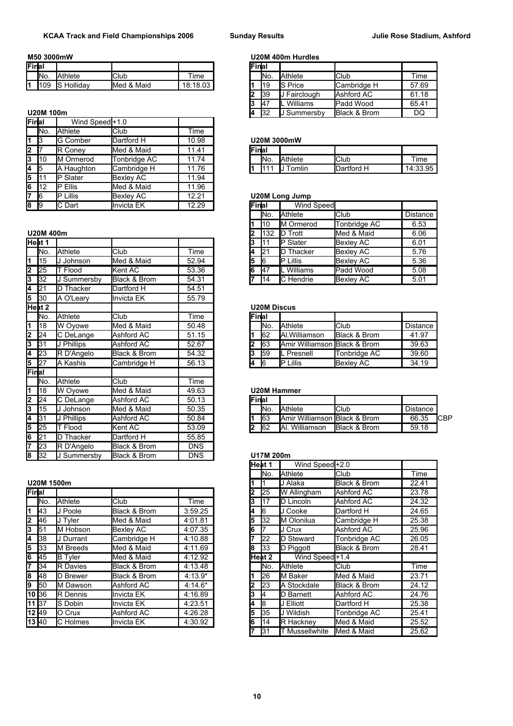| lFinlal |      |                            |               |          | 'Finlar |      |                |               |       |
|---------|------|----------------------------|---------------|----------|---------|------|----------------|---------------|-------|
|         | INo. | Athlete                    | <b>Club</b>   | Time     |         | INo. | <b>Athlete</b> | <b>I</b> Club | Time  |
| м       | 1109 | Hollidav<br><b>IC</b><br>w | Maid<br>Med & | 18:18.03 |         | 119  | Price<br>ю<br> | ICambridge    | 57.69 |

**U20M 100m** 

|                         | Final           | Wind Speed <sup>+1.0</sup> |                  |       |        |                       |                  |            |         |
|-------------------------|-----------------|----------------------------|------------------|-------|--------|-----------------------|------------------|------------|---------|
|                         | IN <sub>o</sub> | Athlete                    | <b>Club</b>      | Time  |        |                       |                  |            |         |
| $\vert 1 \vert 3 \vert$ |                 | <b>G</b> Comber            | Dartford H       | 10.98 |        | <b>U20M 3000mW</b>    |                  |            |         |
| $\overline{2}$          |                 | R Conev                    | Med & Maid       | 11.41 | lFinal |                       |                  |            |         |
| 3                       | 110             | M Ormerod                  | Tonbridge AC     | 11.74 | INo.   | <b>Athlete</b>        |                  | Club       | Time    |
| <b>14</b> 15            |                 | A Haughton                 | Cambridge H      | 11.76 | I111   |                       | <b>JJ</b> Tomlin | Dartford H | 14:33.9 |
| 5                       |                 | Slater                     | <b>Bexley AC</b> | 11.94 |        |                       |                  |            |         |
| 16                      | 112             | Ellis                      | Med & Maid       | 11.96 |        |                       |                  |            |         |
| 17                      | 16              | Lillis                     | <b>Bexley AC</b> | 12.21 |        | <b>U20M Long Jump</b> |                  |            |         |
| $8 \overline{9}$        |                 | C Dart                     | Invicta EK       | 12.29 | Final  |                       | Wind Speed       |            |         |

|                         | Heat 1          |             |              |            | l3 | I11       | <b>IP</b> Slater             | <b>Bexley AC</b>        | 6.01            |
|-------------------------|-----------------|-------------|--------------|------------|----|-----------|------------------------------|-------------------------|-----------------|
|                         | No.             | Athlete     | Club.        | Time       | 14 | 21        | D Thacker                    | <b>Bexley AC</b>        | 5.76            |
| 1                       | 15              | J Johnson   | Med & Maid   | 52.94      | 5  | l6        | P Lillis                     | <b>Bexley AC</b>        | 5.36            |
| 2                       | 25              | T Flood     | Kent AC      | 53.36      | 16 | 47        | L Williams                   | Padd Wood               | 5.08            |
| 3                       | 32              | J Summersby | Black & Brom | 54.31      |    | 14        | C Hendrie                    | <b>Bexley AC</b>        | 5.01            |
| 4                       | $\overline{21}$ | D Thacker   | Dartford H   | 54.51      |    |           |                              |                         |                 |
| 5                       | 30              | A O'Leary   | Invicta EK   | 55.79      |    |           |                              |                         |                 |
|                         | Heat 2          |             |              |            |    |           | <b>U20M Discus</b>           |                         |                 |
|                         | No.             | Athlete     | Club         | Time       |    | Final     |                              |                         |                 |
| 1                       | 18              | W Oyowe     | Med & Maid   | 50.48      |    | No.       | <b>Athlete</b>               | <b>Club</b>             | <b>Distance</b> |
| 2                       | 24              | C DeLange   | Ashford AC   | 51.15      |    | 62        | Al.Williamson                | Black & Brom            | 41.97           |
| 3                       | 31              | J Phillips  | Ashford AC   | 52.67      | 2  | 63        | Amir Williamson              | <b>Black &amp; Brom</b> | 39.63           |
| 4                       | $\overline{23}$ | R D'Angelo  | Black & Brom | 54.32      | 3  | 59        | L Presnell                   | Tonbridge AC            | 39.60           |
| 5                       | 27              | A Kashis    | Cambridge H  | 56.13      | 4  | 16        | P Lillis                     | <b>Bexley AC</b>        | 34.19           |
| Final                   |                 |             |              |            |    |           |                              |                         |                 |
|                         | No.             | Athlete     | Club         | Time       |    |           |                              |                         |                 |
| $\overline{\mathbf{1}}$ | 18              | W Oyowe     | Med & Maid   | 49.63      |    |           | <b>U20M Hammer</b>           |                         |                 |
| 2                       | 24              | C DeLange   | Ashford AC   | 50.13      |    | Final     |                              |                         |                 |
| 3                       | 15              | J Johnson   | Med & Maid   | 50.35      |    | No.       | Athlete                      | <b>Club</b>             | Distance        |
| 4                       | 31              | J Phillips  | Ashford AC   | 50.84      |    | 63        | Amir Williamson Black & Brom |                         | 66.35           |
| 5                       | 25              | T Flood     | Kent AC      | 53.09      | 2  | 62        | Al. Williamson               | Black & Brom            | 59.18           |
| 6                       | 21              | D Thacker   | Dartford H   | 55.85      |    |           |                              |                         |                 |
| 17                      | 23              | R D'Angelo  | Black & Brom | <b>DNS</b> |    |           |                              |                         |                 |
| 8                       | 32              | J Summersby | Black & Brom | <b>DNS</b> |    | U17M 200m |                              |                         |                 |

#### **U20M 1500m**

|     | Final       |                  |                  |           | 2  | 25         | W Allingham                | Ashford AC          |  |
|-----|-------------|------------------|------------------|-----------|----|------------|----------------------------|---------------------|--|
|     | INo.        | Athlete          | <b>Club</b>      | Time      | з  | l17        | <b>ID Lincoln</b>          | Ashford AC          |  |
| I1. | <b>1</b> 43 | J Poole          | Black & Brom     | 3:59.25   | 4  | l6         | J Cooke                    | Dartford H          |  |
| 2   | <b>46</b>   | <b>J</b> Tvler   | Med & Maid       | 4:01.81   | 5  | <b>32</b>  | <b>IM Olonilua</b>         | Cambridge H         |  |
| l3  | 51          | M Hobson         | <b>Bexley AC</b> | 4:07.35   | l6 |            | J Crux                     | Ashford AC          |  |
| l4  | 38          | <b>J</b> Durrant | Cambridge H      | 4:10.88   |    | 22         | <b>ID Steward</b>          | Tonbridge AC        |  |
| 15  | 33          | M Breeds         | Med & Maid       | 4:11.69   | l8 | <b>3</b> 3 | D Piggott                  | Black & Brom        |  |
| l6  | <b>45</b>   | <b>B</b> Tyler   | Med & Maid       | 4:12.92   |    | lHeat 2    | Wind Speed <sup>+1.4</sup> |                     |  |
| 17  | 34          | <b>R</b> Davies  | Black & Brom     | 4:13.48   |    | INo.       | <b>A</b> thlete            | Club                |  |
| l8  | 48          | <b>D</b> Brewer  | Black & Brom     | $4:13.9*$ |    | 126        | <b>I</b> M Baker           | <b>I</b> Med & Maid |  |
| l9  | 50          | M Dawson         | Ashford AC       | $4:14.6*$ | 2  | 23         | <b>IA Stockdale</b>        | Black & Brom        |  |
|     | 10 36       | <b>R</b> Dennis  | Invicta EK       | 4:16.89   | 3  |            | <b>D</b> Barnett           | Ashford AC          |  |
|     | 11 137      | S Dobin          | Invicta EK       | 4:23.51   | 14 | 18         | J Elliott                  | Dartford H          |  |
|     | 12 49       | O Crux           | Ashford AC       | 4:26.28   | l5 | 35         | IJ Wildish                 | Tonbridge AC        |  |
|     | 13 40       | C Holmes         | Invicta EK       | 4:30.92   | 6  | 114        | <b>IR Hacknev</b>          | Med & Maid          |  |
|     |             |                  |                  |           |    |            |                            |                     |  |

**M50 3000mW U20M 400m Hurdles**

| al     |                 |             |                  | <b>Final</b> |                 |                 |                         |       |
|--------|-----------------|-------------|------------------|--------------|-----------------|-----------------|-------------------------|-------|
| No.    | Athlete         | <b>Club</b> | <sup>r</sup> ime |              | IN <sub>o</sub> | <b>Athlete</b>  | Club                    | Time  |
| 109    | Hollidav<br>IS. | Med & Maid  | 18:18.03         |              | 119             | <b>IS Price</b> | <b>I</b> Cambridge H    | 57.69 |
|        |                 |             |                  | l2           | 139             | Fairclough      | Ashford AC              | 61.18 |
|        |                 |             |                  | 13           | 147             | Williams<br>IL  | <b>Padd Wood</b>        | 65.41 |
| M 100m |                 |             |                  | 14           | 132             | J Summersby     | <b>Black &amp; Brom</b> | DQ    |
|        |                 |             |                  |              |                 |                 |                         |       |

#### 3 G Comber Dartford H 10.98 **U20M 3000mW**

|        |     | ___                | .                                   |                     |         | .    |                |                    |                          |
|--------|-----|--------------------|-------------------------------------|---------------------|---------|------|----------------|--------------------|--------------------------|
| ~      |     | ΙR<br>∴onev        | Maid<br>Med<br>$\Omega$<br>$\alpha$ | Δ.<br>4 A           | 'Finlai |      |                |                    |                          |
| ~<br>u | 110 | ∽<br>ΙM<br>Ormerod | Tonbridae AC                        | 74<br>I 4<br>.      |         | INo. | <b>Athlete</b> | <b>IClub</b>       | $T$ ime                  |
| л      | l5  | Haughton<br>A      | lCambridge H                        | 76<br>4 A<br>.<br>ັ |         |      | ⊺omlin         | <b>IDartford F</b> | Q5<br>14.32<br>1. ບບ. ອບ |
|        |     |                    |                                     |                     |         |      |                |                    |                          |

## **<u>U20M Long Jump</u>**

| 89   |            | C Dart    | Invicta EK   | 12.29 | Final |                 | Wind Speed        |                  |                 |
|------|------------|-----------|--------------|-------|-------|-----------------|-------------------|------------------|-----------------|
|      |            |           |              |       |       | IN <sub>o</sub> | <b>Athlete</b>    | Club             | <b>Distance</b> |
|      |            |           |              |       |       | 110             | <b>IM Ormerod</b> | Tonbridge AC     | 6.53            |
|      | U20M 400m  |           |              |       |       | 1132            | <b>ID</b> Trott   | Med & Maid       | 6.06            |
|      | Heat 1     |           |              |       |       | -111            | <b>IP</b> Slater  | Bexley AC        | 6.01            |
|      | INo.       | Athlete   | <b>Club</b>  | Time  |       | 121             | Thacker<br>ID     | Bexley AC        | 5.76            |
|      | <b>115</b> | Johnson   | Med & Maid   | 52.94 |       | l6              | <b>IP Lillis</b>  | Bexley AC        | 5.36            |
| 2 25 |            | Flood     | Kent AC      | 53.36 |       | <b>I</b> 47     | Williams          | Padd Wood        | 5.08            |
| 3 32 |            | Summersby | Black & Brom | 54.31 |       | 114             | <b>IC</b> Hendrie | <b>Bexley AC</b> | 5.01            |

## **Heat 2 U20M Discus**

| Final |      |                              |              |                 |
|-------|------|------------------------------|--------------|-----------------|
|       | INo. | Athlete                      | Club         | <b>Distance</b> |
|       | 162  | Al. Williamson               | Black & Brom | 41.97           |
| l2    | 63   | Amir Williamson Black & Brom |              | 39.63           |
| l3    | 159  | Presnell                     | Tonbridge AC | 39.60           |
| l6    |      | <b>Lillis</b>                | Bexley AC    | 34.19           |

|  | U20M Hammer |
|--|-------------|
|  |             |

| n.<br><u>L</u> | 24 | DeLange         | Ashford AC | 50.13 | Final |      |                                          |                         |          |      |
|----------------|----|-----------------|------------|-------|-------|------|------------------------------------------|-------------------------|----------|------|
| 115<br>-<br>u  |    | Johnson         | Med & Maid | 50.35 |       | INo. | <b>Athlete</b>                           | <b>I</b> Club           | Distance |      |
| l31            |    | <b>Phillips</b> | Ashford AC | 50.84 |       | 163  | <b>IAmir Williamson Black &amp; Brom</b> |                         | 66.35    | ICBP |
| 5<br>125       |    | Flood           | Kent AC    | 53.09 |       | 162  | Williamson<br>IAI.                       | <b>Black &amp; Brom</b> | 59.18    |      |

### $U17M 200m$

|                 |                 |                  |           | Heat 1 |             | Wind Speed <sup>+2.0</sup> |              |       |
|-----------------|-----------------|------------------|-----------|--------|-------------|----------------------------|--------------|-------|
|                 |                 |                  |           |        | INo.        | <b>Athlete</b>             | Club         | Time  |
| M 1500m         |                 |                  |           |        |             | J Alaka                    | Black & Brom | 22.41 |
| al              |                 |                  |           |        | 25          | W Allingham                | Ashford AC   | 23.78 |
| No.             | Athlete         | Club             | Time      | 3      | 17          | <b>ID Lincoln</b>          | Ashford AC   | 24.32 |
| 43              | J Poole         | Black & Brom     | 3:59.25   | 4      | 16          | J Cooke                    | Dartford H   | 24.65 |
| 46              | J Tyler         | Med & Maid       | 4:01.81   | 5      | 32          | <b>I</b> M Olonilua        | Cambridge H  | 25.38 |
| $\overline{51}$ | M Hobson        | <b>Bexley AC</b> | 4:07.35   | 6      |             | J Crux                     | Ashford AC   | 25.96 |
| $\overline{38}$ | J Durrant       | Cambridge H      | 4:10.88   |        | 22          | <b>ID Steward</b>          | Tonbridge AC | 26.05 |
| $\overline{33}$ | M Breeds        | Med & Maid       | 4:11.69   | 8      | 33          | D Piggott                  | Black & Brom | 28.41 |
| 45              | <b>B</b> Tyler  | Med & Maid       | 4:12.92   |        | Heat 2      | Wind Speed <sup>+1.4</sup> |              |       |
| $\overline{34}$ | <b>R</b> Davies | Black & Brom     | 4:13.48   |        | INo.        | <b>I</b> Athlete           | Club         | Time  |
| 48              | D Brewer        | Black & Brom     | $4:13.9*$ |        | 26          | <b>I</b> M Baker           | Med & Maid   | 23.71 |
| $\overline{50}$ | M Dawson        | Ashford AC       | $4:14.6*$ |        | 23          | <b>A Stockdale</b>         | Black & Brom | 24.12 |
| $\overline{36}$ | R Dennis        | Invicta EK       | 4:16.89   | 3      |             | <b>ID Barnett</b>          | Ashford AC   | 24.76 |
| 37              | S Dobin         | Invicta EK       | 4:23.51   | 4      | l8          | J Elliott                  | Dartford H   | 25.38 |
| 49              | O Crux          | Ashford AC       | 4:26.28   | 5      | <b>1</b> 35 | <b>J Wildish</b>           | Tonbridge AC | 25.41 |
| 40              | C Holmes        | Invicta EK       | 4:30.92   | 6      | 14          | R Hackney                  | Med & Maid   | 25.52 |
|                 |                 |                  |           |        | 31          | T Mussellwhite             | Med & Maid   | 25.62 |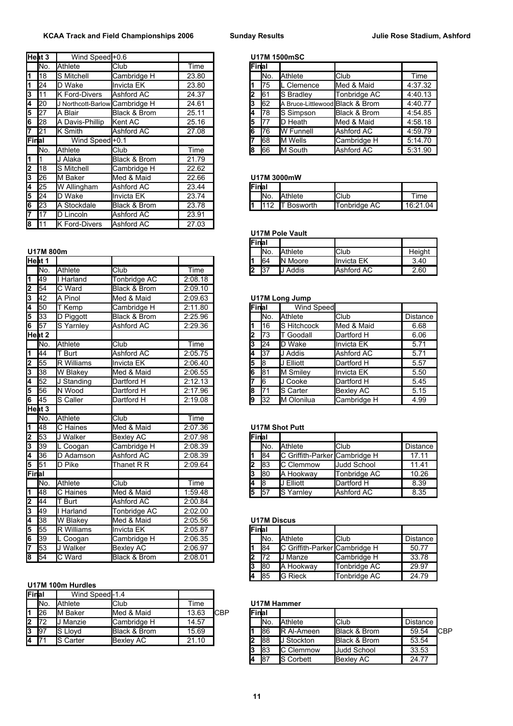|                         | Heat 3 | Wind Speed+0.6                 |              |       |       |            | <b>U17M 1500mSC</b>             |              |          |
|-------------------------|--------|--------------------------------|--------------|-------|-------|------------|---------------------------------|--------------|----------|
|                         | INo.   | Athlete                        | lClub        | Time  | Final |            |                                 |              |          |
| 1                       | 118    | S Mitchell                     | Cambridge H  | 23.80 |       | INo.       | <b>Athlete</b>                  | Club         | Time     |
| 1                       | 24     | D Wake                         | Invicta EK   | 23.80 |       | 175        | Clemence                        | Med & Maid   | 4:37.32  |
| 3                       | I11    | <b>K Ford-Divers</b>           | Ashford AC   | 24.37 | 2     | 61         | <b>S</b> Bradley                | Tonbridge AC | 4:40.13  |
| 4                       | 20     | J Northcott-Barlow Cambridge H |              | 24.61 | 13    | 62         | A Bruce-Littlewood Black & Brom |              | 4:40.77  |
| 5                       | 27     | A Blair                        | Black & Brom | 25.11 | 14    | 178        | S Simpson                       | Black & Brom | 4:54.85  |
| 6                       | 28     | A Davis-Phillip                | Kent AC      | 25.16 | 15    | 177        | <b>I</b> D Heath                | Med & Maid   | 4:58.18  |
| $\overline{\mathbf{7}}$ | 21     | K Smith                        | Ashford AC   | 27.08 | 16    | 176        | <b>I</b> W Funnell              | Ashford AC   | 4:59.79  |
| Final                   |        | Wind Speed <sup>+0.1</sup>     |              |       |       | 68         | <b>IM Wells</b>                 | Cambridge H  | 5:14.70  |
|                         | INo.   | Athlete                        | <b>Club</b>  | Time  | 18    | 66         | M South                         | Ashford AC   | 5:31.90  |
| 1                       |        | J Alaka                        | Black & Brom | 21.79 |       |            |                                 |              |          |
| $\overline{2}$          | 118    | S Mitchell                     | Cambridge H  | 22.62 |       |            |                                 |              |          |
| 3                       | 26     | M Baker                        | Med & Maid   | 22.66 |       |            | U17M 3000mW                     |              |          |
| 4                       | 25     | W Allingham                    | Ashford AC   | 23.44 | Final |            |                                 |              |          |
| 5                       | 24     | D Wake                         | llnvicta EK  | 23.74 |       | INo.       | <b>Athlete</b>                  | Club         | Time     |
| 6                       | 23     | A Stockdale                    | Black & Brom | 23.78 |       | <b>112</b> | <b>Bosworth</b>                 | Tonbridge AC | 16:21.04 |
| $\overline{7}$          | 17     | D Lincoln                      | Ashford AC   | 23.91 |       |            |                                 |              |          |
| $\overline{\mathbf{g}}$ | 111    | <b>K</b> Ford-Divers           | Ashford AC   | 27.03 |       |            |                                 |              |          |

|                           | Heat 1            |                       |                         |         | 1  | 64              | <b>IN Moore</b>       | Invicta EK         | 3.40            |
|---------------------------|-------------------|-----------------------|-------------------------|---------|----|-----------------|-----------------------|--------------------|-----------------|
|                           | INo.              | Athlete               | Club                    | Time    | 2  | 37              | J Addis               | <b>Ashford AC</b>  | 2.60            |
| 1                         | 49                | I Harland             | Tonbridge AC            | 2:08.18 |    |                 |                       |                    |                 |
|                           | 54                | C Ward                | <b>Black &amp; Brom</b> | 2:09.10 |    |                 |                       |                    |                 |
| $\frac{2}{3}$             | 42                | A Pinol               | Med & Maid              | 2:09.63 |    |                 | U17M Long Jump        |                    |                 |
| 4                         | 50                | T Kemp                | Cambridge H             | 2:11.80 |    | Final           | Wind Speed            |                    |                 |
| 5                         | 33                | D Piggott             | Black & Brom            | 2:25.96 |    | lNo.            | Athlete               | Club               | Distance        |
| $\overline{6}$            | 57                | S Yarnley             | <b>Ashford AC</b>       | 2:29.36 | 1  | 16              | S Hitchcock           | Med & Maid         | 6.68            |
|                           | Heat 2            |                       |                         |         | 12 | 73              | <b>T</b> Goodall      | Dartford H         | 6.06            |
|                           | INo.              | Athlete               | Club                    | Time    | 3  | $\overline{24}$ | D Wake                | <b>Invicta EK</b>  | 5.71            |
| $\overline{\mathbf{1}}$   | 44                | T Burt                | <b>Ashford AC</b>       | 2:05.75 | 4  | 37              | <b>J</b> Addis        | Ashford AC         | 5.71            |
| $\overline{2}$            | 55                | R Williams            | <b>Invicta EK</b>       | 2:06.40 | 5  | 8               | J Elliott             | Dartford H         | 5.57            |
| 3                         | 38                | W Blakey              | Med & Maid              | 2:06.55 | 6  | 81              | M Smiley              | <b>Invicta EK</b>  | 5.50            |
| 4                         | 52                | J Standing            | Dartford H              | 2:12.13 |    | l6              | J Cooke               | Dartford H         | 5.45            |
| 5                         | 56                | N Wood                | Dartford H              | 2:17.96 | 18 | 71              | S Carter              | <b>Bexley AC</b>   | 5.15            |
| 6                         | 45                | S Caller              | Dartford H              | 2:19.08 | 9  | 32              | M Olonilua            | Cambridge H        | 4.99            |
|                           | Heat <sub>3</sub> |                       |                         |         |    |                 |                       |                    |                 |
|                           | INo.              | Athlete               | Club                    | Time    |    |                 |                       |                    |                 |
| 1                         | 48                | C Haines              | Med & Maid              | 2:07.36 |    |                 | <b>U17M Shot Putt</b> |                    |                 |
| $\overline{2}$            | 53                | J Walker              | <b>Bexley AC</b>        | 2:07.98 |    | Final           |                       |                    |                 |
| $\overline{\overline{3}}$ | 39                | L Coogan              | Cambridge H             | 2:08.39 |    | lNo.            | Athlete               | Club               | <b>Distance</b> |
| $\frac{4}{5}$             | 36                | D Adamson             | <b>Ashford AC</b>       | 2:08.39 | 1  | 84              | C Griffith-Parker     | Cambridge H        | 17.11           |
|                           | 51                | D Pike                | Thanet R R              | 2:09.64 | 2  | 83              | C Clemmow             | <b>Judd School</b> | 11.41           |
| Final                     |                   |                       |                         |         | 3  | l80             | A Hookway             | Tonbridge AC       | 10.26           |
|                           | INo.              | Athlete               | Club                    | Time    | 4  | 8               | J Elliott             | Dartford H         | 8.39            |
| 1                         | 48                | C Haines              | Med & Maid              | 1:59.48 | 5  | 57              | S Yarnley             | Ashford AC         | 8.35            |
| $\overline{2}$            | 44                | T Burt                | Ashford AC              | 2:00.84 |    |                 |                       |                    |                 |
| $\overline{\mathsf{3}}$   | 49                | I Harland             | Tonbridge AC            | 2:02.00 |    |                 |                       |                    |                 |
|                           | 38                | W Blakey              | Med & Maid              | 2:05.56 |    |                 | <b>U17M Discus</b>    |                    |                 |
| $\frac{4}{5}$             | 55                | R Williams            | Invicta EK              | 2:05.87 |    | Final           |                       |                    |                 |
| 6                         | 39                | $\overline{L}$ Coogan | Cambridge H             | 2:06.35 |    | lΝo.            | <b>Athlete</b>        | Club               | Distance        |
| 7                         | 53                | J Walker              | <b>Bexley AC</b>        | 2:06.97 | 1  | 84              | C Griffith-Parker     | Cambridge H        | 50.77           |
| $\overline{\mathbf{8}}$   | 54                | C Ward                | <b>Black &amp; Brom</b> | 2:08.01 | 2  | $\overline{72}$ | <b>I</b> J Manze      | Cambridge H        | 33.78           |

### **U17M 100m Hurdles**

| Final     |             | Wind Speedl-1.4 |                  |       |     |         |      |                    |                          |          |
|-----------|-------------|-----------------|------------------|-------|-----|---------|------|--------------------|--------------------------|----------|
|           | INo.        | Athlete         | <b>Club</b>      | Time  |     |         |      | U17M Hammer        |                          |          |
|           | 126         | M Baker         | Med & Maid       | 13.63 | CBP | lFinlal |      |                    |                          |          |
| $\vert$ 2 | <b>172</b>  | Manzie          | Cambridge H      | 14.57 |     |         | INo. | <b>Athlete</b>     | lClub                    | Distance |
| 13        | <b>1</b> 97 | S Llovd         | Black & Brom     | 15.69 |     |         | 186  | <b>IR AI-Ameen</b> | <b>Black &amp; Brom</b>  | 59.54    |
| 14        | 17          | <b>S</b> Carter | <b>Bexley AC</b> | 21.10 |     |         | 188  | J Stockton         | <b>IBlack &amp; Brom</b> | 53.54    |

## **Heat 3** Wind Speed +0.6 **U17M 1500mSC**

| No. | Athlete                        | <b>Club</b>  | Time  | lFinlai |                 |                                 |                         |         |
|-----|--------------------------------|--------------|-------|---------|-----------------|---------------------------------|-------------------------|---------|
| 18  | <b>S</b> Mitchell              | Cambridge H  | 23.80 |         | IN <sub>o</sub> | <b>Athlete</b>                  | <b>Club</b>             | Time    |
| 24  | D Wake                         | Invicta EK   | 23.80 |         | 175             | Clemence                        | Med & Maid              | 4:37.32 |
| 11  | <b>K</b> Ford-Divers           | Ashford AC   | 24.37 |         | 161             | <b>S</b> Bradley                | Tonbridge AC            | 4:40.13 |
| 20  | J Northcott-Barlow Cambridge H |              | 24.61 |         | I62             | A Bruce-Littlewood Black & Brom |                         | 4:40.77 |
| 27  | A Blair                        | Black & Brom | 25.11 |         | 178             | <b>IS Simpson</b>               | <b>Black &amp; Brom</b> | 4:54.85 |
| 28  | Davis-Phillip<br>A             | Kent AC      | 25.16 |         | 177             | <b>ID</b> Heath                 | Med & Maid              | 4:58.18 |
| 21  | <b>K</b> Smith                 | Ashford AC   | 27.08 | 16      | 176             | <b>I</b> W Funnell              | Ashford AC              | 4:59.79 |
| al  | Wind Speed <sup>+0.1</sup>     |              |       |         | 168             | <b>IM Wells</b>                 | Cambridge H             | 5:14.70 |
| No. | Athlete                        | <b>Club</b>  | Time  | 18      | <b>1</b> 66     | <b>IM South</b>                 | Ashford AC              | 5:31.90 |
|     |                                |              |       |         |                 |                                 |                         |         |

#### 26 M Baker Med & Maid 22.66 **U17M 3000mW**

|       |      | <b>U I I IVI JUUUIIIIV</b> |               |          |
|-------|------|----------------------------|---------------|----------|
| Final |      |                            |               |          |
|       | INo. | <b>Athlete</b>             | <b>I</b> Club | Time     |
|       |      | <b>112 IT Bosworth</b>     | Tonbridge AC  | 16:21.04 |

#### **U17M Pole Vault**

|        |                 |         |             |      |  | 'Finlai |                 |                 |                   |        |
|--------|-----------------|---------|-------------|------|--|---------|-----------------|-----------------|-------------------|--------|
|        | U17M<br>800m    |         |             |      |  |         | IN <sub>o</sub> | <b>Athlete</b>  | <b>IClub</b>      | Height |
| Heat 1 |                 |         |             |      |  |         | 164             | <b>IN Moore</b> | <b>Invicta EK</b> | 3.40   |
|        | IN <sub>o</sub> | Athlete | <b>Club</b> | Time |  |         | 137             | Addis           | <b>Ashford AC</b> | 2.60   |

## **U17M Long Jump**

| 50   | Kemp           | Cambridge H  | 2:11.80 | <b>Final</b> |      | Wind Speed          |             |          |
|------|----------------|--------------|---------|--------------|------|---------------------|-------------|----------|
| 33   | D Piggott      | Black & Brom | 2:25.96 |              | INo. | <b>Athlete</b>      | <b>Club</b> | Distance |
| 57   | Yarnlev<br>lS  | Ashford AC   | 2:29.36 |              | l16  | <b>IS Hitchcock</b> | Med & Maid  | 6.68     |
| at 2 |                |              |         | 2            | 173  | Goodall             | Dartford H  | 6.06     |
| No.  | Athlete        | <b>Club</b>  | Time    | 3            | 124  | <b>ID</b> Wake      | Invicta EK  | 5.71     |
| 44   | <b>Burt</b>    | Ashford AC   | 2:05.75 | 14           | 137  | <b>JJ</b> Addis     | Ashford AC  | 5.71     |
| 55   | Williams<br>ΙR | Invicta EK   | 2:06.40 | 5            |      | J Elliott           | Dartford H  | 5.57     |
| 38   | W Blakey       | Med & Maid   | 2:06.55 | 6            | 181  | M Smiley            | Invicta EK  | 5.50     |
| 52   | Standing       | Dartford H   | 2:12.13 |              | 16   | <b>I</b> J Cooke    | Dartford H  | 5.45     |
| 56   | N Wood         | Dartford H   | 2:17.96 | l8           | 171  | <b>I</b> S Carter   | Bexley AC   | 5.15     |
| 45   | Caller<br>lS.  | Dartford H   | 2:19.08 | 19           | 132  | <b>IM Olonilua</b>  | Cambridge H | 4.99     |

### **U17M Shot Putt**

| 53  | Walker          | <b>Bexley AC</b> | 2:07.98 | Final |                 |                                      |              |                 |
|-----|-----------------|------------------|---------|-------|-----------------|--------------------------------------|--------------|-----------------|
| 39  | Coogan          | Cambridge H      | 2:08.39 |       | IN <sub>o</sub> | <b>Athlete</b>                       | lClub        | <b>Distance</b> |
| 36  | Adamson         | Ashford AC       | 2:08.39 |       | <b>84</b>       | <b>C</b> Griffith-Parker Cambridge H |              | 17.11           |
| 51  | Pike            | Thanet R R       | 2:09.64 |       | 183             | <b>IC Clemmow</b>                    | Judd School  | 11.41           |
| al  |                 |                  |         |       | 180             | <b>IA Hookway</b>                    | Tonbridge AC | 10.26           |
| No. | Athlete         | Club             | Time    | 14    | 18              | <b>J</b> Elliott                     | Dartford H   | 8.39            |
| 48  | <b>C</b> Haines | Med & Maid       | 1:59.48 | 15    | 157             | <b>IS Yarnley</b>                    | Ashford AC   | 8.35            |

#### **U17M Discus**

| Final |      |                                      |              |                 |
|-------|------|--------------------------------------|--------------|-----------------|
|       | INo. | Athlete                              | Club         | <b>Distance</b> |
|       | 84   | <b>C</b> Griffith-Parker Cambridge H |              | 50.77           |
|       | 172  | <b>J</b> Manze                       | Cambridge H  | 33.78           |
| l3    | 180  | A Hookway                            | Tonbridge AC | 29.97           |
|       | 85   | <b>IG Rieck</b>                      | Tonbridge AC | 24.79           |

### **U17M Hammer**

|      | <b>26</b>   | M Baker          | Med & Maid       | 13.63 | <b>ICBP</b> | <b>Final</b> |                 |                    |                         |          |      |
|------|-------------|------------------|------------------|-------|-------------|--------------|-----------------|--------------------|-------------------------|----------|------|
| 2172 |             | Manzie           | Cambridge H      | 14.57 |             |              | IN <sub>o</sub> | <b>Athlete</b>     | <b>I</b> Club           | Distance |      |
| 3    | <b>1</b> 97 | <b>S</b> Llovd   | Black & Brom     | 15.69 |             |              | 186             | <b>IR AI-Ameen</b> | <b>Black &amp; Brom</b> | 59.54    | ICBP |
| 4    | <b>171</b>  | <b>IS Carter</b> | <b>Bexley AC</b> | 21.10 |             |              | 188             | Stockton           | Black & Brom            | 53.54    |      |
|      |             |                  |                  |       |             |              | 183             | <b>IC Clemmow</b>  | <b>Judd School</b>      | 33.53    |      |
|      |             |                  |                  |       |             |              | 187             | <b>IS Corbett</b>  | <b>IBexley AC</b>       | 24.77    |      |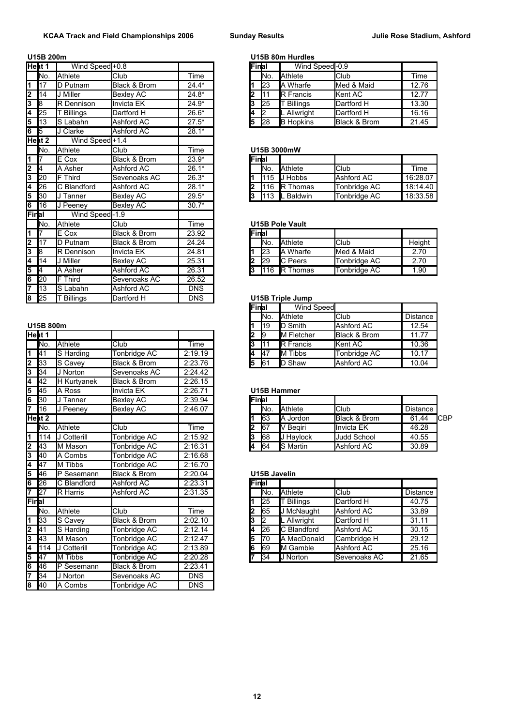|                           | Heat 1 | Wind Speed <sup>+0.8</sup> |                         |            | Final |      | Wind Speed-0.9          |              |          |
|---------------------------|--------|----------------------------|-------------------------|------------|-------|------|-------------------------|--------------|----------|
|                           | INo.   | Athlete                    | Club                    | Time       |       | lNo. | Athlete                 | Club         | Time     |
| $\overline{\mathbf{1}}$   | 17     | D Putnam                   | Black & Brom            | $24.4*$    |       | 23   | lA Wharfe               | Med & Maid   | 12.76    |
| 2                         | 14     | J Miller                   | <b>Bexley AC</b>        | $24.8*$    | 2     | 11   | R Francis               | Kent AC      | 12.77    |
| $\overline{\overline{3}}$ | l8     | R Dennison                 | Invicta EK              | $24.9*$    | 3     | 25   | $\overline{T}$ Billings | Dartford H   | 13.30    |
| 4                         | 25     | Billings                   | Dartford H              | 26.6*      | 4     | 2    | L Allwright             | Dartford H   | 16.16    |
| 5                         | 13     | S Labahn                   | Ashford AC              | $27.5*$    | 5     | 28   | <b>B</b> Hopkins        | Black & Brom | 21.45    |
| $\overline{\mathbf{6}}$   | 15     | J Clarke                   | Ashford AC              | $28.1*$    |       |      |                         |              |          |
|                           | Heat 2 | Wind Speed <sup>+1.4</sup> |                         |            |       |      |                         |              |          |
|                           | No.    | Athlete                    | Club                    | Time       |       |      | U15B 3000mW             |              |          |
| 1                         |        | E Cox                      | <b>Black &amp; Brom</b> | $23.9*$    | Final |      |                         |              |          |
| $\overline{2}$            | I4     | A Asher                    | Ashford AC              | $26.1*$    |       | lNo. | Athlete                 | Club         | Time     |
| $\overline{\overline{3}}$ | 20     | <b>F</b> Third             | Sevenoaks AC            | $26.3*$    |       | 115  | J Hobbs                 | Ashford AC   | 16:28.07 |
| 4                         | 26     | C Blandford                | Ashford AC              | $28.1*$    | 2     | 116  | R Thomas                | Tonbridge AC | 18:14.40 |
| 5                         | 30     | <b>J</b> Tanner            | <b>Bexley AC</b>        | $29.5*$    | l3    | 113  | L Baldwin               | Tonbridge AC | 18:33.58 |
| 6                         | 16     | J Peeney                   | <b>Bexley AC</b>        | $30.7*$    |       |      |                         |              |          |
| Final                     |        | Wind Speed-1.9             |                         |            |       |      |                         |              |          |
|                           | No.    | Athlete                    | Club                    | Time       |       |      | <b>U15B Pole Vault</b>  |              |          |
| $\overline{\mathbf{1}}$   | 17     | E Cox                      | Black & Brom            | 23.92      | Final |      |                         |              |          |
| $\overline{2}$            | 17     | D Putnam                   | Black & Brom            | 24.24      |       | lNo. | Athlete                 | Club         | Height   |
| $\overline{\overline{3}}$ | l8     | R Dennison                 | Invicta EK              | 24.81      |       | 23   | A Wharfe                | Med & Maid   | 2.70     |
| 4                         | 14     | J Miller                   | <b>Bexley AC</b>        | 25.31      | 2     | 29   | C Peers                 | Tonbridge AC | 2.70     |
| 5                         | 14     | A Asher                    | Ashford AC              | 26.31      | 3     | 116  | <b>R</b> Thomas         | Tonbridge AC | 1.90     |
| $\overline{6}$            | 20     | <b>F</b> Third             | Sevenoaks AC            | 26.52      |       |      |                         |              |          |
| 7                         | 13     | S Labahn                   | Ashford AC              | <b>DNS</b> |       |      |                         |              |          |
| $\overline{\mathbf{8}}$   | 25     | <b>T</b> Billings          | Dartford H              | <b>DNS</b> |       |      | <b>U15B Triple Jump</b> |              |          |

### **U15B 800m**

|                           | Heat 1          |             |                  |            | 2 | 19             | <b>IM Fletcher</b> | Black & Brom       | 11.77   |
|---------------------------|-----------------|-------------|------------------|------------|---|----------------|--------------------|--------------------|---------|
|                           | INo.            | Athlete     | Club             | Time       | 3 | 11             | R Francis          | Kent AC            | 10.36   |
| $\overline{\mathbf{1}}$   | 41              | S Harding   | Tonbridge AC     | 2:19.19    | 4 | 47             | <b>I</b> M Tibbs   | Tonbridge AC       | 10.17   |
| $\overline{2}$            | 33              | S Cavey     | Black & Brom     | 2:23.76    | 5 | 61             | D Shaw             | Ashford AC         | 10.04   |
| 3                         | 34              | J Norton    | Sevenoaks AC     | 2:24.42    |   |                |                    |                    |         |
| 4                         | 42              | H Kurtyanek | Black & Brom     | 2:26.15    |   |                |                    |                    |         |
| 5                         | 45              | A Ross      | Invicta EK       | 2:26.71    |   |                | <b>U15B Hammer</b> |                    |         |
| 6                         | 30              | J Tanner    | <b>Bexley AC</b> | 2:39.94    |   | Final          |                    |                    |         |
| 7                         | 16              | J Peenev    | <b>Bexley AC</b> | 2:46.07    |   | lNo.           | Athlete            | Club               | Distand |
|                           | Heat 2          |             |                  |            |   | 63             | A Jordon           | Black & Brom       | 61.44   |
|                           | INo.            | Athlete     | Club             | Time       | 2 | 67             | V Begiri           | Invicta EK         | 46.28   |
| $\overline{\mathbf{1}}$   | 114             | J Cotterill | Tonbridge AC     | 2:15.92    | 3 | 68             | J Haylock          | <b>Judd School</b> | 40.55   |
| $\overline{\mathbf{2}}$   | 43              | M Mason     | Tonbridge AC     | 2:16.31    | 4 | 64             | <b>I</b> S Martin  | Ashford AC         | 30.89   |
| 3                         | 40              | A Combs     | Tonbridge AC     | 2:16.68    |   |                |                    |                    |         |
| 4                         | 47              | M Tibbs     | Tonbridge AC     | 2:16.70    |   |                |                    |                    |         |
| 5                         | 46              | P Sesemann  | Black & Brom     | 2:20.04    |   |                | U15B Javelin       |                    |         |
| 6                         | 26              | C Blandford | Ashford AC       | 2:23.31    |   | Final          |                    |                    |         |
|                           | $\overline{27}$ | R Harris    | Ashford AC       | 2:31.35    |   | lNo.           | Athlete            | Club               | Distand |
| Final                     |                 |             |                  |            | 1 | 25             | T Billings         | Dartford H         | 40.75   |
|                           | No.             | Athlete     | Club             | Time       | 2 | 65             | J McNaught         | Ashford AC         | 33.89   |
| $\overline{\mathbf{1}}$   | 33              | S Cavey     | Black & Brom     | 2:02.10    | 3 | $\overline{2}$ | L Allwright        | Dartford H         | 31.11   |
| 2                         | 41              | S Harding   | Tonbridge AC     | 2:12.14    | 4 | 26             | C Blandford        | Ashford AC         | 30.15   |
| $\overline{\overline{3}}$ | 43              | M Mason     | Tonbridge AC     | 2:12.47    | 5 | 70             | A MacDonald        | Cambridge H        | 29.12   |
| 4                         | 114             | J Cotterill | Tonbridge AC     | 2:13.89    | 6 | 69             | <b>I</b> M Gamble  | <b>Ashford AC</b>  | 25.16   |
| 5                         | 47              | M Tibbs     | Tonbridge AC     | 2:20.28    | 7 | 34             | <b>J</b> Norton    | Sevenoaks AC       | 21.65   |
| $\overline{6}$            | 46              | P Sesemann  | Black & Brom     | 2:23.41    |   |                |                    |                    |         |
| 7                         | 34              | J Norton    | Sevenoaks AC     | <b>DNS</b> |   |                |                    |                    |         |
| $\overline{\mathbf{8}}$   | 40              | A Combs     | Tonbridge AC     | <b>DNS</b> |   |                |                    |                    |         |

## **U15B 200m U15B 80m Hurdles**

| at 1 | Wind Speed + 0.8 |              |         | lFinlal |                 | Wind Speed-0.9    |                         |       |
|------|------------------|--------------|---------|---------|-----------------|-------------------|-------------------------|-------|
| No.  | Athlete          | Club         | Time    |         | IN <sub>o</sub> | <b>Athlete</b>    | lClub                   | Time  |
| 17   | <b>ID Putnam</b> | Black & Brom | $24.4*$ |         | 123             | <b>IA Wharfe</b>  | Med & Maid              | 12.76 |
| 14   | Miller           | Bexley AC    | $24.8*$ |         |                 | <b>IR Francis</b> | <b>Kent AC</b>          | 12.77 |
| 8    | : Dennison<br>IR | Invicta EK   | $24.9*$ |         | 125             | Billinas          | Dartford H              | 13.30 |
| 25   | <b>Billings</b>  | Dartford H   | $26.6*$ | 14      |                 | . Allwriaht       | Dartford H              | 16.16 |
| 13   | Labahn           | Ashford AC   | $27.5*$ | 5       | 28              | <b>IB Hopkins</b> | <b>Black &amp; Brom</b> | 21.45 |
|      |                  |              |         |         |                 |                   |                         |       |

### No. Athlete Club Time **U15B 3000mW**

| <b>Final</b>   |                 |                |              |          |
|----------------|-----------------|----------------|--------------|----------|
|                | IN <sub>o</sub> | Athlete        | Club         | Time     |
|                |                 | $115$ J Hobbs  | Ashford AC   | 16:28.07 |
| l <sub>2</sub> |                 | 116 R Thomas   | Tonbridge AC | 18:14.40 |
| l3             | 113             | <b>Baldwin</b> | Tonbridge AC | 18:33.58 |

## **U15B Pole Vault**

| <b>IFinal</b> |      |                  |              |        |
|---------------|------|------------------|--------------|--------|
|               | INo. | <b>Athlete</b>   | Club         | Height |
|               | l23  | A Wharfe         | Med & Maid   | 2.70   |
|               | 29   | <b>C</b> Peers   | Tonbridge AC | 2.70   |
| 13            | 116  | <b>IR Thomas</b> | Tonbridge AC | 1.90   |

## **83 By Triple Jump**

|         |                |              |         | lFinlal |                 | Wind Speed         |                         |                 |
|---------|----------------|--------------|---------|---------|-----------------|--------------------|-------------------------|-----------------|
|         |                |              |         |         | IN <sub>o</sub> | <b>Athlete</b>     | <b>Club</b>             | <b>Distance</b> |
| 5B 800m |                |              |         |         | 119             | <b>ID Smith</b>    | Ashford AC              | 12.54           |
| at 1    |                |              |         | 2       | 19              | <b>IM Fletcher</b> | <b>Black &amp; Brom</b> | 11.77           |
| No.     | Athlete        | <b>Club</b>  | Time    | 13.     |                 | <b>IR</b> Francis  | <b>Kent AC</b>          | 10.36           |
| 41      | S Harding      | Tonbridge AC | 2:19.19 | 14      | <b>I</b> 47     | <b>IM Tibbs</b>    | Tonbridge AC            | 10.17           |
| 33      | <b>S</b> Cavev | Black & Brom | 2:23.76 | l5      | 61              | <b>ID Shaw</b>     | Ashford AC              | 10.04           |
|         |                |              |         |         |                 |                    |                         |                 |

|  | U15B Hammer |  |
|--|-------------|--|
|  |             |  |

| 6 130 |                 | ⊺anner    | <b>IBexlev AC</b> | 2:39.94 | <b>IFinal</b> |                 |                  |                         |          |      |
|-------|-----------------|-----------|-------------------|---------|---------------|-----------------|------------------|-------------------------|----------|------|
|       | <b>116</b>      | Peenev    | <b>Bexlev AC</b>  | 2:46.07 |               | IN <sub>o</sub> | <b>Athlete</b>   | <b>Club</b>             | Distance |      |
|       | Heat 2          |           |                   |         |               | 163             | , Jordon.        | <b>Black &amp; Brom</b> | 61.44    | ICBP |
|       | IN <sub>o</sub> | Athlete   | <b>Club</b>       | Time    |               | 167             | Beairi           | <b>Ilnvicta EK</b>      | 46.28    |      |
|       | 114             | Cotterill | Tonbridae AC      | 2:15.92 | lą            | 68              | Havlock          | <b>Judd School</b>      | 40.55    |      |
| 2143  |                 | M Mason   | Tonbridge AC      | 2:16.31 | 14            | <b>1</b> 64     | <b>IS Martin</b> | <b>Ashford AC</b>       | 30.89    |      |

#### **U15B Javelin**

| 6 26  |         | C Blandford        | Ashford AC   | 2:23.31 | Final |               |                     |              |                 |
|-------|---------|--------------------|--------------|---------|-------|---------------|---------------------|--------------|-----------------|
|       | 27      | <b>R</b> Harris    | Ashford AC   | 2:31.35 |       | INo.          | <b>Athlete</b>      | <b>Club</b>  | <b>Distance</b> |
| Final |         |                    |              |         |       | 125           | T Billings          | Dartford H   | 40.75           |
|       | INo.    | Athlete            | <b>Club</b>  | Time    |       | <b>1</b> 65   | J McNaught          | Ashford AC   | 33.89           |
|       | 33      | <b>S</b> Cavey     | Black & Brom | 2:02.10 |       | $\mathsf{I}2$ | <b>L</b> Allwright  | Dartford H   | 31.11           |
| 2 41  |         | S Harding          | Tonbridge AC | 2:12.14 |       | 126           | <b>IC</b> Blandford | Ashford AC   | 30.15           |
| 3 43  |         | M Mason            | Tonbridge AC | 2:12.47 |       | 170           | <b>A MacDonald</b>  | Cambridge H  | 29.12           |
|       | 4   114 | <b>J Cotterill</b> | Tonbridge AC | 2:13.89 |       | I69           | <b>I</b> M Gamble   | Ashford AC   | 25.16           |
| 5 47  |         | M Tibbs            | Tonbridge AC | 2:20.28 |       | 134           | <b>J</b> Norton     | Sevenoaks AC | 21.65           |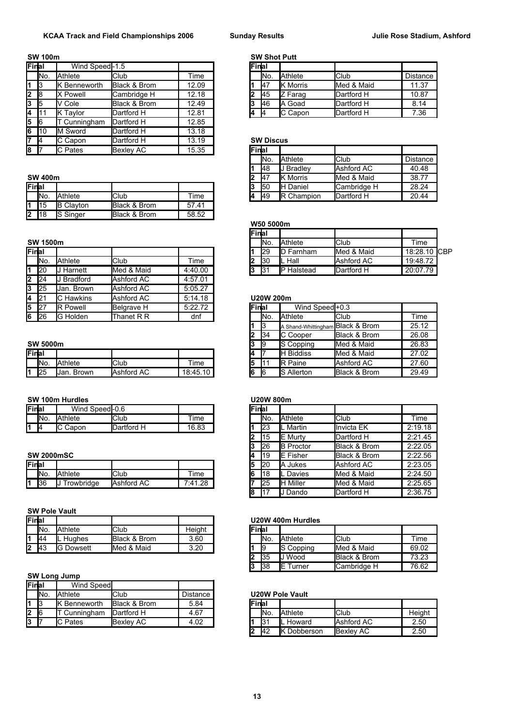### **SW 100m SW Shot Putt**

| Final |      | Wind Speed-1.5  |                  |       | lFinlai |                  |                 |             |         |
|-------|------|-----------------|------------------|-------|---------|------------------|-----------------|-------------|---------|
|       | INo. | Athlete         | <b>Club</b>      | Time  |         | IN <sub>o</sub>  | <b>Athlete</b>  | <b>Club</b> | Distand |
|       | 13   | Benneworth      | Black & Brom     | 12.09 |         | 147              | <b>K</b> Morris | Med & Maid  | 11.37   |
| 2     | 18   | X Powell        | Cambridge H      | 12.18 | 2       | <b>1</b> 45      | Z Farag         | Dartford H  | 10.87   |
| 3     | 15   | V Cole          | Black & Brom     | 12.49 | l3      | <b>146</b>       | <b>IA Goad</b>  | Dartford H  |         |
| 4     | -111 | <b>K</b> Taylor | Dartford H       | 12.81 | 14      |                  | <b>C</b> Capon  | Dartford H  |         |
| 5     | 16   | Cunningham      | Dartford H       | 12.85 |         |                  |                 |             |         |
| 6     | 110  | M Sword         | Dartford H       | 13.18 |         |                  |                 |             |         |
| b.    | -14  | C Capon         | Dartford H       | 13.19 |         | <b>SW Discus</b> |                 |             |         |
| 8     |      | C Pates         | <b>Bexlev AC</b> | 15.35 | Final   |                  |                 |             |         |

|       | --- -----  |                  |              |          |    | .           | .              |                     | ----  |
|-------|------------|------------------|--------------|----------|----|-------------|----------------|---------------------|-------|
| Final |            |                  |              |          | IJ | 150         | lн<br>Daniel   | <b>ICambridge I</b> | 28.24 |
|       | INo.       | Athlete          | Club         | Time     | іД | <b>1</b> 49 | Champion<br>IR | Dartford H          | 20.44 |
|       | 115        | <b>B</b> Clavton | Black & Brom | 41<br>57 |    |             |                |                     |       |
| ــ    | <b>118</b> | <b>S</b> Singer  | Black & Brom | 58.52    |    |             |                |                     |       |

|                         | Final     |                 |            |         |    | 129             | <b>ID Farnham</b> | Med & Maid    |
|-------------------------|-----------|-----------------|------------|---------|----|-----------------|-------------------|---------------|
|                         | INo.      | Athlete         | Club       | Time    |    | 130             | IL Hall           | Ashford AC    |
|                         | 120       | Harnett         | Med & Maid | 4:40.00 | 13 | 131             | IP Halstead       | Dartford H    |
| $\overline{\mathbf{2}}$ | 24        | <b>Bradford</b> | Ashford AC | 4:57.01 |    |                 |                   |               |
| 3                       | 25        | Jan. Brown      | Ashford AC | 5:05.27 |    |                 |                   |               |
| 4                       | 121       | C Hawkins       | Ashford AC | 5:14.18 |    | U20W 200m       |                   |               |
| 5                       | <b>27</b> | <b>R</b> Powell | Belarave H | 5:22.72 |    | lFinlal         | Wind Speed + 0.3  |               |
| 6                       | <b>26</b> | <b>G</b> Holden | Thanet R R | dnf     |    | IN <sub>o</sub> | <b>A</b> thlete   | <b>I</b> Club |

|         |      |                |              |          |                 |      | . .                 |                         |       |
|---------|------|----------------|--------------|----------|-----------------|------|---------------------|-------------------------|-------|
| lFinlai |      |                |              |          | іл              |      | <b>Biddiss</b><br>⊩ | & Maid<br><b>I</b> Med  | 27.02 |
|         | INo. | Athlete        | <b>IClub</b> | ÷<br>īme | $\epsilon$<br>Ð | - 14 | IR<br>Paine         | AC<br><b>Ashford</b>    | 27.60 |
| l1      | 125  | Brown<br>IJan. | Ashford AC   | 18:45.10 |                 | 16   | Allerton<br>ıc<br>ю | <b>Black &amp; Brom</b> | 29.49 |

#### **SW 100m Hurdles U20W 800m**

| <b>IFinlai</b> |      | <b>Wind</b><br>J Speedl-0.6 |             |           | 'Finla. |            |                |                        |                          |
|----------------|------|-----------------------------|-------------|-----------|---------|------------|----------------|------------------------|--------------------------|
|                | INo. | Athlete                     | <b>Club</b> | --<br>ıme |         | INo.       | <b>Athlete</b> | <b>Club</b>            | $- -$<br>ıme             |
| и              | 14   | r<br>Capon<br>◡             | Dartford H  | 16.83     |         | los<br>تعا | Martin<br>┺    | EK<br><b>I</b> Invicta | 19.18<br>0.4<br><u>.</u> |

#### $SW 2000mSC$

| <b>IFinlal</b> |        |           |              |                 |     | I <sub>20</sub> | IΑ<br>Jukes | AC<br><b>Ashford</b>      | 2:23.05   |
|----------------|--------|-----------|--------------|-----------------|-----|-----------------|-------------|---------------------------|-----------|
|                | - INo. | Athlete   | <b>IClub</b> | --<br>ıme       | 16  | 118             | Davies      | Maio<br><b>I</b> Med<br>& | 2:24.50   |
|                | 36     | rowbridge | Ashford AC   | .28<br>$7.41$ . |     | 125             | Miller      | & Maid<br><b>I</b> Med    | 2:25.65   |
|                |        |           |              |                 | . . | .               |             | . .<br>$\sim$ $\sim$<br>. | - - - - - |

#### **SW Pole Vault**

| lFinla. |             |               |              |        | U20W 400m Hurdles |               |                 |                |             |       |
|---------|-------------|---------------|--------------|--------|-------------------|---------------|-----------------|----------------|-------------|-------|
|         | INo.        | Athlete       | <b>IClub</b> | Height |                   | <b>IFinla</b> |                 |                |             |       |
|         | 44          | Hughes        | Black & Brom | 3.60   |                   |               | IN <sub>o</sub> | <b>Athlete</b> | <b>Club</b> | Time  |
| Iゥ      | <b>I</b> 43 | IG<br>Dowsett | Med & Maid   | 3.20   |                   |               | 19              | Copping        | Med & Maid  | 69.02 |
|         |             |               |              |        |                   |               |                 | .              |             |       |

#### **SW Long Jump**

| <b>IFinal</b> |                 | Wind Speed          |                    |          |         |      |                 |                   |        |
|---------------|-----------------|---------------------|--------------------|----------|---------|------|-----------------|-------------------|--------|
|               | IN <sub>o</sub> | Athlete             | <b>Club</b>        | Distance |         |      | U20W Pole Vault |                   |        |
| 11.           | 13              | <b>K</b> Benneworth | Black & Brom       | 5.84     | lFinlal |      |                 |                   |        |
| $\mathsf{I}2$ | -16             | Cunningham          | <b>IDartford H</b> | 4.67     |         | 'No. | <b>Athlete</b>  | Club              | Height |
| 13            | . .             | <sup>c</sup> Pates  | <b>Bexley AC</b>   | 4.02     |         | IЗ1  | Howard          | <b>Ashford AC</b> | 2.50   |

| al  | Wind Speed-1.5 |              |       | lFinlal |            |                  |            |                 |
|-----|----------------|--------------|-------|---------|------------|------------------|------------|-----------------|
| No. | Athlete        | <b>Club</b>  | īme   |         | INo.       | <b>Athlete</b>   | lClub      | <b>Distance</b> |
| 3   | Benneworth     | Black & Brom | 12.09 |         | <b>147</b> | <b>IK Morris</b> | Med & Maid | 11.37           |
| 8.  | X Powell       | Cambridge H  | 12.18 |         | 145        | IZ Farag         | Dartford H | 10.87           |
|     | Cole           | Black & Brom | 12.49 | 13      | 146        | IA Goad          | Dartford H | 8.14            |
| 11  | Tavlor         | Dartford H   | 12.81 | 14      | ı4         | <b>IC Capon</b>  | Dartford H | 7.36            |
|     |                |              |       |         |            |                  |            |                 |

### $SW$  Discus

| 8     |                 | <b>C</b> Pates | <b>Bexley AC</b> | 15.35 | lFinal |                 |                  |                      |          |
|-------|-----------------|----------------|------------------|-------|--------|-----------------|------------------|----------------------|----------|
|       |                 |                |                  |       |        | IN <sub>o</sub> | <b>Athlete</b>   | Club                 | Distance |
|       |                 |                |                  |       |        | 148             | <b>Bradlev</b>   | <b>Ashford AC</b>    | 40.48    |
|       | SW 400m         |                |                  |       |        | 147             | <b>IK Morris</b> | Med & Maid           | 38.77    |
| Final |                 |                |                  |       |        | 150             | <b>IH</b> Daniel | <b>I</b> Cambridge H | 28.24    |
|       | IN <sub>o</sub> | Athlete        | Club             | Time  | 4      | 149             | IR<br>Champion   | Dartford H           | 20.44    |

#### **W50 5000m**

|        |                 |         |             |         | <b>Fina</b> |                 |                |                        |               |  |
|--------|-----------------|---------|-------------|---------|-------------|-----------------|----------------|------------------------|---------------|--|
|        | SW 1500m        |         |             |         |             | IN <sub>o</sub> | <b>Athlete</b> | <b>I</b> Club          | Time          |  |
| Finlal |                 |         |             |         |             | 129             | ID<br>Farnham  | <b>IMed &amp; Maid</b> | 18:28.10 ICBP |  |
|        | IN <sub>o</sub> | Athlete | <b>Club</b> | Time    |             | 130             | Hall           | <b>Ashford AC</b>      | 19:48.72      |  |
|        | 120             | Harnett | Med & Maid  | 4:40.00 |             | 131             | IP<br>Halstead | Dartford H             | 20:07.79      |  |

#### **4** 21 C Hawkins Ashford AC 5:14.18 **U20W 200m**

|              | . .      | -               |            | .        |              |      |                                  |                         |       |
|--------------|----------|-----------------|------------|----------|--------------|------|----------------------------------|-------------------------|-------|
| $5 \mid 27$  |          | <b>R</b> Powell | Belgrave H | 5:22.72  | <b>Final</b> |      | Wind Speed <sup>-0.3</sup>       |                         |       |
| $6 \quad 26$ |          | <b>G</b> Holden | Thanet R R | dnf      |              | INo. | <b>Athlete</b>                   | Club                    | Time  |
|              |          |                 |            |          |              |      | A Shand-Whittingham Black & Brom |                         | 25.12 |
|              |          |                 |            |          |              | 134  | <b>IC Cooper</b>                 | <b>Black &amp; Brom</b> | 26.08 |
|              | SW 5000m |                 |            |          |              | -19  | <b>S</b> Copping                 | <b>IMed &amp; Maid</b>  | 26.83 |
| Final        |          |                 |            |          | 4            |      | <b>IH Biddiss</b>                | Med & Maid              | 27.02 |
|              | INo.     | Athlete         | Club       | Time     | 5            |      | <b>IR</b> Paine                  | Ashford AC              | 27.60 |
|              | 25       | Jan. Brown      | Ashford AC | 18:45.10 |              | 16   | <b>IS Allerton</b>               | <b>Black &amp; Brom</b> | 29.49 |

| al  | Wind Speed-0.6    |             |         | lFinlal |             |                   |                         |         |
|-----|-------------------|-------------|---------|---------|-------------|-------------------|-------------------------|---------|
| No. | Athlete           | Club        | Гіmе    |         | INo.        | <b>Athlete</b>    | <b>I</b> Club           | Time    |
| 4   | C Capon           | Dartford H  | 16.83   |         | <b>I</b> 23 | L Martin          | <b>I</b> Invicta EK     | 2:19.18 |
|     |                   |             |         | 2       | 115         | <b>IE</b> Murty   | Dartford H              | 2:21.45 |
|     |                   |             |         | l3      | <b>I26</b>  | <b>IB Proctor</b> | Black & Brom            | 2:22.05 |
|     | 2000mSC           |             |         | 4       | 119         | <b>IE</b> Fisher  | <b>Black &amp; Brom</b> | 2:22.56 |
| al  |                   |             |         | 15      | 20          | <b>A</b> Jukes    | Ashford AC              | 2:23.05 |
| No. | Athlete           | <b>Club</b> | Time    | İ6      | 118         | Davies            | Med & Maid              | 2:24.50 |
| 36  | <b>Trowbridge</b> | Ashford AC  | 7:41.28 |         | 25          | Miller<br>н       | Med & Maid              | 2:25.65 |
|     |                   |             |         | 18      |             | J Dando           | Dartford H              | 2:36.75 |

### **Final U20W 400m Hurdles**

| <b>Final</b> |                 |                  |              |       |
|--------------|-----------------|------------------|--------------|-------|
|              | IN <sub>o</sub> | Athlete          | Club         | Time  |
|              | 19              | S Copping        | Med & Maid   | 69.02 |
|              | 135             | <b>JJ</b> Wood   | Black & Brom | 73.23 |
|              | 138             | <b>IE Turner</b> | Cambridge H  | 76.62 |

## **U20W Pole Vault**

|    | <b>IFinal</b>   |                     |            |        |
|----|-----------------|---------------------|------------|--------|
|    | IN <sub>o</sub> | <b>Athlete</b>      | lClub      | Height |
|    | l31             | <b>IL Howard</b>    | Ashford AC | 2.50   |
| 12 | l42             | <b>IK Dobberson</b> | Bexley AC  | 2.50   |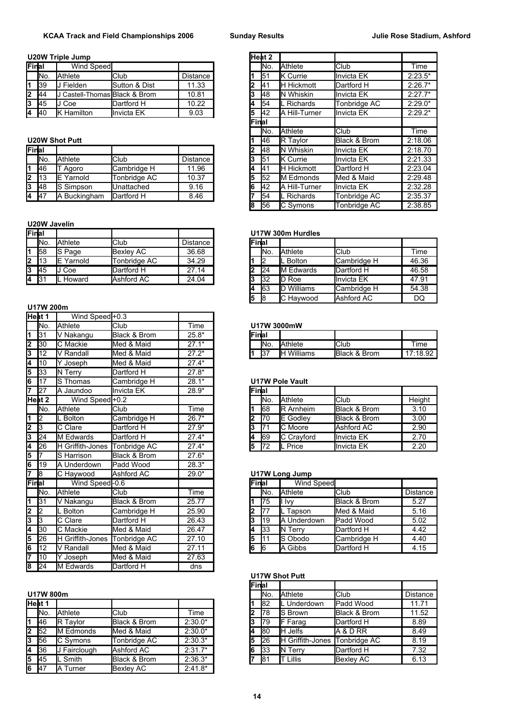### **U20W Triple Jump**

| Final              |             | Wind Speed                  |               |          | IN <sub>o</sub> | <b>Athlete</b>       | <b>I</b> Club       | Time      |
|--------------------|-------------|-----------------------------|---------------|----------|-----------------|----------------------|---------------------|-----------|
|                    | No.         | Athlete                     | <b>Club</b>   | Distance | l51             | <b>IK</b> Currie     | <b>Invicta EK</b>   | $2:23.5*$ |
| I1                 | <b>1</b> 39 | Fielden                     | Sutton & Dist | 11.33    | ١4              | <b>IH Hickmott</b>   | Dartford H          | $2:26.7*$ |
| $2 \overline{)44}$ |             | Castell-Thomas Black & Brom |               | 10.81    | 148             | <b>IN Whiskin</b>    | <b>Invicta EK</b>   | $2:27.7*$ |
| 3                  | <b>1</b> 45 | Coe                         | Dartford H    | 10.22    | 154             | Richards             | Tonbridge AC        | $2:29.0*$ |
| 4 40               |             | Hamilton                    | Ilnvicta EK   | 9.03     | 142             | <b>A Hill-Turner</b> | <b>I</b> Invicta EK | $2:29.2*$ |

### **U20W Shot Putt**

| Final             |             |                   |              |          |    | 148         | <b>IN Whiskin</b>    | <b>Invicta EK</b> | 2:18.70 |
|-------------------|-------------|-------------------|--------------|----------|----|-------------|----------------------|-------------------|---------|
|                   | INo.        | Athlete           | <b>Club</b>  | Distance |    | 151         | <b>IK Currie</b>     | <b>Invicta EK</b> | 2:21.33 |
| I1.               | <b>46</b>   | Agoro             | Cambridge H  | 11.96    |    | 41          | <b>IH Hickmott</b>   | Dartford H        | 2:23.04 |
| $2 \mid 13$       |             | <b>IE</b> Yarnold | Tonbridae AC | 10.37    |    | 152         | <b>IM Edmonds</b>    | Med & Maid        | 2:29.48 |
| l3                | <b>1</b> 48 | <b>S</b> Simpson  | Unattached   | 9.16     | 16 | <b>I</b> 42 | <b>A Hill-Turner</b> | <b>Invicta EK</b> | 2:32.28 |
| $4 \overline{47}$ |             | A Buckingham      | Dartford H   | 8.46     |    | 154         | <b>Richards</b>      | Tonbridge AC      | 2:35.37 |

### **U20W Javelin**

| Final         |            |                   |              |          |   | U17W 300m Hurdles |                   |                     |       |  |  |  |
|---------------|------------|-------------------|--------------|----------|---|-------------------|-------------------|---------------------|-------|--|--|--|
|               | INo.       | Athlete           | <b>Club</b>  | Distance |   | Final             |                   |                     |       |  |  |  |
| I1            | 158        | <b>S</b> Page     | Bexley AC    | 36.68    |   | IN <sub>o</sub>   | <b>Athlete</b>    | <b>I</b> Club       | Time  |  |  |  |
| l2            |            | <b>IE</b> Yarnold | Tonbridge AC | 34.29    |   |                   | . Bolton          | <b>Cambridge H</b>  | 46.36 |  |  |  |
| 13            | <b>145</b> | Coe               | Dartford H   | 27.14    |   | 124               | <b>IM Edwards</b> | <b>I</b> Dartford H | 46.58 |  |  |  |
| <b>4 1</b> 31 |            | <b>IL</b> Howard  | Ashford AC   | 24.04    | J | 132               | Roe               | <b>I</b> Invicta EK | 47.91 |  |  |  |

### **U17W 200m**

|       | Heat 1     | Wind Speed +0.3         |              |         |   |                 |                        |                          |         |
|-------|------------|-------------------------|--------------|---------|---|-----------------|------------------------|--------------------------|---------|
|       | INo.       | Athlete                 | Club         | Time    |   |                 | U17W 3000mW            |                          |         |
| 1     | 31         | V Nakangu               | Black & Brom | $25.8*$ |   | Final           |                        |                          |         |
| 2     | 30         | C Mackie                | Med & Maid   | $27.1*$ |   | No.             | <b>Athlete</b>         | $\overline{\text{Club}}$ | Time    |
| 3     | 12         | V Randall               | Med & Maid   | $27.2*$ | 1 | 37              | <b>IH</b> Williams     | Black & Brom             | 17:18.9 |
| 4     | 10         | Y Joseph                | Med & Maid   | $27.4*$ |   |                 |                        |                          |         |
| 5     | 33         | N Terry                 | Dartford H   | $27.8*$ |   |                 |                        |                          |         |
| 6     | 17         | S Thomas                | Cambridge H  | $28.1*$ |   |                 | <b>U17W Pole Vault</b> |                          |         |
| 7     | 27         | A Jaundoo               | Invicta EK   | 28.9*   |   | Final           |                        |                          |         |
|       | Heat 2     | Wind Speed +0.2         |              |         |   | No.             | Athlete                | Club                     | Height  |
|       | INo.       | Athlete                 | Club         | Time    |   | 68              | <b>R</b> Arnheim       | Black & Brom             | 3.10    |
| 1     | 12         | L Bolton                | Cambridge H  | $26.7*$ | 2 | $\overline{70}$ | E Godley               | Black & Brom             | 3.00    |
| 2     | Iз         | C Clare                 | Dartford H   | $27.9*$ | 3 | 71              | C Moore                | Ashford AC               | 2.90    |
| 3     | 24         | M Edwards               | Dartford H   | $27.4*$ | 4 | 69              | C Crayford             | <b>Invicta EK</b>        | 2.70    |
| 4     | 26         | <b>H</b> Griffith-Jones | Tonbridge AC | $27.4*$ | 5 | 72              | L Price                | <b>Invicta EK</b>        | 2.20    |
| 5     | 7          | S Harrison              | Black & Brom | $27.6*$ |   |                 |                        |                          |         |
| 6     | 19         | A Underdown             | Padd Wood    | $28.3*$ |   |                 |                        |                          |         |
| 7     | $\sqrt{8}$ | $\overline{C}$ Haywood  | Ashford AC   | $29.0*$ |   |                 | <b>U17W Long Jump</b>  |                          |         |
| Final |            | Wind Speed-0.6          |              |         |   | Final           | <b>Wind Speed</b>      |                          |         |
|       | INo.       | Athlete                 | Club         | Time    |   | No.             | <b>Athlete</b>         | Club                     | Distanc |
| 1     | 31         | V Nakangu               | Black & Brom | 25.77   |   | 75              | ll Ivv                 | Black & Brom             | 5.27    |
| 2     | 2          | L Bolton                | Cambridge H  | 25.90   | 2 | 77              | L Tapson               | Med & Maid               | 5.16    |
| 3     | l3         | C Clare                 | Dartford H   | 26.43   | 3 | 19              | A Underdown            | Padd Wood                | 5.02    |
| 4     | 30         | C Mackie                | Med & Maid   | 26.47   | 4 | 33              | <b>IN Terry</b>        | Dartford H               | 4.42    |
| 5     | 26         | H Griffith-Jones        | Tonbridge AC | 27.10   | 5 | 11              | S Obodo                | Cambridge H              | 4.40    |
| 6     | 12         | V Randall               | Med & Maid   | 27.11   | 6 | $\sqrt{6}$      | A Gibbs                | Dartford H               | 4.15    |
| 7     | 10         | $\overline{Y}$ Joseph   | Med & Maid   | 27.63   |   |                 |                        |                          |         |
| 8     | 24         | M Edwards               | Dartford H   | dns     |   |                 |                        |                          |         |

|   | Heat 1      |                 |                  |           |    | 182 | Underdown       | <b>Padd Wood</b>            | 11.71 |
|---|-------------|-----------------|------------------|-----------|----|-----|-----------------|-----------------------------|-------|
|   | INo.        | Athlete         | <b>Club</b>      | Time      | 12 | 178 | <b>IS Brown</b> | <b>Black &amp; Brom</b>     | 11.52 |
|   | <b>46</b>   | <b>R</b> Tavlor | Black & Brom     | $2:30.0*$ | 13 | I79 | <b>IF Farag</b> | Dartford H                  | 8.89  |
|   | $2 \mid 52$ | M Edmonds       | Med & Maid       | $2:30.0*$ | 14 | 180 | <b>IH</b> Jelfs | <b>A &amp; D RR</b>         | 8.49  |
|   | $3 \mid 56$ | C Symons        | Tonbridge AC     | $2:30.3*$ | l5 | I26 | IH.             | Griffith-Jones Tonbridge AC | 8.19  |
|   | <b>4</b> 36 | Fairclough      | Ashford AC       | $2:31.7*$ | 16 | 133 | <b>IN Terry</b> | Dartford H                  | 7.32  |
| 5 | <b>45</b>   | Smith           | Black & Brom     | $2:36.3*$ |    | 81  | Lillis          | Bexley AC                   | 6.13  |
|   | $6 \t 47$   | A Turner        | <b>Bexley AC</b> | $2:41.8*$ |    |     |                 |                             |       |

|     | W Triple Jump                          |               |                 |    | lHeat 2     |                       |              |           |
|-----|----------------------------------------|---------------|-----------------|----|-------------|-----------------------|--------------|-----------|
| al  | Wind Speed                             |               |                 |    | INo.        | <b>Athlete</b>        | Club         | Time      |
| No. | Athlete                                | <b>Club</b>   | Distance        |    | 151         | <b>IK</b> Currie      | Invicta EK   | $2:23.5*$ |
| 39  | J Fielden                              | Sutton & Dist | 11.33           | 2  | 141         | <b>IH Hickmott</b>    | Dartford H   | $2:26.7*$ |
| 44  | J Castell-Thomas <b>I</b> Black & Brom |               | 10.81           | 3  | <b>148</b>  | <b>IN Whiskin</b>     | Invicta EK   | $2:27.7*$ |
| 45  | J Coe                                  | Dartford H    | 10.22           | 4  | <b>1</b> 54 | L Richards            | Tonbridge AC | $2:29.0*$ |
| 40  | <b>K</b> Hamilton                      | Invicta EK    | 9.03            | 5  | <b>I</b> 42 | <b>JA Hill-Turner</b> | Invicta EK   | $2:29.2*$ |
|     |                                        |               | Final           |    |             |                       |              |           |
|     |                                        |               |                 |    | INo.        | <b>Athlete</b>        | Club         | Time      |
|     | W Shot Putt                            |               |                 |    | 146         | <b>R</b> Taylor       | Black & Brom | 2:18.06   |
| al  |                                        |               |                 |    | l48         | <b>N</b> Whiskin      | Invicta EK   | 2:18.70   |
| No. | Athlete                                | Club          | <b>Distance</b> | 3  | 51          | <b>IK</b> Currie      | Invicta EK   | 2:21.33   |
| 46  | T Agoro                                | Cambridge H   | 11.96           | 4  | <b>I</b> 41 | <b>H</b> Hickmott     | Dartford H   | 2:23.04   |
| 13  | <b>IE</b> Yarnold                      | Tonbridge AC  | 10.37           | 5  | l52         | <b>IM Edmonds</b>     | Med & Maid   | 2:29.48   |
| 48  | S Simpson                              | Unattached    | 9.16            | 6  | <b>I</b> 42 | A Hill-Turner         | Invicta EK   | 2:32.28   |
| 47  | A Buckingham                           | Dartford H    | 8.46            |    | 154         | L Richards            | Tonbridge AC | 2:35.37   |
|     |                                        |               |                 | 18 | 56          | C Symons              | Tonbridge AC | 2:38.85   |

## **Final U17W 300m Hurdles**

| lFinal |     |                   |             |       |
|--------|-----|-------------------|-------------|-------|
|        | No. | <b>Athlete</b>    | Club        | Time  |
|        | l2  | L Bolton          | Cambridge H | 46.36 |
|        | 24  | <b>M</b> Edwards  | Dartford H  | 46.58 |
| l3     | l32 | <b>ID Roe</b>     | Invicta EK  | 47.91 |
|        | 163 | <b>D</b> Williams | Cambridge H | 54.38 |
| l5     | l8  | C Haywood         | Ashford AC  | DO    |

## No. Athlete Club Time **U17W 3000mW**

|               | 131         | v<br>Nakangu | Black & Brom                          | $25.8*$                 | 'Finlai |        |                      |                         |            |
|---------------|-------------|--------------|---------------------------------------|-------------------------|---------|--------|----------------------|-------------------------|------------|
| ~<br><u>L</u> | <b>1</b> 30 | IС<br>Mackie | Maid<br>$\Omega$<br><b>Med</b><br>ິດເ | ~7<br>$A*$              |         | - INo. | <b>Athlete</b>       | <b>IClub</b>            | Time       |
| e.<br>u       | 112<br>14   | Randall<br>M | Maid<br><b>Med</b><br>$\Omega$<br>∝   | $27.2*$<br><u>.</u><br> |         | 137    | <b>Williams</b><br>⊩ | <b>Black &amp; Brom</b> | 17:18.9∠ l |
|               |             |              |                                       |                         |         |        |                      |                         |            |

## **U17W Pole Vault**

| 27   | Jaundoo                     | Invicta EK  | $28.9*$ | Final |                 |                    |                         |        |
|------|-----------------------------|-------------|---------|-------|-----------------|--------------------|-------------------------|--------|
| at 2 | Wind Speed - 0.2            |             |         |       | IN <sub>o</sub> | <b>Athlete</b>     | <b>I</b> Club           | Height |
| No.  | Athlete                     | <b>Club</b> | Time    |       | 168             | <b>IR Arnheim</b>  | Black & Brom            | 3.10   |
| 2    | Bolton                      | Cambridge H | $26.7*$ | 2     | 170             | <b>IE</b> Godlev   | <b>Black &amp; Brom</b> | 3.00   |
| 3    | C Clare                     | Dartford H  | $27.9*$ | 3     |                 | <b>IC</b> Moore    | Ashford AC              | 2.90   |
| 24   | M Edwards                   | Dartford H  | $27.4*$ |       | 169             | <b>IC Cravford</b> | <b>I</b> Invicta EK     | 2.70   |
| 26   | Griffith-Jones Tonbridge AC |             | $27.4*$ | 15    | 172             | Price              | <b>I</b> Invicta EK     | 2.20   |
|      |                             |             |         |       |                 |                    |                         |        |

#### **U17W Long Jump**

| al              | Wind Speed-0.6              |              |       | Final |      | Wind Speed         |                         |                 |
|-----------------|-----------------------------|--------------|-------|-------|------|--------------------|-------------------------|-----------------|
| No.             | Athlete                     | <b>Club</b>  | Time  |       | INo. | <b>Athlete</b>     | <b>I</b> Club           | <b>Distance</b> |
| 31              | Nakangu                     | Black & Brom | 25.77 |       | 175  | ll Ivv             | <b>Black &amp; Brom</b> | 5.27            |
| $\overline{2}$  | . Bolton                    | Cambridge H  | 25.90 |       | 177  | Tapson             | Med & Maid              | 5.16            |
| 3               | C Clare                     | Dartford H   | 26.43 |       | 119  | <b>A Underdown</b> | <b>Padd Wood</b>        | 5.02            |
| 30              | C Mackie                    | Med & Maid   | 26.47 | 4     | 133  | <b>IN Terry</b>    | Dartford H              | 4.42            |
| 26              | Griffith-Jones Tonbridge AC |              | 27.10 | 5     | 111  | <b>S</b> Obodo     | Cambridge H             | 4.40            |
| 12 <sup>°</sup> | Randall                     | Med & Maid   | 27.11 | l6    | 16   | <b>IA Gibbs</b>    | Dartford H              | 4.15            |
|                 |                             |              |       |       |      |                    |                         |                 |

## **U17W Shot Putt**

|           |           |                 |              |           | <b>Final</b> |                 |                  |                         |                 |
|-----------|-----------|-----------------|--------------|-----------|--------------|-----------------|------------------|-------------------------|-----------------|
|           | U17W 800m |                 |              |           |              | IN <sub>o</sub> | <b>Athlete</b>   | <b>Club</b>             | <b>Distance</b> |
| Heat 1    |           |                 |              |           |              | <b>1</b> 82     | Underdown        | Padd Wood               | 11.71           |
|           | INo.      | Athlete         | <b>Club</b>  | Time      |              | 178             | <b>IS Brown</b>  | <b>Black &amp; Brom</b> | 11.52           |
|           | 46        | <b>R</b> Tavlor | Black & Brom | $2:30.0*$ |              | <b>1</b> 79     | <b>IF Farag</b>  | Dartford H              | 8.89            |
| 2 52      |           | M Edmonds       | Med & Maid   | $2:30.0*$ |              | <b>1</b> 80     | <b>IH Jelfs</b>  | IA & D RR               | 8.49            |
| 3         | 56        | C Symons        | Tonbridge AC | $2:30.3*$ |              | 126             | H Griffith-Jones | Tonbridge AC            | 8.19            |
| 4         | 36        | J Fairclough    | Ashford AC   | $2:31.7*$ |              | $\mathsf{I}33$  | <b>IN Terry</b>  | Dartford H              | 7.32            |
| $5 \t 45$ |           | . Smith         | Black & Brom | $2:36.3*$ |              | 181             | IT Lillis        | <b>Bexley AC</b>        | 6.13            |